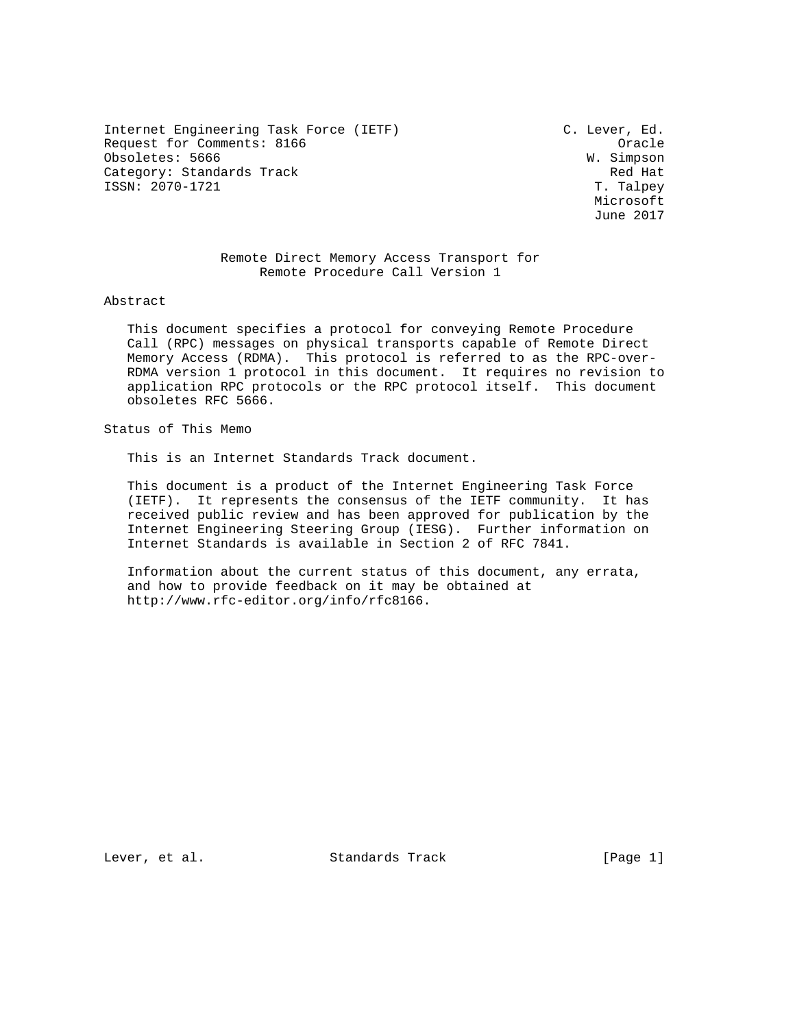Internet Engineering Task Force (IETF) C. Lever, Ed. Request for Comments: 8166 Oracle Obsoletes: 5666<br>
Category: Standards Track Category: Standards Track Category: Standards Track Red Hat Red Hat ISSN: 2070-1721 ISSN: 2070-1721

 Microsoft June 2017

# Remote Direct Memory Access Transport for Remote Procedure Call Version 1

Abstract

 This document specifies a protocol for conveying Remote Procedure Call (RPC) messages on physical transports capable of Remote Direct Memory Access (RDMA). This protocol is referred to as the RPC-over- RDMA version 1 protocol in this document. It requires no revision to application RPC protocols or the RPC protocol itself. This document obsoletes RFC 5666.

Status of This Memo

This is an Internet Standards Track document.

 This document is a product of the Internet Engineering Task Force (IETF). It represents the consensus of the IETF community. It has received public review and has been approved for publication by the Internet Engineering Steering Group (IESG). Further information on Internet Standards is available in Section 2 of RFC 7841.

 Information about the current status of this document, any errata, and how to provide feedback on it may be obtained at http://www.rfc-editor.org/info/rfc8166.

Lever, et al. Standards Track [Page 1]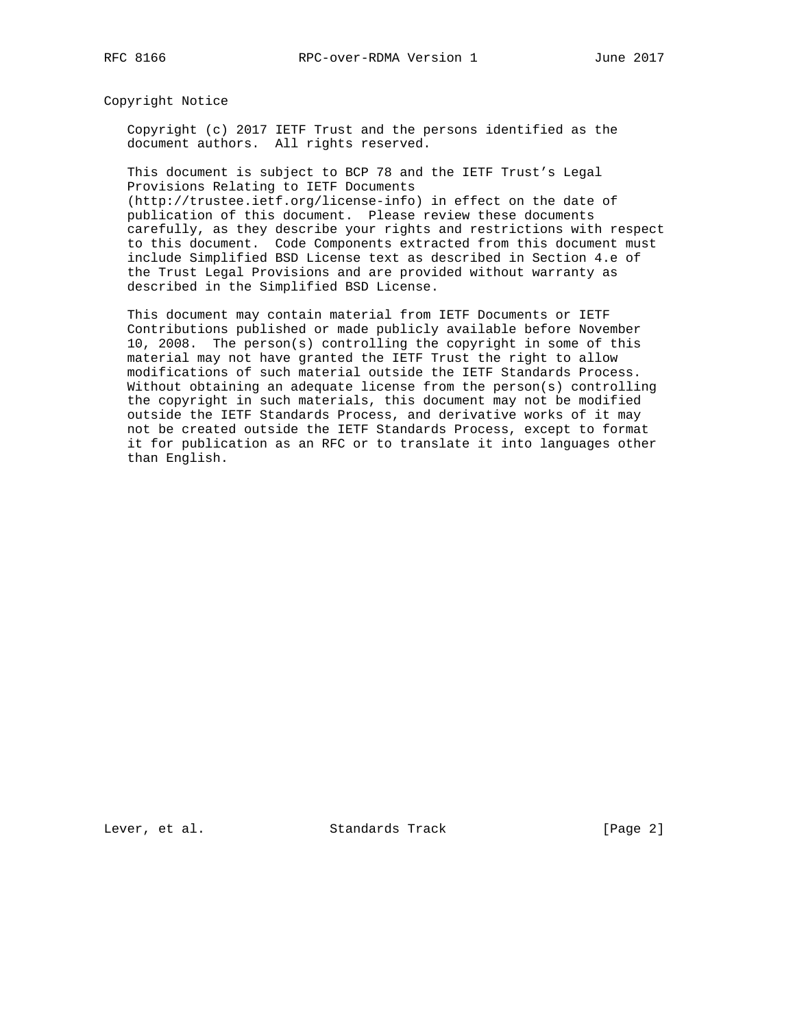Copyright Notice

 Copyright (c) 2017 IETF Trust and the persons identified as the document authors. All rights reserved.

 This document is subject to BCP 78 and the IETF Trust's Legal Provisions Relating to IETF Documents

 (http://trustee.ietf.org/license-info) in effect on the date of publication of this document. Please review these documents carefully, as they describe your rights and restrictions with respect to this document. Code Components extracted from this document must include Simplified BSD License text as described in Section 4.e of the Trust Legal Provisions and are provided without warranty as described in the Simplified BSD License.

 This document may contain material from IETF Documents or IETF Contributions published or made publicly available before November 10, 2008. The person(s) controlling the copyright in some of this material may not have granted the IETF Trust the right to allow modifications of such material outside the IETF Standards Process. Without obtaining an adequate license from the person(s) controlling the copyright in such materials, this document may not be modified outside the IETF Standards Process, and derivative works of it may not be created outside the IETF Standards Process, except to format it for publication as an RFC or to translate it into languages other than English.

Lever, et al. Standards Track [Page 2]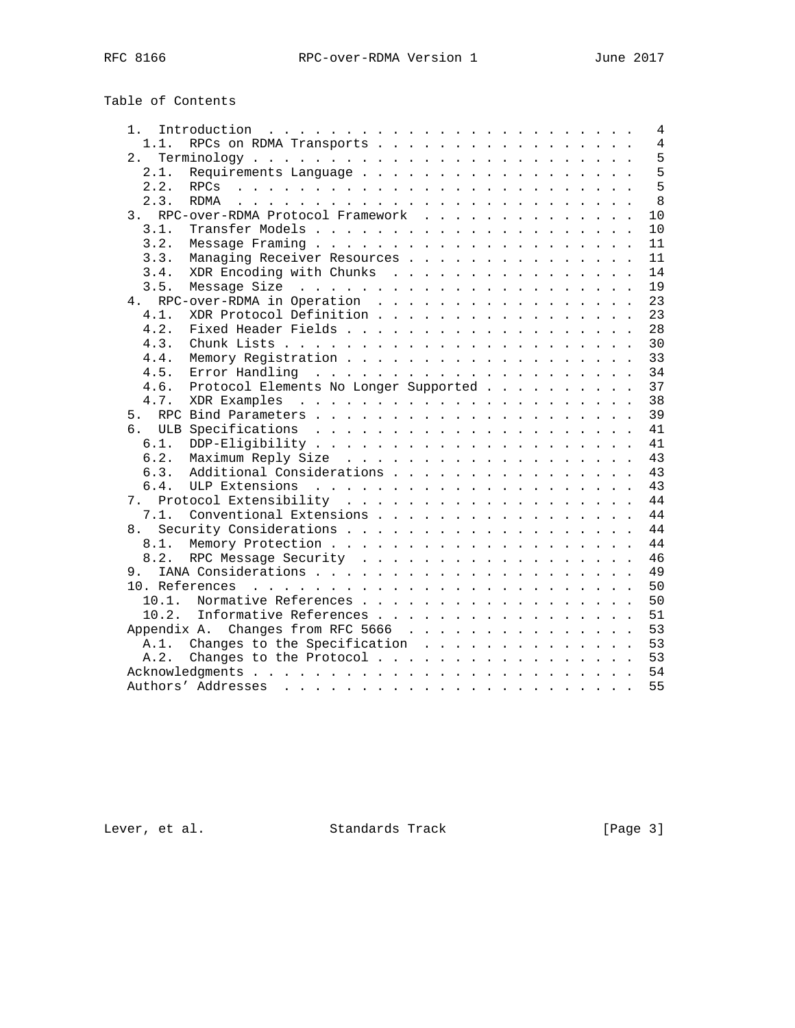| $\overline{4}$<br>1.<br>RPCs on RDMA Transports<br>$\overline{4}$<br>1.1.<br>5<br>5<br>2.1.<br>5<br>2.2.<br>8<br>2.3.<br>RDMA<br>10<br>3. RPC-over-RDMA Protocol Framework<br>3.1.<br>10<br>3.2.<br>11<br>Managing Receiver Resources<br>3.3.<br>11<br>XDR Encoding with Chunks<br>14<br>3.4.<br>19<br>3.5.<br>4. RPC-over-RDMA in Operation<br>23<br>XDR Protocol Definition<br>23<br>$4.1$ .<br>28<br>4.2.<br>4.3.<br>30<br>33<br>4.4.<br>34<br>4.5.<br>37<br>4.6.<br>Protocol Elements No Longer Supported<br>38<br>4.7.<br>39<br>41<br>41<br>6.1.<br>6.2.<br>43<br>Additional Considerations<br>43<br>6.3.<br>43<br>6.4.<br>44 |
|------------------------------------------------------------------------------------------------------------------------------------------------------------------------------------------------------------------------------------------------------------------------------------------------------------------------------------------------------------------------------------------------------------------------------------------------------------------------------------------------------------------------------------------------------------------------------------------------------------------------------------|
|                                                                                                                                                                                                                                                                                                                                                                                                                                                                                                                                                                                                                                    |
|                                                                                                                                                                                                                                                                                                                                                                                                                                                                                                                                                                                                                                    |
|                                                                                                                                                                                                                                                                                                                                                                                                                                                                                                                                                                                                                                    |
|                                                                                                                                                                                                                                                                                                                                                                                                                                                                                                                                                                                                                                    |
|                                                                                                                                                                                                                                                                                                                                                                                                                                                                                                                                                                                                                                    |
|                                                                                                                                                                                                                                                                                                                                                                                                                                                                                                                                                                                                                                    |
|                                                                                                                                                                                                                                                                                                                                                                                                                                                                                                                                                                                                                                    |
|                                                                                                                                                                                                                                                                                                                                                                                                                                                                                                                                                                                                                                    |
|                                                                                                                                                                                                                                                                                                                                                                                                                                                                                                                                                                                                                                    |
|                                                                                                                                                                                                                                                                                                                                                                                                                                                                                                                                                                                                                                    |
|                                                                                                                                                                                                                                                                                                                                                                                                                                                                                                                                                                                                                                    |
|                                                                                                                                                                                                                                                                                                                                                                                                                                                                                                                                                                                                                                    |
|                                                                                                                                                                                                                                                                                                                                                                                                                                                                                                                                                                                                                                    |
|                                                                                                                                                                                                                                                                                                                                                                                                                                                                                                                                                                                                                                    |
|                                                                                                                                                                                                                                                                                                                                                                                                                                                                                                                                                                                                                                    |
|                                                                                                                                                                                                                                                                                                                                                                                                                                                                                                                                                                                                                                    |
|                                                                                                                                                                                                                                                                                                                                                                                                                                                                                                                                                                                                                                    |
|                                                                                                                                                                                                                                                                                                                                                                                                                                                                                                                                                                                                                                    |
|                                                                                                                                                                                                                                                                                                                                                                                                                                                                                                                                                                                                                                    |
|                                                                                                                                                                                                                                                                                                                                                                                                                                                                                                                                                                                                                                    |
|                                                                                                                                                                                                                                                                                                                                                                                                                                                                                                                                                                                                                                    |
|                                                                                                                                                                                                                                                                                                                                                                                                                                                                                                                                                                                                                                    |
|                                                                                                                                                                                                                                                                                                                                                                                                                                                                                                                                                                                                                                    |
|                                                                                                                                                                                                                                                                                                                                                                                                                                                                                                                                                                                                                                    |
|                                                                                                                                                                                                                                                                                                                                                                                                                                                                                                                                                                                                                                    |
|                                                                                                                                                                                                                                                                                                                                                                                                                                                                                                                                                                                                                                    |
|                                                                                                                                                                                                                                                                                                                                                                                                                                                                                                                                                                                                                                    |
| 44<br>Conventional Extensions<br>7.1.                                                                                                                                                                                                                                                                                                                                                                                                                                                                                                                                                                                              |
| 44<br>8.                                                                                                                                                                                                                                                                                                                                                                                                                                                                                                                                                                                                                           |
| 44<br>8.1.                                                                                                                                                                                                                                                                                                                                                                                                                                                                                                                                                                                                                         |
| RPC Message Security<br>46<br>8.2.                                                                                                                                                                                                                                                                                                                                                                                                                                                                                                                                                                                                 |
| 49<br>9.                                                                                                                                                                                                                                                                                                                                                                                                                                                                                                                                                                                                                           |
| 50                                                                                                                                                                                                                                                                                                                                                                                                                                                                                                                                                                                                                                 |
| 50<br>10.1.<br>Normative References                                                                                                                                                                                                                                                                                                                                                                                                                                                                                                                                                                                                |
| 10.2.<br>Informative References<br>51                                                                                                                                                                                                                                                                                                                                                                                                                                                                                                                                                                                              |
| Appendix A. Changes from RFC 5666<br>53                                                                                                                                                                                                                                                                                                                                                                                                                                                                                                                                                                                            |
| 53<br>A.1. Changes to the Specification                                                                                                                                                                                                                                                                                                                                                                                                                                                                                                                                                                                            |
| Changes to the Protocol<br>53<br>A.2.                                                                                                                                                                                                                                                                                                                                                                                                                                                                                                                                                                                              |
| 54                                                                                                                                                                                                                                                                                                                                                                                                                                                                                                                                                                                                                                 |
| 55                                                                                                                                                                                                                                                                                                                                                                                                                                                                                                                                                                                                                                 |

Lever, et al. Standards Track [Page 3]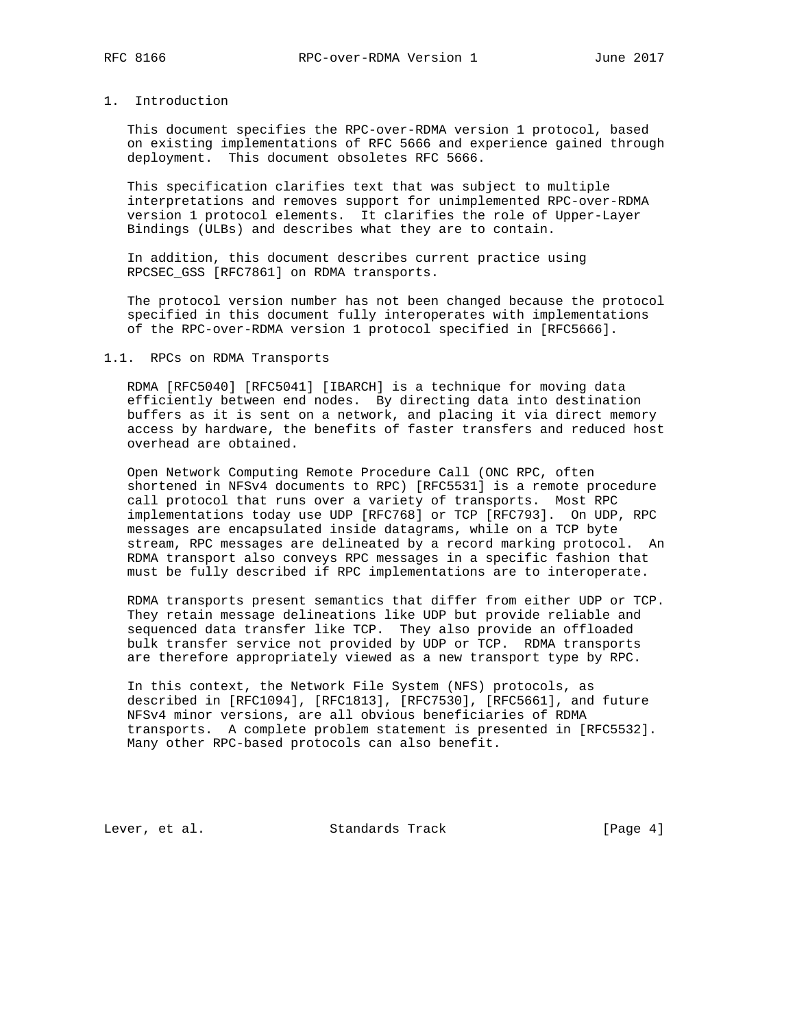# 1. Introduction

 This document specifies the RPC-over-RDMA version 1 protocol, based on existing implementations of RFC 5666 and experience gained through deployment. This document obsoletes RFC 5666.

 This specification clarifies text that was subject to multiple interpretations and removes support for unimplemented RPC-over-RDMA version 1 protocol elements. It clarifies the role of Upper-Layer Bindings (ULBs) and describes what they are to contain.

 In addition, this document describes current practice using RPCSEC\_GSS [RFC7861] on RDMA transports.

 The protocol version number has not been changed because the protocol specified in this document fully interoperates with implementations of the RPC-over-RDMA version 1 protocol specified in [RFC5666].

#### 1.1. RPCs on RDMA Transports

 RDMA [RFC5040] [RFC5041] [IBARCH] is a technique for moving data efficiently between end nodes. By directing data into destination buffers as it is sent on a network, and placing it via direct memory access by hardware, the benefits of faster transfers and reduced host overhead are obtained.

 Open Network Computing Remote Procedure Call (ONC RPC, often shortened in NFSv4 documents to RPC) [RFC5531] is a remote procedure call protocol that runs over a variety of transports. Most RPC implementations today use UDP [RFC768] or TCP [RFC793]. On UDP, RPC messages are encapsulated inside datagrams, while on a TCP byte stream, RPC messages are delineated by a record marking protocol. An RDMA transport also conveys RPC messages in a specific fashion that must be fully described if RPC implementations are to interoperate.

 RDMA transports present semantics that differ from either UDP or TCP. They retain message delineations like UDP but provide reliable and sequenced data transfer like TCP. They also provide an offloaded bulk transfer service not provided by UDP or TCP. RDMA transports are therefore appropriately viewed as a new transport type by RPC.

 In this context, the Network File System (NFS) protocols, as described in [RFC1094], [RFC1813], [RFC7530], [RFC5661], and future NFSv4 minor versions, are all obvious beneficiaries of RDMA transports. A complete problem statement is presented in [RFC5532]. Many other RPC-based protocols can also benefit.

Lever, et al. Standards Track [Page 4]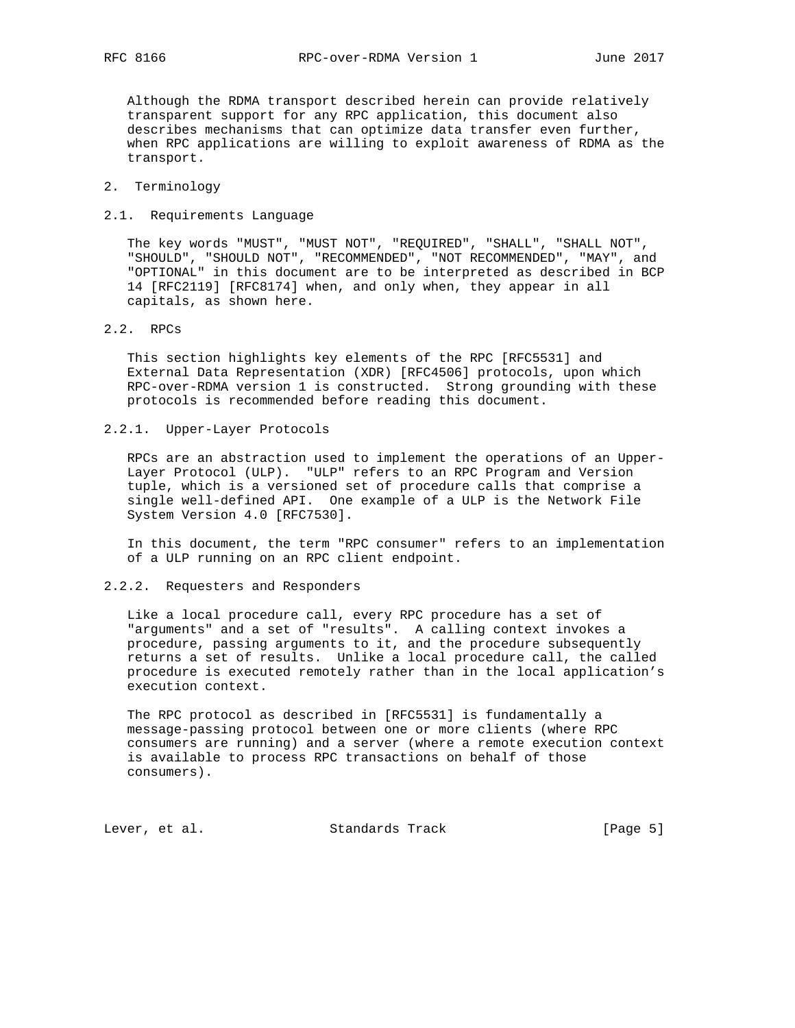Although the RDMA transport described herein can provide relatively transparent support for any RPC application, this document also describes mechanisms that can optimize data transfer even further, when RPC applications are willing to exploit awareness of RDMA as the transport.

# 2. Terminology

#### 2.1. Requirements Language

 The key words "MUST", "MUST NOT", "REQUIRED", "SHALL", "SHALL NOT", "SHOULD", "SHOULD NOT", "RECOMMENDED", "NOT RECOMMENDED", "MAY", and "OPTIONAL" in this document are to be interpreted as described in BCP 14 [RFC2119] [RFC8174] when, and only when, they appear in all capitals, as shown here.

# 2.2. RPCs

 This section highlights key elements of the RPC [RFC5531] and External Data Representation (XDR) [RFC4506] protocols, upon which RPC-over-RDMA version 1 is constructed. Strong grounding with these protocols is recommended before reading this document.

# 2.2.1. Upper-Layer Protocols

 RPCs are an abstraction used to implement the operations of an Upper- Layer Protocol (ULP). "ULP" refers to an RPC Program and Version tuple, which is a versioned set of procedure calls that comprise a single well-defined API. One example of a ULP is the Network File System Version 4.0 [RFC7530].

 In this document, the term "RPC consumer" refers to an implementation of a ULP running on an RPC client endpoint.

## 2.2.2. Requesters and Responders

 Like a local procedure call, every RPC procedure has a set of "arguments" and a set of "results". A calling context invokes a procedure, passing arguments to it, and the procedure subsequently returns a set of results. Unlike a local procedure call, the called procedure is executed remotely rather than in the local application's execution context.

 The RPC protocol as described in [RFC5531] is fundamentally a message-passing protocol between one or more clients (where RPC consumers are running) and a server (where a remote execution context is available to process RPC transactions on behalf of those consumers).

Lever, et al. Standards Track [Page 5]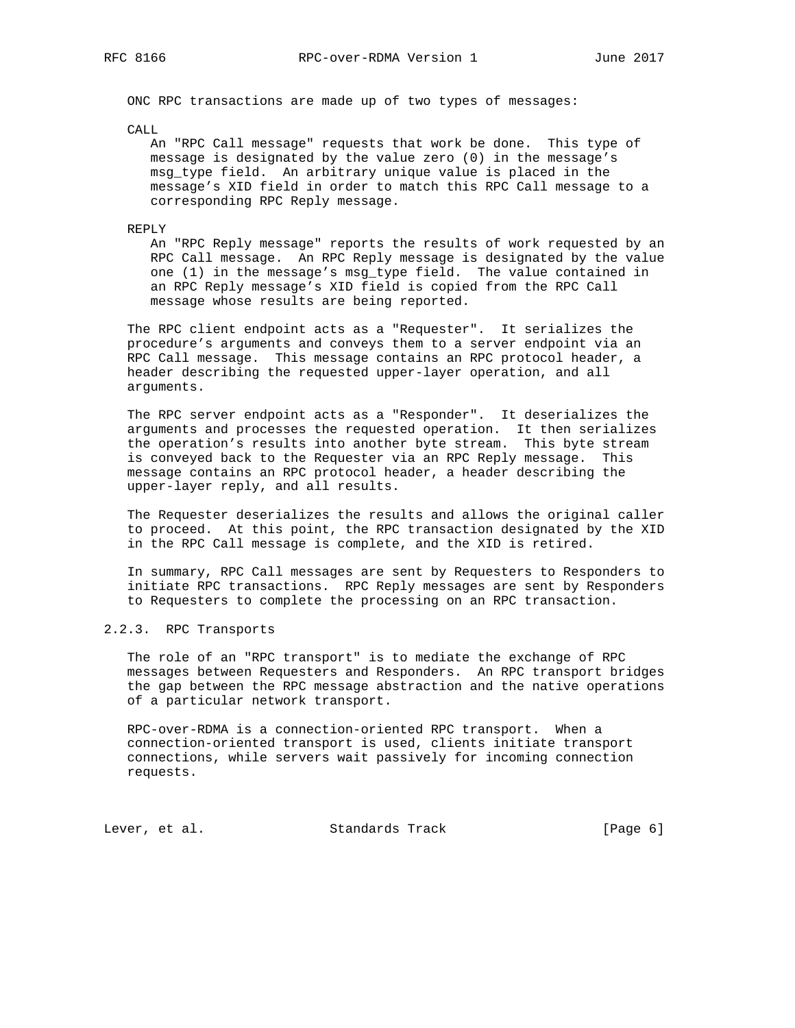ONC RPC transactions are made up of two types of messages:

CALL

 An "RPC Call message" requests that work be done. This type of message is designated by the value zero (0) in the message's msg\_type field. An arbitrary unique value is placed in the message's XID field in order to match this RPC Call message to a corresponding RPC Reply message.

### REPLY

 An "RPC Reply message" reports the results of work requested by an RPC Call message. An RPC Reply message is designated by the value one (1) in the message's msg\_type field. The value contained in an RPC Reply message's XID field is copied from the RPC Call message whose results are being reported.

 The RPC client endpoint acts as a "Requester". It serializes the procedure's arguments and conveys them to a server endpoint via an RPC Call message. This message contains an RPC protocol header, a header describing the requested upper-layer operation, and all arguments.

 The RPC server endpoint acts as a "Responder". It deserializes the arguments and processes the requested operation. It then serializes the operation's results into another byte stream. This byte stream is conveyed back to the Requester via an RPC Reply message. This message contains an RPC protocol header, a header describing the upper-layer reply, and all results.

 The Requester deserializes the results and allows the original caller to proceed. At this point, the RPC transaction designated by the XID in the RPC Call message is complete, and the XID is retired.

 In summary, RPC Call messages are sent by Requesters to Responders to initiate RPC transactions. RPC Reply messages are sent by Responders to Requesters to complete the processing on an RPC transaction.

# 2.2.3. RPC Transports

 The role of an "RPC transport" is to mediate the exchange of RPC messages between Requesters and Responders. An RPC transport bridges the gap between the RPC message abstraction and the native operations of a particular network transport.

 RPC-over-RDMA is a connection-oriented RPC transport. When a connection-oriented transport is used, clients initiate transport connections, while servers wait passively for incoming connection requests.

Lever, et al. Standards Track [Page 6]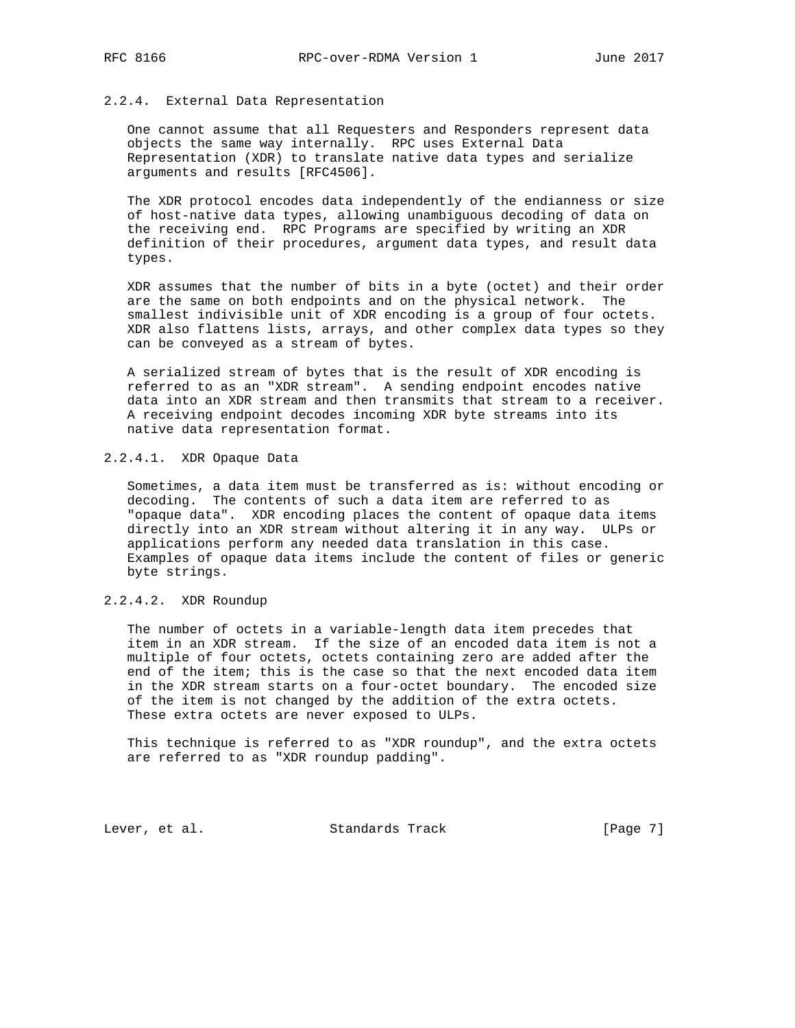# 2.2.4. External Data Representation

 One cannot assume that all Requesters and Responders represent data objects the same way internally. RPC uses External Data Representation (XDR) to translate native data types and serialize arguments and results [RFC4506].

 The XDR protocol encodes data independently of the endianness or size of host-native data types, allowing unambiguous decoding of data on the receiving end. RPC Programs are specified by writing an XDR definition of their procedures, argument data types, and result data types.

 XDR assumes that the number of bits in a byte (octet) and their order are the same on both endpoints and on the physical network. The smallest indivisible unit of XDR encoding is a group of four octets. XDR also flattens lists, arrays, and other complex data types so they can be conveyed as a stream of bytes.

 A serialized stream of bytes that is the result of XDR encoding is referred to as an "XDR stream". A sending endpoint encodes native data into an XDR stream and then transmits that stream to a receiver. A receiving endpoint decodes incoming XDR byte streams into its native data representation format.

# 2.2.4.1. XDR Opaque Data

 Sometimes, a data item must be transferred as is: without encoding or decoding. The contents of such a data item are referred to as "opaque data". XDR encoding places the content of opaque data items directly into an XDR stream without altering it in any way. ULPs or applications perform any needed data translation in this case. Examples of opaque data items include the content of files or generic byte strings.

# 2.2.4.2. XDR Roundup

 The number of octets in a variable-length data item precedes that item in an XDR stream. If the size of an encoded data item is not a multiple of four octets, octets containing zero are added after the end of the item; this is the case so that the next encoded data item in the XDR stream starts on a four-octet boundary. The encoded size of the item is not changed by the addition of the extra octets. These extra octets are never exposed to ULPs.

 This technique is referred to as "XDR roundup", and the extra octets are referred to as "XDR roundup padding".

Lever, et al. Standards Track [Page 7]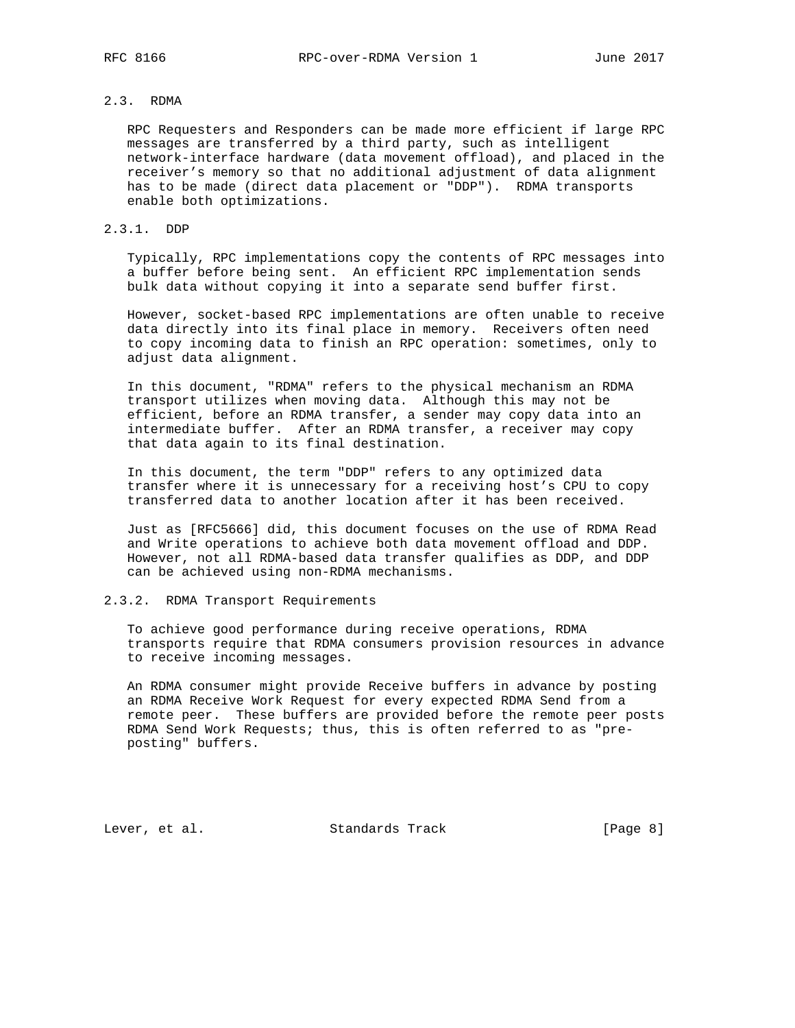# 2.3. RDMA

 RPC Requesters and Responders can be made more efficient if large RPC messages are transferred by a third party, such as intelligent network-interface hardware (data movement offload), and placed in the receiver's memory so that no additional adjustment of data alignment has to be made (direct data placement or "DDP"). RDMA transports enable both optimizations.

### 2.3.1. DDP

 Typically, RPC implementations copy the contents of RPC messages into a buffer before being sent. An efficient RPC implementation sends bulk data without copying it into a separate send buffer first.

 However, socket-based RPC implementations are often unable to receive data directly into its final place in memory. Receivers often need to copy incoming data to finish an RPC operation: sometimes, only to adjust data alignment.

 In this document, "RDMA" refers to the physical mechanism an RDMA transport utilizes when moving data. Although this may not be efficient, before an RDMA transfer, a sender may copy data into an intermediate buffer. After an RDMA transfer, a receiver may copy that data again to its final destination.

 In this document, the term "DDP" refers to any optimized data transfer where it is unnecessary for a receiving host's CPU to copy transferred data to another location after it has been received.

 Just as [RFC5666] did, this document focuses on the use of RDMA Read and Write operations to achieve both data movement offload and DDP. However, not all RDMA-based data transfer qualifies as DDP, and DDP can be achieved using non-RDMA mechanisms.

# 2.3.2. RDMA Transport Requirements

 To achieve good performance during receive operations, RDMA transports require that RDMA consumers provision resources in advance to receive incoming messages.

 An RDMA consumer might provide Receive buffers in advance by posting an RDMA Receive Work Request for every expected RDMA Send from a remote peer. These buffers are provided before the remote peer posts RDMA Send Work Requests; thus, this is often referred to as "pre posting" buffers.

Lever, et al. Standards Track [Page 8]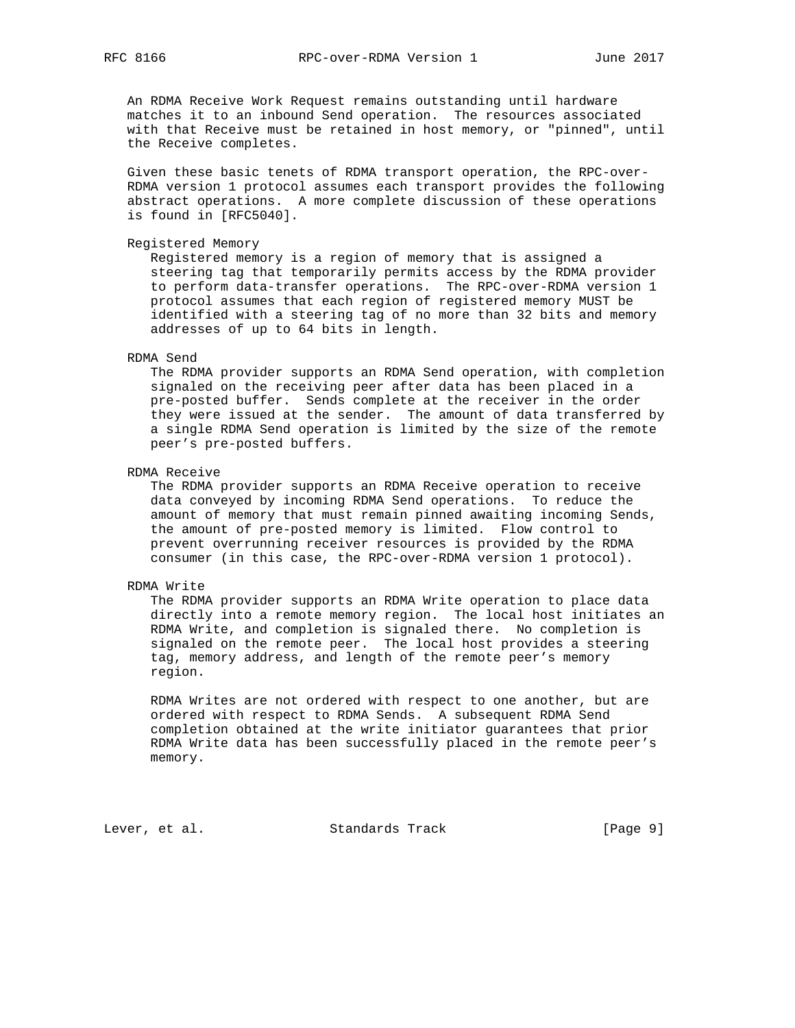An RDMA Receive Work Request remains outstanding until hardware matches it to an inbound Send operation. The resources associated with that Receive must be retained in host memory, or "pinned", until the Receive completes.

 Given these basic tenets of RDMA transport operation, the RPC-over- RDMA version 1 protocol assumes each transport provides the following abstract operations. A more complete discussion of these operations is found in [RFC5040].

Registered Memory

 Registered memory is a region of memory that is assigned a steering tag that temporarily permits access by the RDMA provider to perform data-transfer operations. The RPC-over-RDMA version 1 protocol assumes that each region of registered memory MUST be identified with a steering tag of no more than 32 bits and memory addresses of up to 64 bits in length.

### RDMA Send

 The RDMA provider supports an RDMA Send operation, with completion signaled on the receiving peer after data has been placed in a pre-posted buffer. Sends complete at the receiver in the order they were issued at the sender. The amount of data transferred by a single RDMA Send operation is limited by the size of the remote peer's pre-posted buffers.

RDMA Receive

 The RDMA provider supports an RDMA Receive operation to receive data conveyed by incoming RDMA Send operations. To reduce the amount of memory that must remain pinned awaiting incoming Sends, the amount of pre-posted memory is limited. Flow control to prevent overrunning receiver resources is provided by the RDMA consumer (in this case, the RPC-over-RDMA version 1 protocol).

## RDMA Write

 The RDMA provider supports an RDMA Write operation to place data directly into a remote memory region. The local host initiates an RDMA Write, and completion is signaled there. No completion is signaled on the remote peer. The local host provides a steering tag, memory address, and length of the remote peer's memory region.

 RDMA Writes are not ordered with respect to one another, but are ordered with respect to RDMA Sends. A subsequent RDMA Send completion obtained at the write initiator guarantees that prior RDMA Write data has been successfully placed in the remote peer's memory.

Lever, et al. Standards Track [Page 9]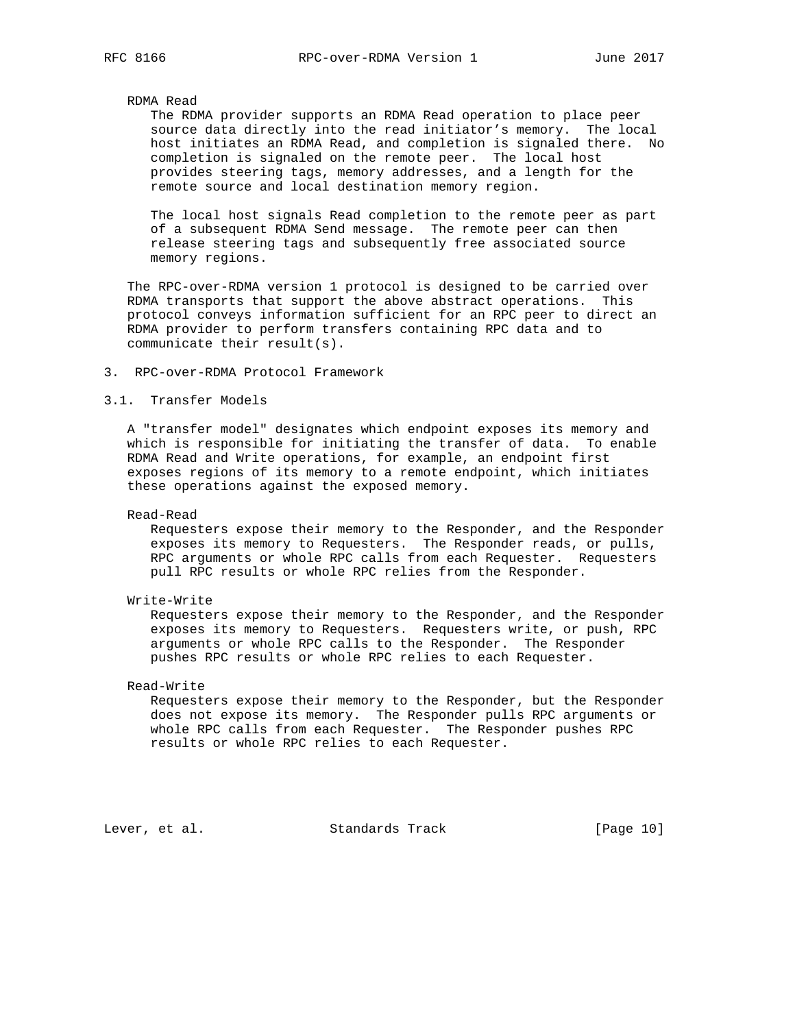# RDMA Read

 The RDMA provider supports an RDMA Read operation to place peer source data directly into the read initiator's memory. The local host initiates an RDMA Read, and completion is signaled there. No completion is signaled on the remote peer. The local host provides steering tags, memory addresses, and a length for the remote source and local destination memory region.

 The local host signals Read completion to the remote peer as part of a subsequent RDMA Send message. The remote peer can then release steering tags and subsequently free associated source memory regions.

 The RPC-over-RDMA version 1 protocol is designed to be carried over RDMA transports that support the above abstract operations. This protocol conveys information sufficient for an RPC peer to direct an RDMA provider to perform transfers containing RPC data and to communicate their result(s).

## 3. RPC-over-RDMA Protocol Framework

# 3.1. Transfer Models

 A "transfer model" designates which endpoint exposes its memory and which is responsible for initiating the transfer of data. To enable RDMA Read and Write operations, for example, an endpoint first exposes regions of its memory to a remote endpoint, which initiates these operations against the exposed memory.

Read-Read

 Requesters expose their memory to the Responder, and the Responder exposes its memory to Requesters. The Responder reads, or pulls, RPC arguments or whole RPC calls from each Requester. Requesters pull RPC results or whole RPC relies from the Responder.

Write-Write

 Requesters expose their memory to the Responder, and the Responder exposes its memory to Requesters. Requesters write, or push, RPC arguments or whole RPC calls to the Responder. The Responder pushes RPC results or whole RPC relies to each Requester.

# Read-Write

 Requesters expose their memory to the Responder, but the Responder does not expose its memory. The Responder pulls RPC arguments or whole RPC calls from each Requester. The Responder pushes RPC results or whole RPC relies to each Requester.

Lever, et al. Standards Track [Page 10]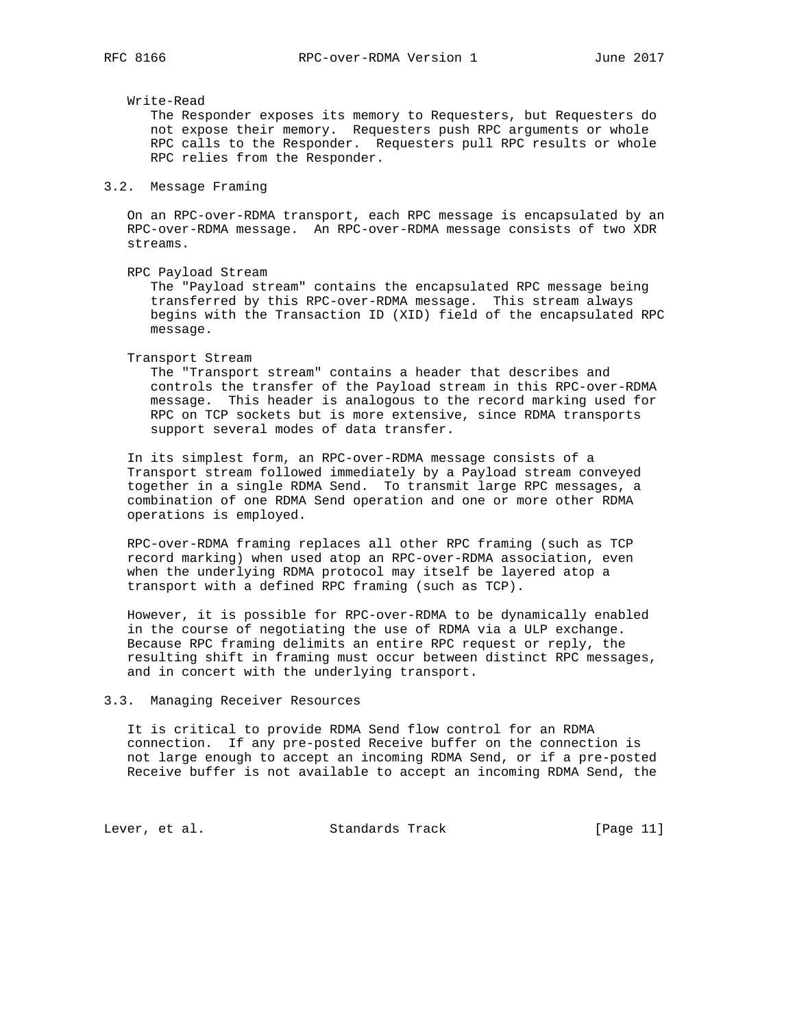Write-Read

 The Responder exposes its memory to Requesters, but Requesters do not expose their memory. Requesters push RPC arguments or whole RPC calls to the Responder. Requesters pull RPC results or whole RPC relies from the Responder.

## 3.2. Message Framing

 On an RPC-over-RDMA transport, each RPC message is encapsulated by an RPC-over-RDMA message. An RPC-over-RDMA message consists of two XDR streams.

RPC Payload Stream

 The "Payload stream" contains the encapsulated RPC message being transferred by this RPC-over-RDMA message. This stream always begins with the Transaction ID (XID) field of the encapsulated RPC message.

Transport Stream

 The "Transport stream" contains a header that describes and controls the transfer of the Payload stream in this RPC-over-RDMA message. This header is analogous to the record marking used for RPC on TCP sockets but is more extensive, since RDMA transports support several modes of data transfer.

 In its simplest form, an RPC-over-RDMA message consists of a Transport stream followed immediately by a Payload stream conveyed together in a single RDMA Send. To transmit large RPC messages, a combination of one RDMA Send operation and one or more other RDMA operations is employed.

 RPC-over-RDMA framing replaces all other RPC framing (such as TCP record marking) when used atop an RPC-over-RDMA association, even when the underlying RDMA protocol may itself be layered atop a transport with a defined RPC framing (such as TCP).

 However, it is possible for RPC-over-RDMA to be dynamically enabled in the course of negotiating the use of RDMA via a ULP exchange. Because RPC framing delimits an entire RPC request or reply, the resulting shift in framing must occur between distinct RPC messages, and in concert with the underlying transport.

#### 3.3. Managing Receiver Resources

 It is critical to provide RDMA Send flow control for an RDMA connection. If any pre-posted Receive buffer on the connection is not large enough to accept an incoming RDMA Send, or if a pre-posted Receive buffer is not available to accept an incoming RDMA Send, the

Lever, et al. Standards Track [Page 11]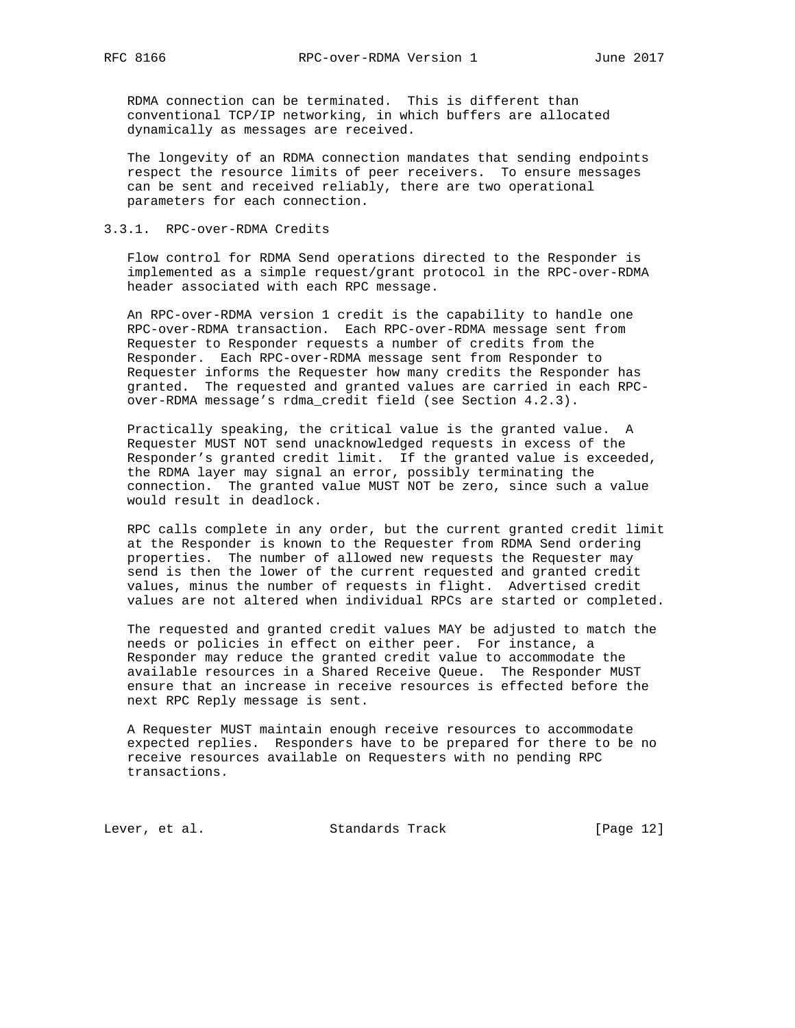RDMA connection can be terminated. This is different than conventional TCP/IP networking, in which buffers are allocated dynamically as messages are received.

 The longevity of an RDMA connection mandates that sending endpoints respect the resource limits of peer receivers. To ensure messages can be sent and received reliably, there are two operational parameters for each connection.

# 3.3.1. RPC-over-RDMA Credits

 Flow control for RDMA Send operations directed to the Responder is implemented as a simple request/grant protocol in the RPC-over-RDMA header associated with each RPC message.

 An RPC-over-RDMA version 1 credit is the capability to handle one RPC-over-RDMA transaction. Each RPC-over-RDMA message sent from Requester to Responder requests a number of credits from the Responder. Each RPC-over-RDMA message sent from Responder to Requester informs the Requester how many credits the Responder has granted. The requested and granted values are carried in each RPC over-RDMA message's rdma\_credit field (see Section 4.2.3).

 Practically speaking, the critical value is the granted value. A Requester MUST NOT send unacknowledged requests in excess of the Responder's granted credit limit. If the granted value is exceeded, the RDMA layer may signal an error, possibly terminating the connection. The granted value MUST NOT be zero, since such a value would result in deadlock.

 RPC calls complete in any order, but the current granted credit limit at the Responder is known to the Requester from RDMA Send ordering properties. The number of allowed new requests the Requester may send is then the lower of the current requested and granted credit values, minus the number of requests in flight. Advertised credit values are not altered when individual RPCs are started or completed.

 The requested and granted credit values MAY be adjusted to match the needs or policies in effect on either peer. For instance, a Responder may reduce the granted credit value to accommodate the available resources in a Shared Receive Queue. The Responder MUST ensure that an increase in receive resources is effected before the next RPC Reply message is sent.

 A Requester MUST maintain enough receive resources to accommodate expected replies. Responders have to be prepared for there to be no receive resources available on Requesters with no pending RPC transactions.

Lever, et al. Standards Track [Page 12]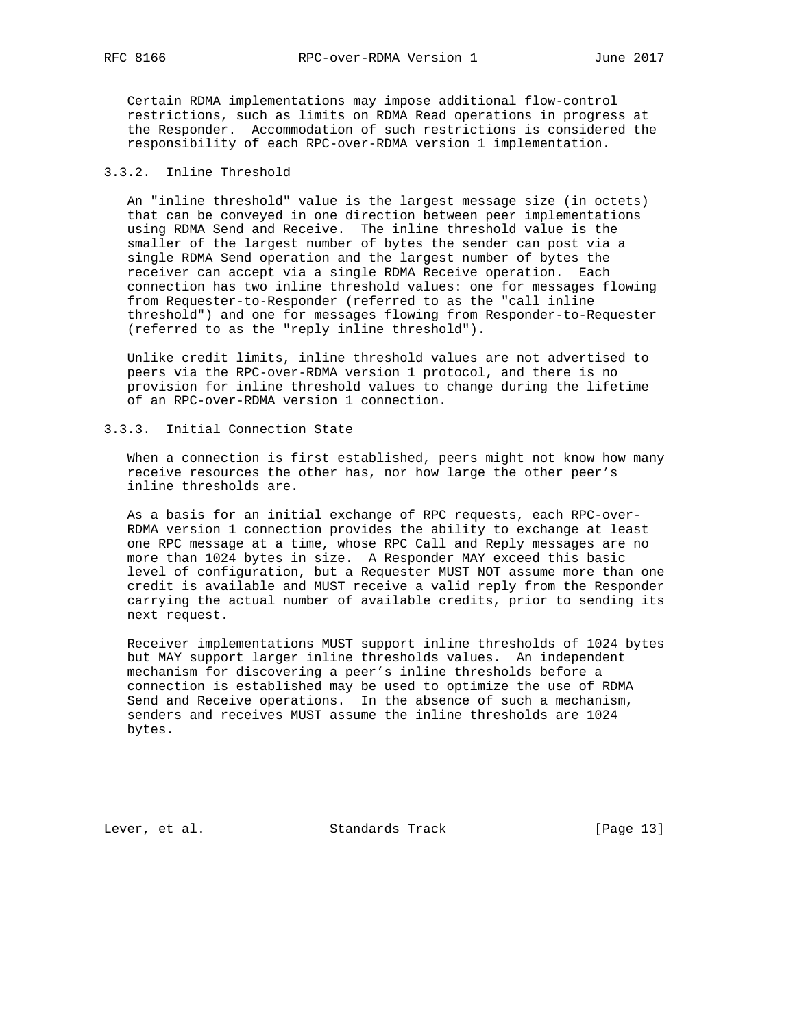Certain RDMA implementations may impose additional flow-control restrictions, such as limits on RDMA Read operations in progress at the Responder. Accommodation of such restrictions is considered the responsibility of each RPC-over-RDMA version 1 implementation.

# 3.3.2. Inline Threshold

 An "inline threshold" value is the largest message size (in octets) that can be conveyed in one direction between peer implementations using RDMA Send and Receive. The inline threshold value is the smaller of the largest number of bytes the sender can post via a single RDMA Send operation and the largest number of bytes the receiver can accept via a single RDMA Receive operation. Each connection has two inline threshold values: one for messages flowing from Requester-to-Responder (referred to as the "call inline threshold") and one for messages flowing from Responder-to-Requester (referred to as the "reply inline threshold").

 Unlike credit limits, inline threshold values are not advertised to peers via the RPC-over-RDMA version 1 protocol, and there is no provision for inline threshold values to change during the lifetime of an RPC-over-RDMA version 1 connection.

## 3.3.3. Initial Connection State

 When a connection is first established, peers might not know how many receive resources the other has, nor how large the other peer's inline thresholds are.

 As a basis for an initial exchange of RPC requests, each RPC-over- RDMA version 1 connection provides the ability to exchange at least one RPC message at a time, whose RPC Call and Reply messages are no more than 1024 bytes in size. A Responder MAY exceed this basic level of configuration, but a Requester MUST NOT assume more than one credit is available and MUST receive a valid reply from the Responder carrying the actual number of available credits, prior to sending its next request.

 Receiver implementations MUST support inline thresholds of 1024 bytes but MAY support larger inline thresholds values. An independent mechanism for discovering a peer's inline thresholds before a connection is established may be used to optimize the use of RDMA Send and Receive operations. In the absence of such a mechanism, senders and receives MUST assume the inline thresholds are 1024 bytes.

Lever, et al. Standards Track [Page 13]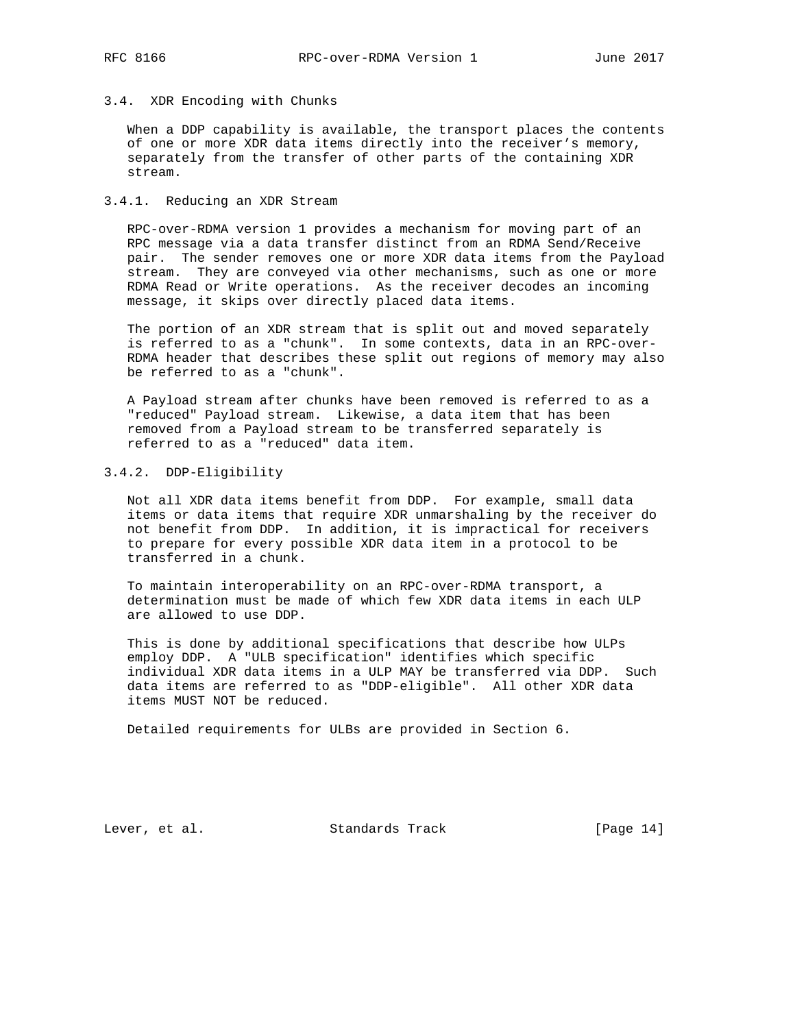# 3.4. XDR Encoding with Chunks

 When a DDP capability is available, the transport places the contents of one or more XDR data items directly into the receiver's memory, separately from the transfer of other parts of the containing XDR stream.

#### 3.4.1. Reducing an XDR Stream

 RPC-over-RDMA version 1 provides a mechanism for moving part of an RPC message via a data transfer distinct from an RDMA Send/Receive pair. The sender removes one or more XDR data items from the Payload stream. They are conveyed via other mechanisms, such as one or more RDMA Read or Write operations. As the receiver decodes an incoming message, it skips over directly placed data items.

 The portion of an XDR stream that is split out and moved separately is referred to as a "chunk". In some contexts, data in an RPC-over- RDMA header that describes these split out regions of memory may also be referred to as a "chunk".

 A Payload stream after chunks have been removed is referred to as a "reduced" Payload stream. Likewise, a data item that has been removed from a Payload stream to be transferred separately is referred to as a "reduced" data item.

# 3.4.2. DDP-Eligibility

 Not all XDR data items benefit from DDP. For example, small data items or data items that require XDR unmarshaling by the receiver do not benefit from DDP. In addition, it is impractical for receivers to prepare for every possible XDR data item in a protocol to be transferred in a chunk.

 To maintain interoperability on an RPC-over-RDMA transport, a determination must be made of which few XDR data items in each ULP are allowed to use DDP.

 This is done by additional specifications that describe how ULPs employ DDP. A "ULB specification" identifies which specific individual XDR data items in a ULP MAY be transferred via DDP. Such data items are referred to as "DDP-eligible". All other XDR data items MUST NOT be reduced.

Detailed requirements for ULBs are provided in Section 6.

Lever, et al. Standards Track [Page 14]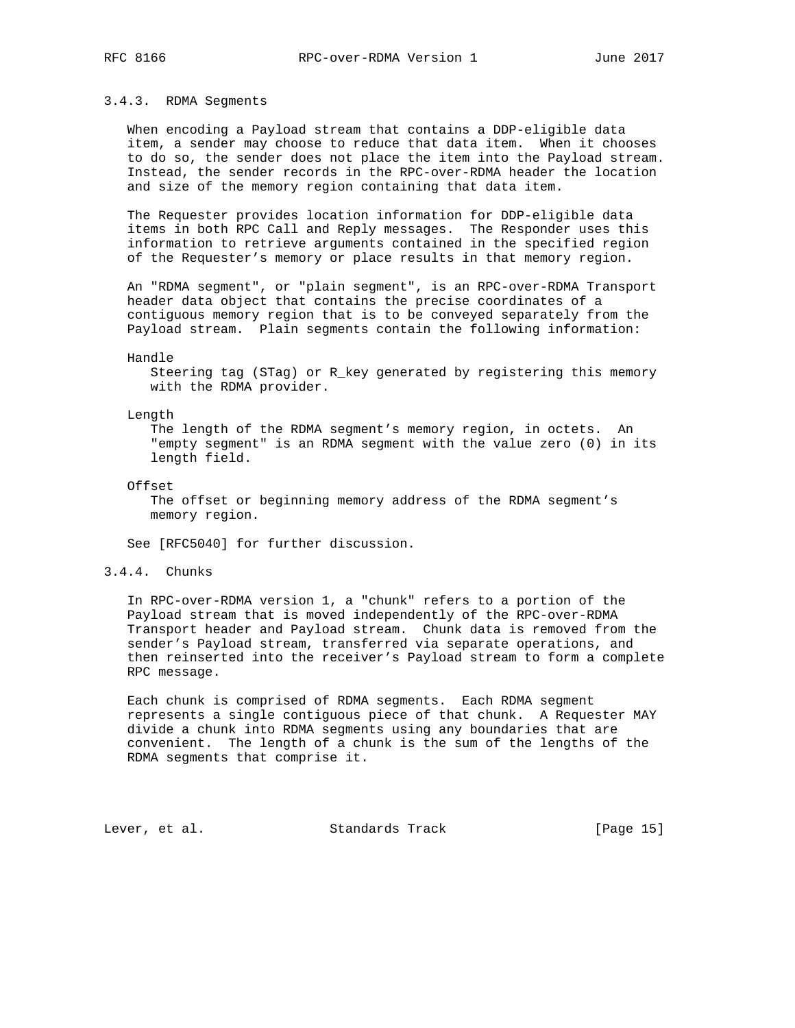# 3.4.3. RDMA Segments

 When encoding a Payload stream that contains a DDP-eligible data item, a sender may choose to reduce that data item. When it chooses to do so, the sender does not place the item into the Payload stream. Instead, the sender records in the RPC-over-RDMA header the location and size of the memory region containing that data item.

 The Requester provides location information for DDP-eligible data items in both RPC Call and Reply messages. The Responder uses this information to retrieve arguments contained in the specified region of the Requester's memory or place results in that memory region.

 An "RDMA segment", or "plain segment", is an RPC-over-RDMA Transport header data object that contains the precise coordinates of a contiguous memory region that is to be conveyed separately from the Payload stream. Plain segments contain the following information:

#### Handle

 Steering tag (STag) or R\_key generated by registering this memory with the RDMA provider.

#### Length

 The length of the RDMA segment's memory region, in octets. An "empty segment" is an RDMA segment with the value zero (0) in its length field.

Offset

 The offset or beginning memory address of the RDMA segment's memory region.

See [RFC5040] for further discussion.

3.4.4. Chunks

 In RPC-over-RDMA version 1, a "chunk" refers to a portion of the Payload stream that is moved independently of the RPC-over-RDMA Transport header and Payload stream. Chunk data is removed from the sender's Payload stream, transferred via separate operations, and then reinserted into the receiver's Payload stream to form a complete RPC message.

 Each chunk is comprised of RDMA segments. Each RDMA segment represents a single contiguous piece of that chunk. A Requester MAY divide a chunk into RDMA segments using any boundaries that are convenient. The length of a chunk is the sum of the lengths of the RDMA segments that comprise it.

Lever, et al. Standards Track [Page 15]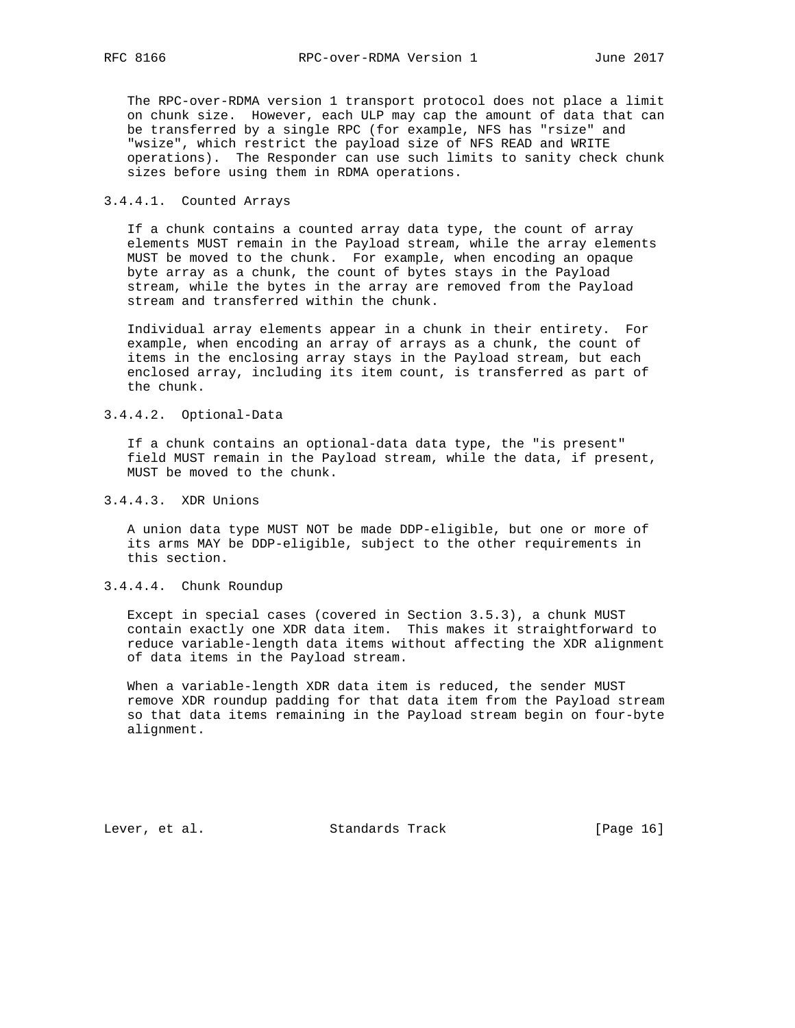The RPC-over-RDMA version 1 transport protocol does not place a limit on chunk size. However, each ULP may cap the amount of data that can be transferred by a single RPC (for example, NFS has "rsize" and "wsize", which restrict the payload size of NFS READ and WRITE operations). The Responder can use such limits to sanity check chunk sizes before using them in RDMA operations.

#### 3.4.4.1. Counted Arrays

 If a chunk contains a counted array data type, the count of array elements MUST remain in the Payload stream, while the array elements MUST be moved to the chunk. For example, when encoding an opaque byte array as a chunk, the count of bytes stays in the Payload stream, while the bytes in the array are removed from the Payload stream and transferred within the chunk.

 Individual array elements appear in a chunk in their entirety. For example, when encoding an array of arrays as a chunk, the count of items in the enclosing array stays in the Payload stream, but each enclosed array, including its item count, is transferred as part of the chunk.

# 3.4.4.2. Optional-Data

 If a chunk contains an optional-data data type, the "is present" field MUST remain in the Payload stream, while the data, if present, MUST be moved to the chunk.

# 3.4.4.3. XDR Unions

 A union data type MUST NOT be made DDP-eligible, but one or more of its arms MAY be DDP-eligible, subject to the other requirements in this section.

# 3.4.4.4. Chunk Roundup

 Except in special cases (covered in Section 3.5.3), a chunk MUST contain exactly one XDR data item. This makes it straightforward to reduce variable-length data items without affecting the XDR alignment of data items in the Payload stream.

 When a variable-length XDR data item is reduced, the sender MUST remove XDR roundup padding for that data item from the Payload stream so that data items remaining in the Payload stream begin on four-byte alignment.

Lever, et al. Standards Track [Page 16]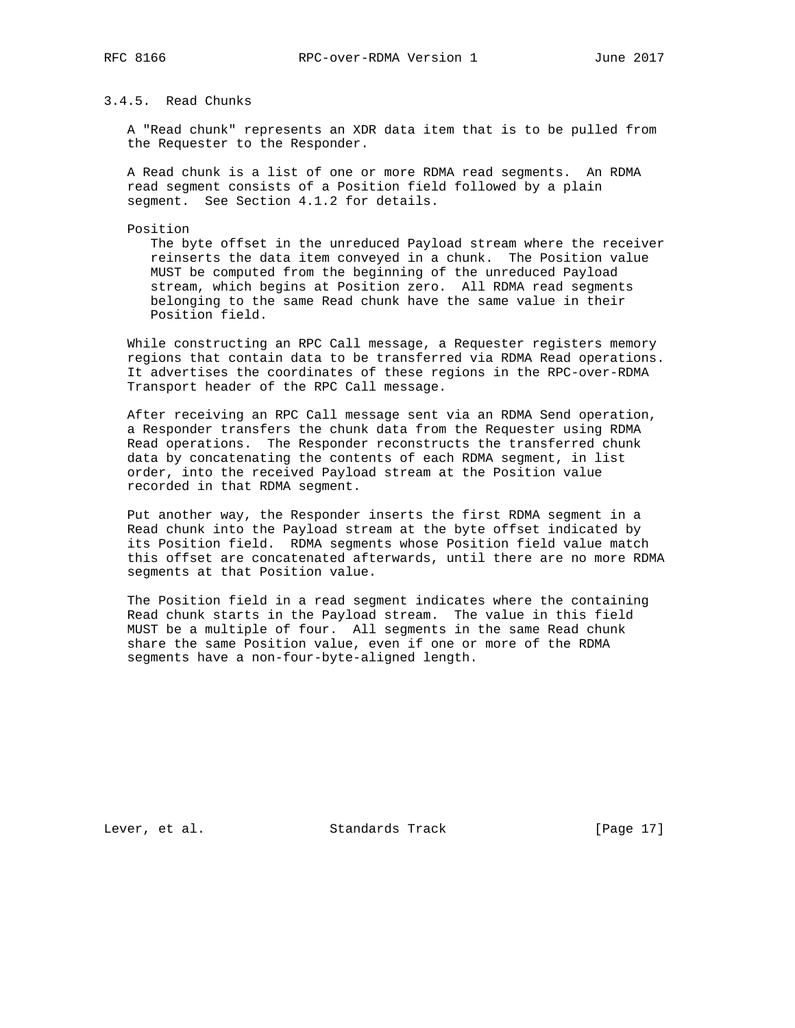# 3.4.5. Read Chunks

 A "Read chunk" represents an XDR data item that is to be pulled from the Requester to the Responder.

 A Read chunk is a list of one or more RDMA read segments. An RDMA read segment consists of a Position field followed by a plain segment. See Section 4.1.2 for details.

Position

 The byte offset in the unreduced Payload stream where the receiver reinserts the data item conveyed in a chunk. The Position value MUST be computed from the beginning of the unreduced Payload stream, which begins at Position zero. All RDMA read segments belonging to the same Read chunk have the same value in their Position field.

 While constructing an RPC Call message, a Requester registers memory regions that contain data to be transferred via RDMA Read operations. It advertises the coordinates of these regions in the RPC-over-RDMA Transport header of the RPC Call message.

 After receiving an RPC Call message sent via an RDMA Send operation, a Responder transfers the chunk data from the Requester using RDMA Read operations. The Responder reconstructs the transferred chunk data by concatenating the contents of each RDMA segment, in list order, into the received Payload stream at the Position value recorded in that RDMA segment.

 Put another way, the Responder inserts the first RDMA segment in a Read chunk into the Payload stream at the byte offset indicated by its Position field. RDMA segments whose Position field value match this offset are concatenated afterwards, until there are no more RDMA segments at that Position value.

 The Position field in a read segment indicates where the containing Read chunk starts in the Payload stream. The value in this field MUST be a multiple of four. All segments in the same Read chunk share the same Position value, even if one or more of the RDMA segments have a non-four-byte-aligned length.

Lever, et al. Standards Track [Page 17]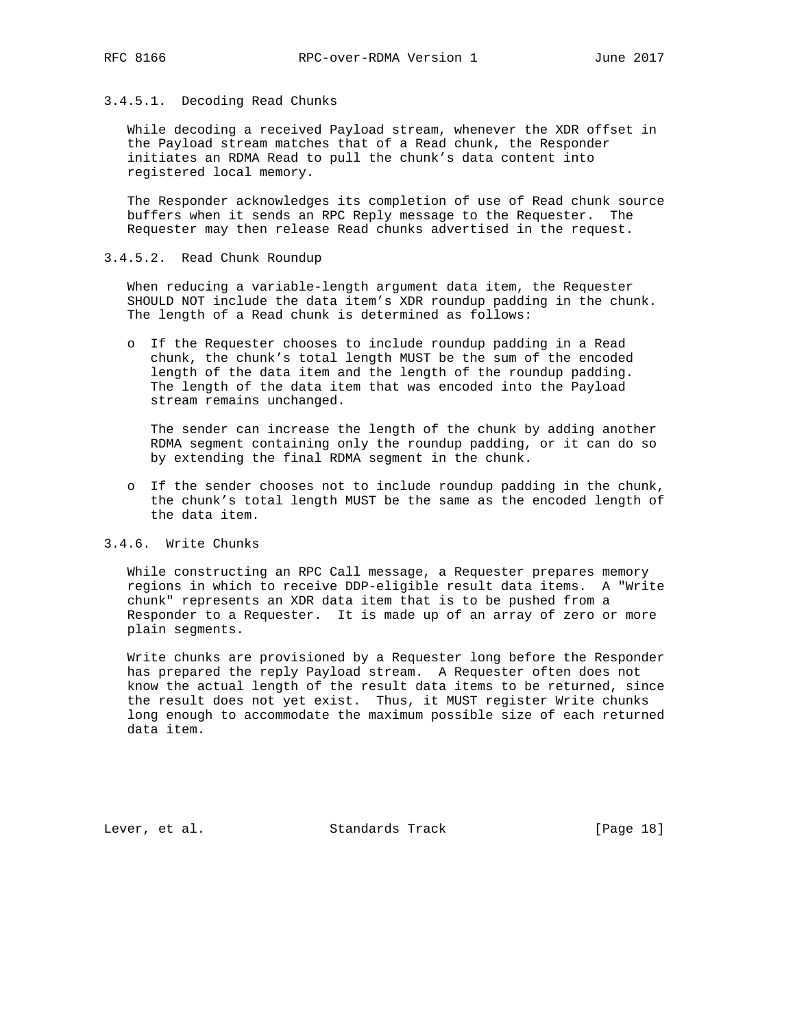# 3.4.5.1. Decoding Read Chunks

 While decoding a received Payload stream, whenever the XDR offset in the Payload stream matches that of a Read chunk, the Responder initiates an RDMA Read to pull the chunk's data content into registered local memory.

 The Responder acknowledges its completion of use of Read chunk source buffers when it sends an RPC Reply message to the Requester. The Requester may then release Read chunks advertised in the request.

## 3.4.5.2. Read Chunk Roundup

 When reducing a variable-length argument data item, the Requester SHOULD NOT include the data item's XDR roundup padding in the chunk. The length of a Read chunk is determined as follows:

 o If the Requester chooses to include roundup padding in a Read chunk, the chunk's total length MUST be the sum of the encoded length of the data item and the length of the roundup padding. The length of the data item that was encoded into the Payload stream remains unchanged.

 The sender can increase the length of the chunk by adding another RDMA segment containing only the roundup padding, or it can do so by extending the final RDMA segment in the chunk.

 o If the sender chooses not to include roundup padding in the chunk, the chunk's total length MUST be the same as the encoded length of the data item.

# 3.4.6. Write Chunks

 While constructing an RPC Call message, a Requester prepares memory regions in which to receive DDP-eligible result data items. A "Write chunk" represents an XDR data item that is to be pushed from a Responder to a Requester. It is made up of an array of zero or more plain segments.

 Write chunks are provisioned by a Requester long before the Responder has prepared the reply Payload stream. A Requester often does not know the actual length of the result data items to be returned, since the result does not yet exist. Thus, it MUST register Write chunks long enough to accommodate the maximum possible size of each returned data item.

Lever, et al. Standards Track [Page 18]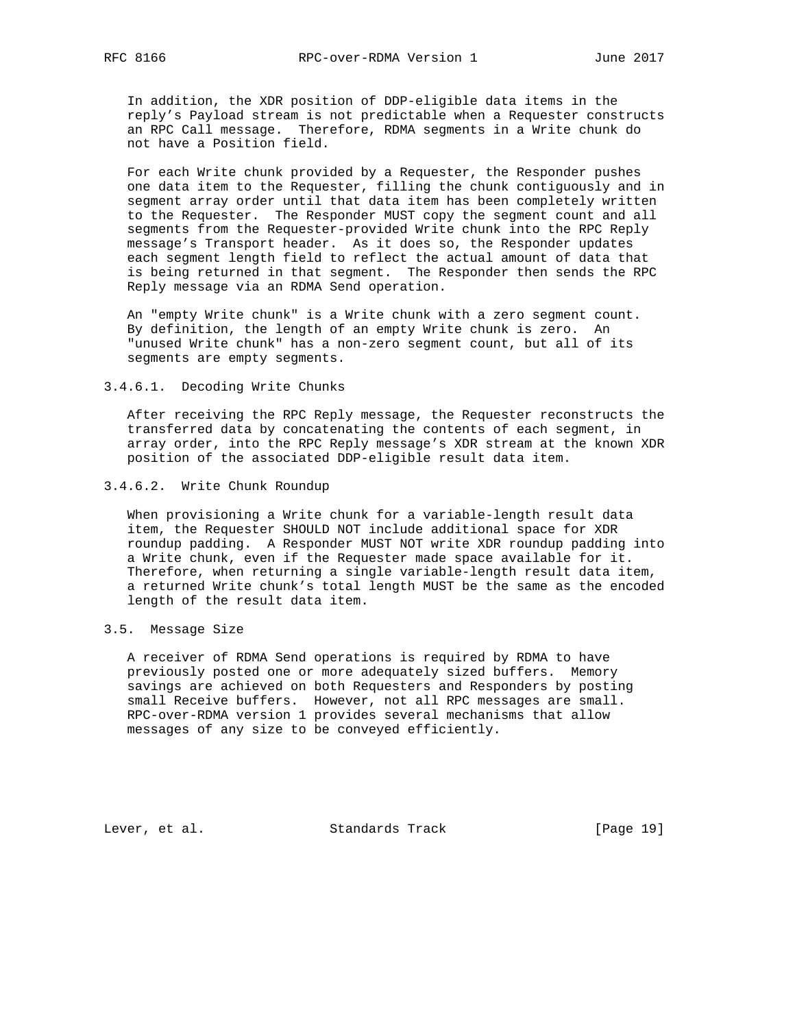In addition, the XDR position of DDP-eligible data items in the reply's Payload stream is not predictable when a Requester constructs an RPC Call message. Therefore, RDMA segments in a Write chunk do not have a Position field.

 For each Write chunk provided by a Requester, the Responder pushes one data item to the Requester, filling the chunk contiguously and in segment array order until that data item has been completely written to the Requester. The Responder MUST copy the segment count and all segments from the Requester-provided Write chunk into the RPC Reply message's Transport header. As it does so, the Responder updates each segment length field to reflect the actual amount of data that is being returned in that segment. The Responder then sends the RPC Reply message via an RDMA Send operation.

 An "empty Write chunk" is a Write chunk with a zero segment count. By definition, the length of an empty Write chunk is zero. An "unused Write chunk" has a non-zero segment count, but all of its segments are empty segments.

#### 3.4.6.1. Decoding Write Chunks

 After receiving the RPC Reply message, the Requester reconstructs the transferred data by concatenating the contents of each segment, in array order, into the RPC Reply message's XDR stream at the known XDR position of the associated DDP-eligible result data item.

### 3.4.6.2. Write Chunk Roundup

 When provisioning a Write chunk for a variable-length result data item, the Requester SHOULD NOT include additional space for XDR roundup padding. A Responder MUST NOT write XDR roundup padding into a Write chunk, even if the Requester made space available for it. Therefore, when returning a single variable-length result data item, a returned Write chunk's total length MUST be the same as the encoded length of the result data item.

# 3.5. Message Size

 A receiver of RDMA Send operations is required by RDMA to have previously posted one or more adequately sized buffers. Memory savings are achieved on both Requesters and Responders by posting small Receive buffers. However, not all RPC messages are small. RPC-over-RDMA version 1 provides several mechanisms that allow messages of any size to be conveyed efficiently.

Lever, et al. Standards Track [Page 19]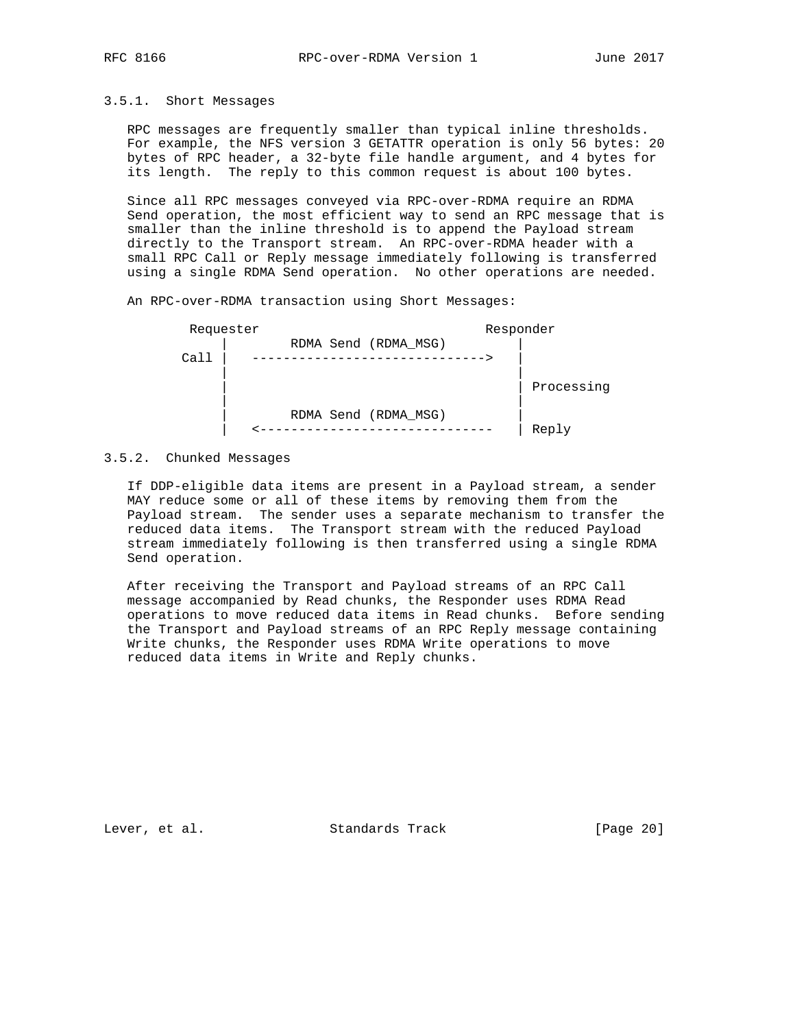## 3.5.1. Short Messages

 RPC messages are frequently smaller than typical inline thresholds. For example, the NFS version 3 GETATTR operation is only 56 bytes: 20 bytes of RPC header, a 32-byte file handle argument, and 4 bytes for its length. The reply to this common request is about 100 bytes.

 Since all RPC messages conveyed via RPC-over-RDMA require an RDMA Send operation, the most efficient way to send an RPC message that is smaller than the inline threshold is to append the Payload stream directly to the Transport stream. An RPC-over-RDMA header with a small RPC Call or Reply message immediately following is transferred using a single RDMA Send operation. No other operations are needed.

An RPC-over-RDMA transaction using Short Messages:



### 3.5.2. Chunked Messages

 If DDP-eligible data items are present in a Payload stream, a sender MAY reduce some or all of these items by removing them from the Payload stream. The sender uses a separate mechanism to transfer the reduced data items. The Transport stream with the reduced Payload stream immediately following is then transferred using a single RDMA Send operation.

 After receiving the Transport and Payload streams of an RPC Call message accompanied by Read chunks, the Responder uses RDMA Read operations to move reduced data items in Read chunks. Before sending the Transport and Payload streams of an RPC Reply message containing Write chunks, the Responder uses RDMA Write operations to move reduced data items in Write and Reply chunks.

Lever, et al. Standards Track [Page 20]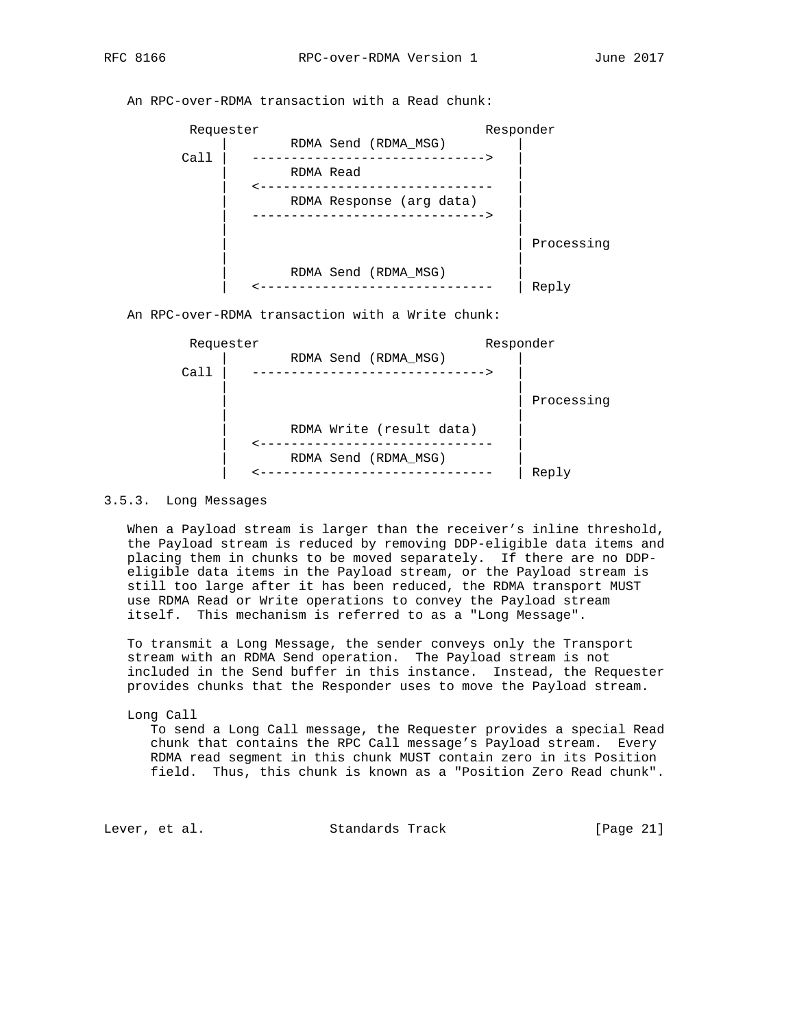Requester Responder | RDMA Send (RDMA\_MSG) | ---------------------------------> | RDMA Read | | <------------------------------ | RDMA Response (arg data) | ------------------------------> | | | | Processing | | | RDMA Send (RDMA\_MSG) | | <------------------------------ | Reply An RPC-over-RDMA transaction with a Write chunk:



An RPC-over-RDMA transaction with a Read chunk:

# 3.5.3. Long Messages

 When a Payload stream is larger than the receiver's inline threshold, the Payload stream is reduced by removing DDP-eligible data items and placing them in chunks to be moved separately. If there are no DDP eligible data items in the Payload stream, or the Payload stream is still too large after it has been reduced, the RDMA transport MUST use RDMA Read or Write operations to convey the Payload stream itself. This mechanism is referred to as a "Long Message".

 To transmit a Long Message, the sender conveys only the Transport stream with an RDMA Send operation. The Payload stream is not included in the Send buffer in this instance. Instead, the Requester provides chunks that the Responder uses to move the Payload stream.

#### Long Call

 To send a Long Call message, the Requester provides a special Read chunk that contains the RPC Call message's Payload stream. Every RDMA read segment in this chunk MUST contain zero in its Position field. Thus, this chunk is known as a "Position Zero Read chunk".

Lever, et al. Standards Track [Page 21]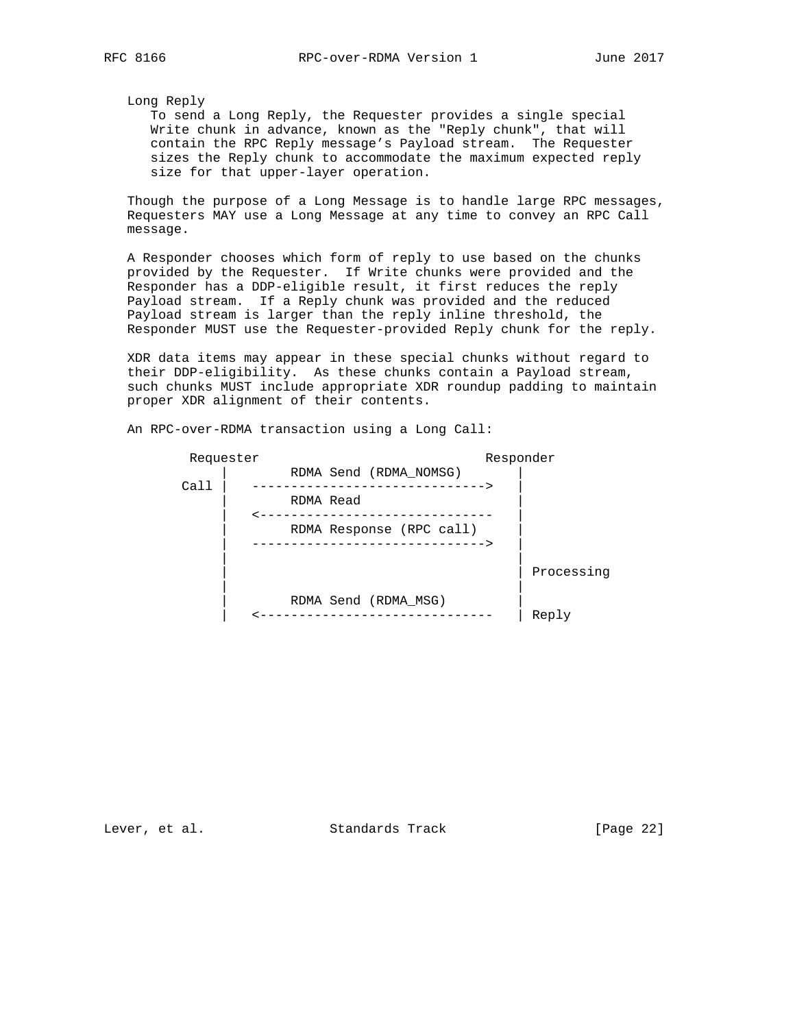Long Reply

 To send a Long Reply, the Requester provides a single special Write chunk in advance, known as the "Reply chunk", that will contain the RPC Reply message's Payload stream. The Requester sizes the Reply chunk to accommodate the maximum expected reply size for that upper-layer operation.

 Though the purpose of a Long Message is to handle large RPC messages, Requesters MAY use a Long Message at any time to convey an RPC Call message.

 A Responder chooses which form of reply to use based on the chunks provided by the Requester. If Write chunks were provided and the Responder has a DDP-eligible result, it first reduces the reply Payload stream. If a Reply chunk was provided and the reduced Payload stream is larger than the reply inline threshold, the Responder MUST use the Requester-provided Reply chunk for the reply.

 XDR data items may appear in these special chunks without regard to their DDP-eligibility. As these chunks contain a Payload stream, such chunks MUST include appropriate XDR roundup padding to maintain proper XDR alignment of their contents.

| Requester |                                                           | Responder  |
|-----------|-----------------------------------------------------------|------------|
|           | RDMA Send (RDMA NOMSG)                                    |            |
| Call      | -------------------<br>RDMA Read                          |            |
|           | RDMA Response (RPC call)<br>----------------------------- |            |
|           |                                                           | Processing |
|           | RDMA Send (RDMA MSG)                                      | Reply      |

An RPC-over-RDMA transaction using a Long Call:

Lever, et al. Standards Track [Page 22]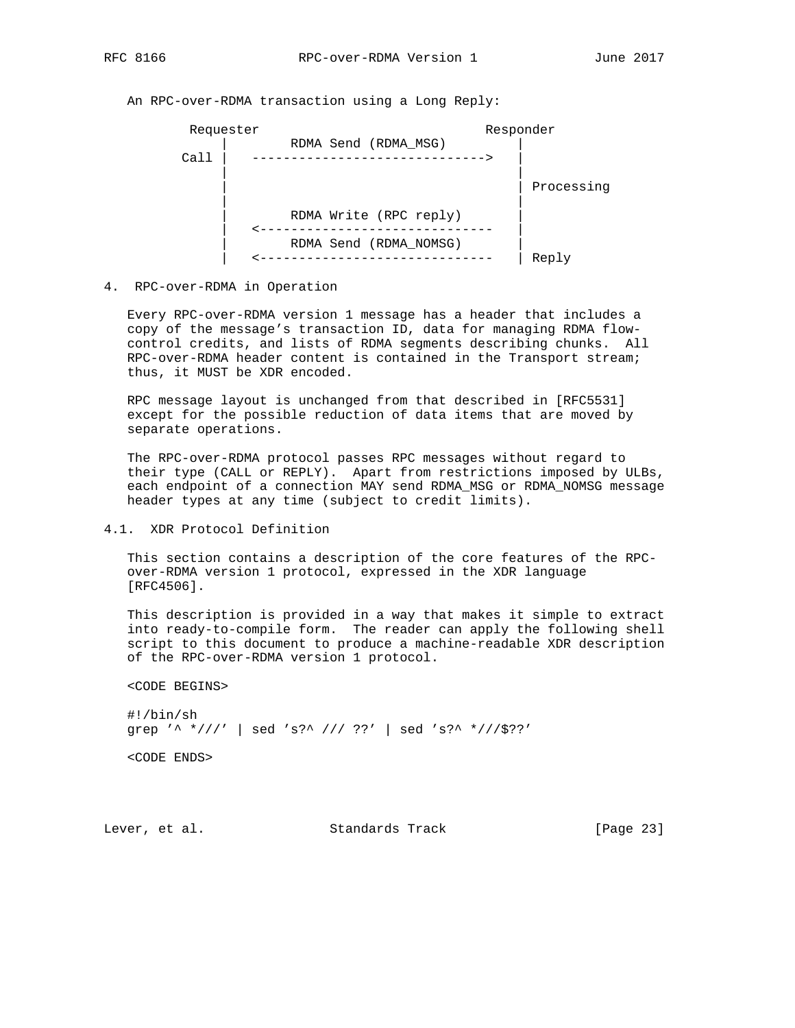An RPC-over-RDMA transaction using a Long Reply:



#### 4. RPC-over-RDMA in Operation

 Every RPC-over-RDMA version 1 message has a header that includes a copy of the message's transaction ID, data for managing RDMA flow control credits, and lists of RDMA segments describing chunks. All RPC-over-RDMA header content is contained in the Transport stream; thus, it MUST be XDR encoded.

 RPC message layout is unchanged from that described in [RFC5531] except for the possible reduction of data items that are moved by separate operations.

 The RPC-over-RDMA protocol passes RPC messages without regard to their type (CALL or REPLY). Apart from restrictions imposed by ULBs, each endpoint of a connection MAY send RDMA\_MSG or RDMA\_NOMSG message header types at any time (subject to credit limits).

4.1. XDR Protocol Definition

 This section contains a description of the core features of the RPC over-RDMA version 1 protocol, expressed in the XDR language [RFC4506].

 This description is provided in a way that makes it simple to extract into ready-to-compile form. The reader can apply the following shell script to this document to produce a machine-readable XDR description of the RPC-over-RDMA version 1 protocol.

```
 <CODE BEGINS>
```

```
 #!/bin/sh
 grep '^ *///' | sed 's?^ /// ??' | sed 's?^ *///$??'
```
<CODE ENDS>

Lever, et al. Standards Track [Page 23]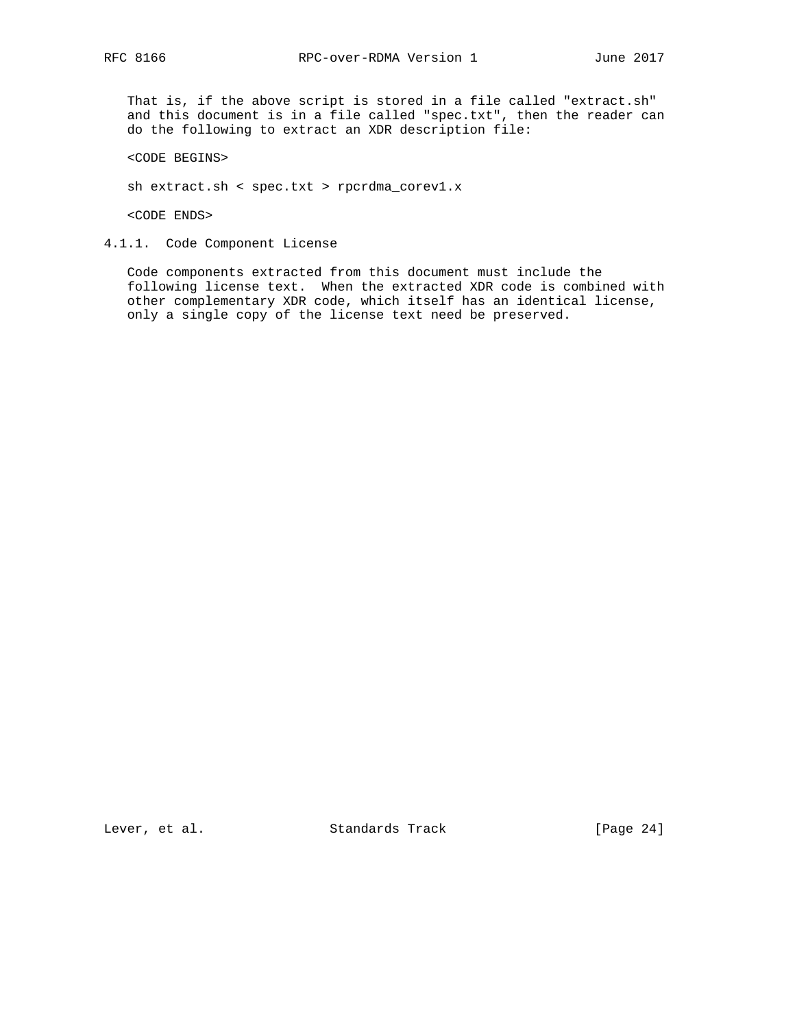That is, if the above script is stored in a file called "extract.sh" and this document is in a file called "spec.txt", then the reader can do the following to extract an XDR description file:

<CODE BEGINS>

sh extract.sh < spec.txt > rpcrdma\_corev1.x

<CODE ENDS>

4.1.1. Code Component License

 Code components extracted from this document must include the following license text. When the extracted XDR code is combined with other complementary XDR code, which itself has an identical license, only a single copy of the license text need be preserved.

Lever, et al. Standards Track [Page 24]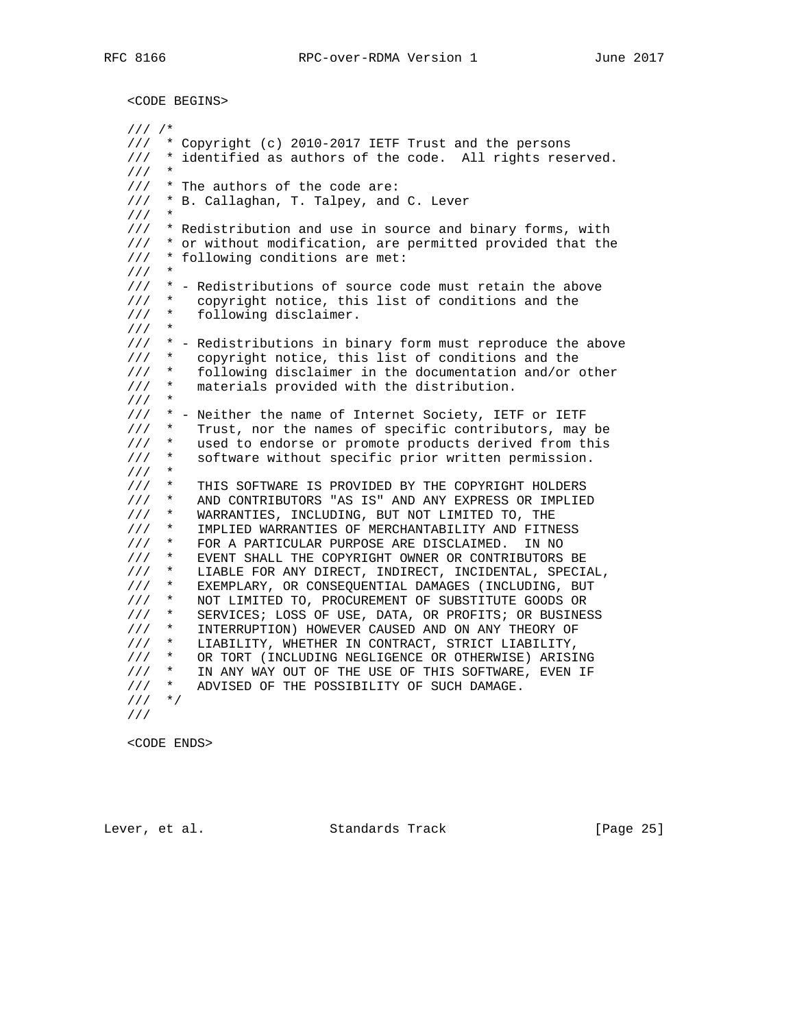<CODE BEGINS>

 /// /\* /// \* Copyright (c) 2010-2017 IETF Trust and the persons /// \* identified as authors of the code. All rights reserved.  $1/1$  /// \* The authors of the code are: /// \* B. Callaghan, T. Talpey, and C. Lever  $1/1$  /// \* Redistribution and use in source and binary forms, with /// \* or without modification, are permitted provided that the /// \* following conditions are met:  $1/1$ ///  $*$  - Redistributions of source code must retain the above ///  $*$  copyright notice, this list of conditions and the copyright notice, this list of conditions and the /// \* following disclaimer.  $///$  /// \* - Redistributions in binary form must reproduce the above /// \* copyright notice, this list of conditions and the /// \* following disclaimer in the documentation and/or other /// \* materials provided with the distribution. /// \* /// \* - Neither the name of Internet Society, IETF or IETF /// \* Trust, nor the names of specific contributors, may be /// \* used to endorse or promote products derived from this /// \* software without specific prior written permission. /// \* /// \* THIS SOFTWARE IS PROVIDED BY THE COPYRIGHT HOLDERS /// \* AND CONTRIBUTORS "AS IS" AND ANY EXPRESS OR IMPLIED /// \* WARRANTIES, INCLUDING, BUT NOT LIMITED TO, THE /// \* IMPLIED WARRANTIES OF MERCHANTABILITY AND FITNESS /// \* FOR A PARTICULAR PURPOSE ARE DISCLAIMED. IN NO /// \* EVENT SHALL THE COPYRIGHT OWNER OR CONTRIBUTORS BE /// \* LIABLE FOR ANY DIRECT, INDIRECT, INCIDENTAL, SPECIAL, /// \* EXEMPLARY, OR CONSEQUENTIAL DAMAGES (INCLUDING, BUT /// \* NOT LIMITED TO, PROCUREMENT OF SUBSTITUTE GOODS OR /// \* SERVICES; LOSS OF USE, DATA, OR PROFITS; OR BUSINESS /// \* INTERRUPTION) HOWEVER CAUSED AND ON ANY THEORY OF /// \* LIABILITY, WHETHER IN CONTRACT, STRICT LIABILITY, /// \* OR TORT (INCLUDING NEGLIGENCE OR OTHERWISE) ARISING /// \* IN ANY WAY OUT OF THE USE OF THIS SOFTWARE, EVEN IF /// \* ADVISED OF THE POSSIBILITY OF SUCH DAMAGE. /// \*/ ///

<CODE ENDS>

Lever, et al. Standards Track [Page 25]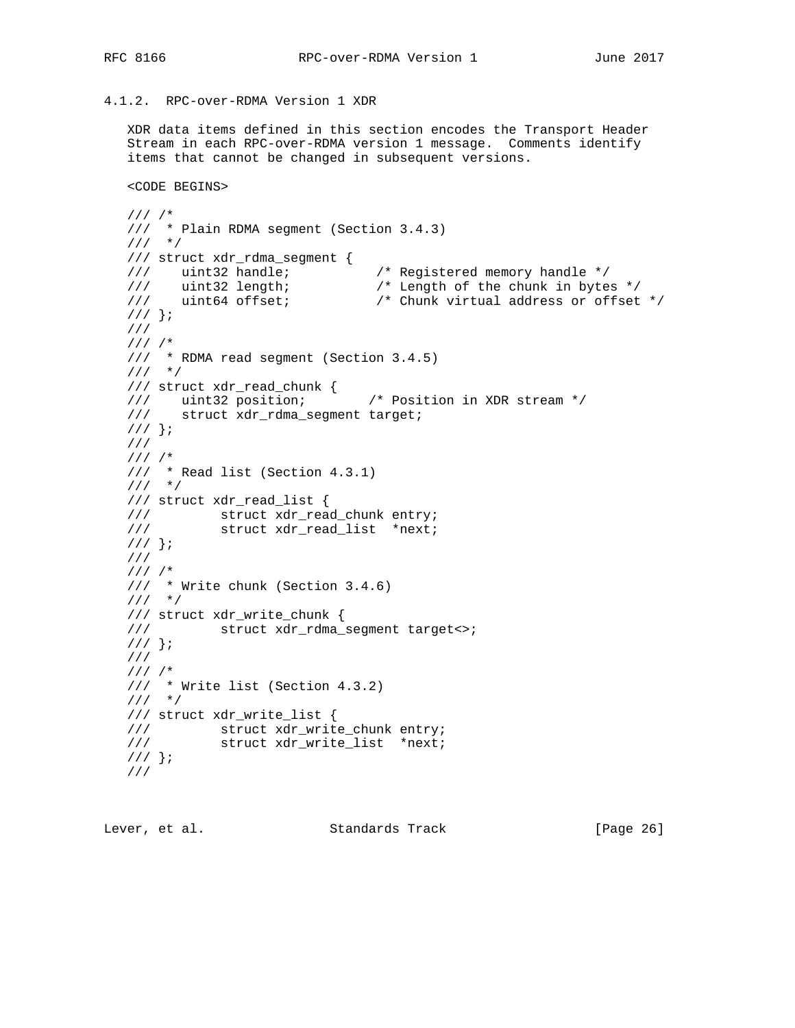# 4.1.2. RPC-over-RDMA Version 1 XDR

 XDR data items defined in this section encodes the Transport Header Stream in each RPC-over-RDMA version 1 message. Comments identify items that cannot be changed in subsequent versions.

```
 <CODE BEGINS>
```

```
 /// /*
   /// * Plain RDMA segment (Section 3.4.3)
   /// */
   /// struct xdr_rdma_segment {
 /// uint32 handle; /* Registered memory handle */
 /// uint32 length; /* Length of the chunk in bytes */
 /// uint64 offset; /* Chunk virtual address or offset */
   /// };
   ///
   /// /*
   /// * RDMA read segment (Section 3.4.5)
   /// */
   /// struct xdr_read_chunk {
 /// uint32 position; /* Position in XDR stream */
 /// struct xdr_rdma_segment target;
   /// };
   ///
   /// /*
 /// * Read list (Section 4.3.1)
/// */
   /// struct xdr_read_list {
  /// struct xdr_read_chunk entry;<br>/// struct xdr_read_list *next;
            struct xdr_read_list *next;
   /// };
   ///
   /// /*
 /// * Write chunk (Section 3.4.6)
/// */
   /// struct xdr_write_chunk {
   /// struct xdr_rdma_segment target<>;
   /// };
   ///
   /// /*
   /// * Write list (Section 4.3.2)
   /// */
   /// struct xdr_write_list {
   /// struct xdr_write_chunk entry;
            struct xdr_write_list *next;
   /// };
   ///
```

| Standards Track<br>Lever, et al. | [Page 26] |
|----------------------------------|-----------|
|----------------------------------|-----------|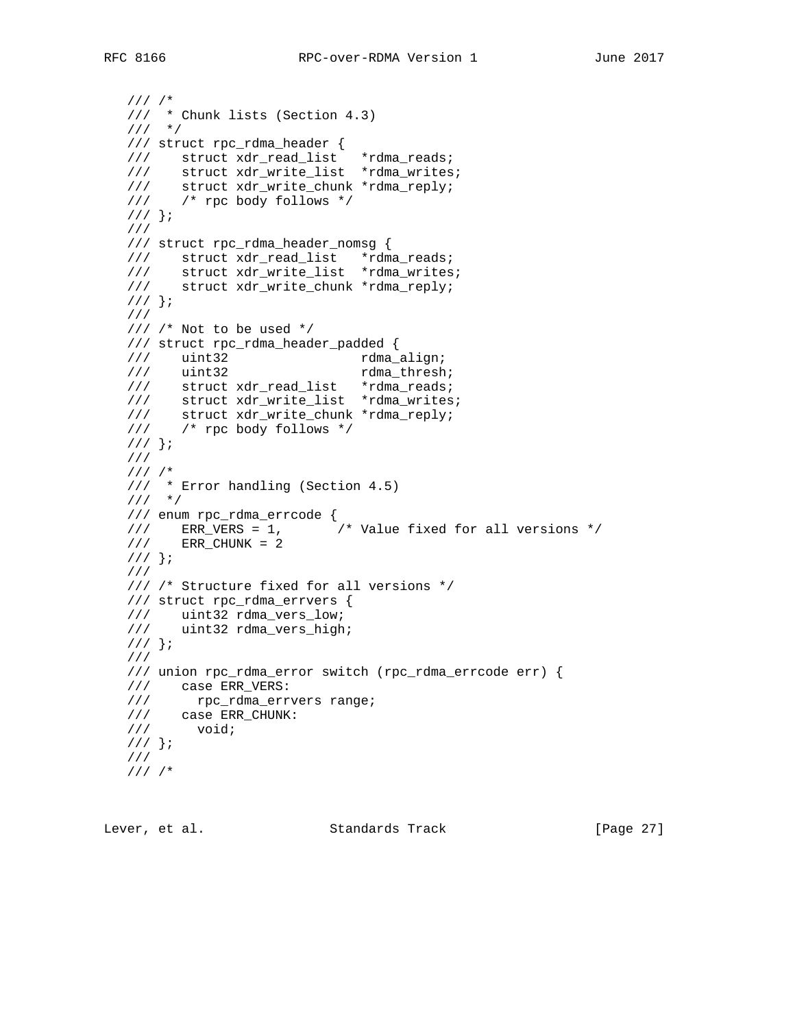```
 /// /*
   /// * Chunk lists (Section 4.3)
   /// */
 /// struct rpc_rdma_header {
 /// struct xdr_read_list *rdma_reads;
 /// struct xdr_write_list *rdma_writes;
 /// struct xdr_write_chunk *rdma_reply;
 /// /* rpc body follows */
  11/ } ;
   ///
   /// struct rpc_rdma_header_nomsg {
   /// struct xdr_read_list *rdma_reads;
 /// struct xdr_write_list *rdma_writes;
 /// struct xdr_write_chunk *rdma_reply;
   /// };
   ///
   /// /* Not to be used */
   /// struct rpc_rdma_header_padded {
  /// uint32 rdma_align;<br>/// uint32 rdma_align;
/// uint32 rdma_thresh;
/// struct xdr_read_list *rdma_reads;
 /// struct xdr_write_list *rdma_writes;
 /// struct xdr_write_chunk *rdma_reply;
 /// /* rpc body follows */
   /// };
   ///
  11/1 /// * Error handling (Section 4.5)
/// */
   /// enum rpc_rdma_errcode {
 /// ERR_VERS = 1, /* Value fixed for all versions */
 /// ERR_CHUNK = 2
  /// } ;
   ///
   /// /* Structure fixed for all versions */
   /// struct rpc_rdma_errvers {
 /// uint32 rdma_vers_low;
 /// uint32 rdma_vers_high;
  \left\{ \frac{1}{2} \right\} ;
   ///
   /// union rpc_rdma_error switch (rpc_rdma_errcode err) {
   /// case ERR_VERS:
/// rpc_rdma_errvers range;
 /// case ERR_CHUNK:
 /// void;
   /// };
   ///
   /// /*
```
Lever, et al. Standards Track [Page 27]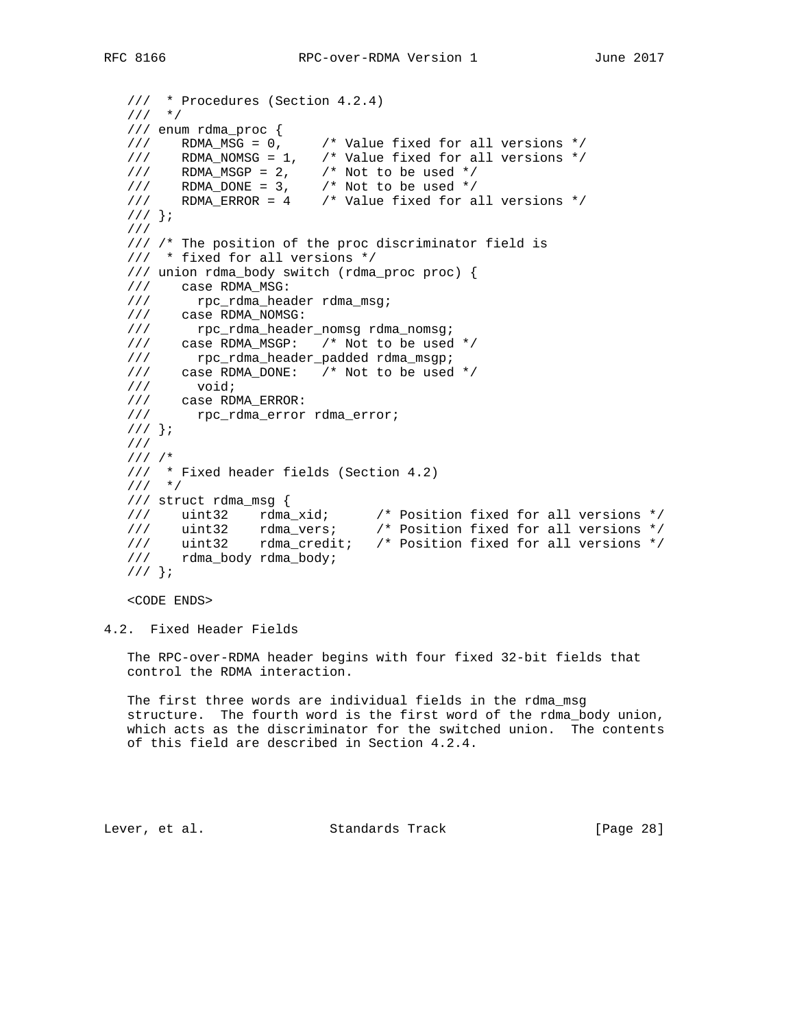```
 /// * Procedures (Section 4.2.4)
   /// */
   /// enum rdma_proc {
  /// RDMA_MSG = 0, \rightarrow Value fixed for all versions */
 /// RDMA_NOMSG = 1, /* Value fixed for all versions */
11/7 RDMA_MSGP = 2, 1 \frac{1}{2} Not to be used */
11/7 RDMA_DONE = 3, 14 Not to be used */
 /// RDMA_ERROR = 4 /* Value fixed for all versions */
   /// };
   ///
   /// /* The position of the proc discriminator field is
   /// * fixed for all versions */
   /// union rdma_body switch (rdma_proc proc) {
 /// case RDMA_MSG:
 /// rpc_rdma_header rdma_msg;
 /// case RDMA_NOMSG:
 /// rpc_rdma_header_nomsg rdma_nomsg;
 /// case RDMA_MSGP: /* Not to be used */
 /// rpc_rdma_header_padded rdma_msgp;
 /// case RDMA_DONE: /* Not to be used */
 /// void;
 /// case RDMA_ERROR:
 /// rpc_rdma_error rdma_error;
   /// };
   ///
   /// /*
   /// * Fixed header fields (Section 4.2)
  11/ */
   /// struct rdma_msg {
 /// uint32 rdma_xid; /* Position fixed for all versions */
 /// uint32 rdma_vers; /* Position fixed for all versions */
 /// uint32 rdma_credit; /* Position fixed for all versions */
 /// rdma_body rdma_body;
   /// };
```
<CODE ENDS>

4.2. Fixed Header Fields

 The RPC-over-RDMA header begins with four fixed 32-bit fields that control the RDMA interaction.

 The first three words are individual fields in the rdma\_msg structure. The fourth word is the first word of the rdma\_body union, which acts as the discriminator for the switched union. The contents of this field are described in Section 4.2.4.

Lever, et al. Standards Track [Page 28]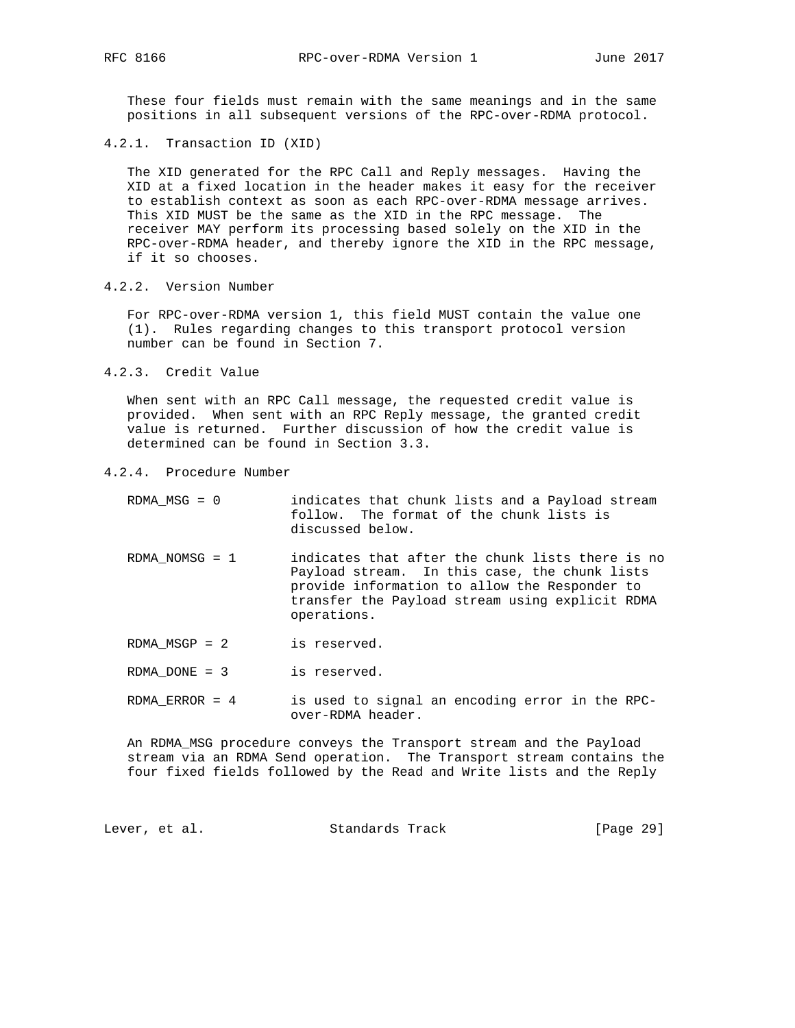These four fields must remain with the same meanings and in the same positions in all subsequent versions of the RPC-over-RDMA protocol.

4.2.1. Transaction ID (XID)

 The XID generated for the RPC Call and Reply messages. Having the XID at a fixed location in the header makes it easy for the receiver to establish context as soon as each RPC-over-RDMA message arrives. This XID MUST be the same as the XID in the RPC message. The receiver MAY perform its processing based solely on the XID in the RPC-over-RDMA header, and thereby ignore the XID in the RPC message, if it so chooses.

4.2.2. Version Number

 For RPC-over-RDMA version 1, this field MUST contain the value one (1). Rules regarding changes to this transport protocol version number can be found in Section 7.

4.2.3. Credit Value

 When sent with an RPC Call message, the requested credit value is provided. When sent with an RPC Reply message, the granted credit value is returned. Further discussion of how the credit value is determined can be found in Section 3.3.

- 4.2.4. Procedure Number
	- RDMA\_MSG = 0 indicates that chunk lists and a Payload stream follow. The format of the chunk lists is discussed below.
	- RDMA\_NOMSG = 1 indicates that after the chunk lists there is no Payload stream. In this case, the chunk lists provide information to allow the Responder to transfer the Payload stream using explicit RDMA operations.

RDMA\_MSGP = 2 is reserved.

RDMA\_DONE = 3 is reserved.

 RDMA\_ERROR = 4 is used to signal an encoding error in the RPC over-RDMA header.

 An RDMA\_MSG procedure conveys the Transport stream and the Payload stream via an RDMA Send operation. The Transport stream contains the four fixed fields followed by the Read and Write lists and the Reply

Lever, et al. Standards Track [Page 29]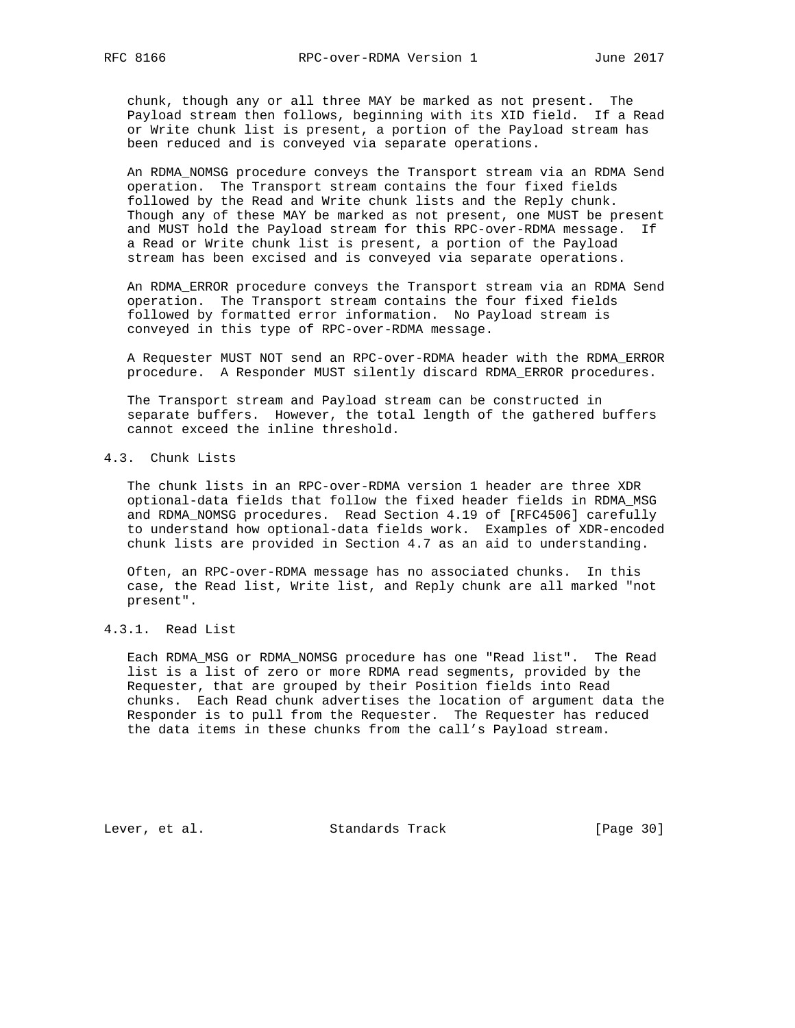chunk, though any or all three MAY be marked as not present. The Payload stream then follows, beginning with its XID field. If a Read or Write chunk list is present, a portion of the Payload stream has been reduced and is conveyed via separate operations.

 An RDMA\_NOMSG procedure conveys the Transport stream via an RDMA Send operation. The Transport stream contains the four fixed fields followed by the Read and Write chunk lists and the Reply chunk. Though any of these MAY be marked as not present, one MUST be present and MUST hold the Payload stream for this RPC-over-RDMA message. If a Read or Write chunk list is present, a portion of the Payload stream has been excised and is conveyed via separate operations.

 An RDMA\_ERROR procedure conveys the Transport stream via an RDMA Send operation. The Transport stream contains the four fixed fields followed by formatted error information. No Payload stream is conveyed in this type of RPC-over-RDMA message.

 A Requester MUST NOT send an RPC-over-RDMA header with the RDMA\_ERROR procedure. A Responder MUST silently discard RDMA\_ERROR procedures.

 The Transport stream and Payload stream can be constructed in separate buffers. However, the total length of the gathered buffers cannot exceed the inline threshold.

# 4.3. Chunk Lists

 The chunk lists in an RPC-over-RDMA version 1 header are three XDR optional-data fields that follow the fixed header fields in RDMA\_MSG and RDMA\_NOMSG procedures. Read Section 4.19 of [RFC4506] carefully to understand how optional-data fields work. Examples of XDR-encoded chunk lists are provided in Section 4.7 as an aid to understanding.

 Often, an RPC-over-RDMA message has no associated chunks. In this case, the Read list, Write list, and Reply chunk are all marked "not present".

# 4.3.1. Read List

 Each RDMA\_MSG or RDMA\_NOMSG procedure has one "Read list". The Read list is a list of zero or more RDMA read segments, provided by the Requester, that are grouped by their Position fields into Read chunks. Each Read chunk advertises the location of argument data the Responder is to pull from the Requester. The Requester has reduced the data items in these chunks from the call's Payload stream.

Lever, et al. Standards Track [Page 30]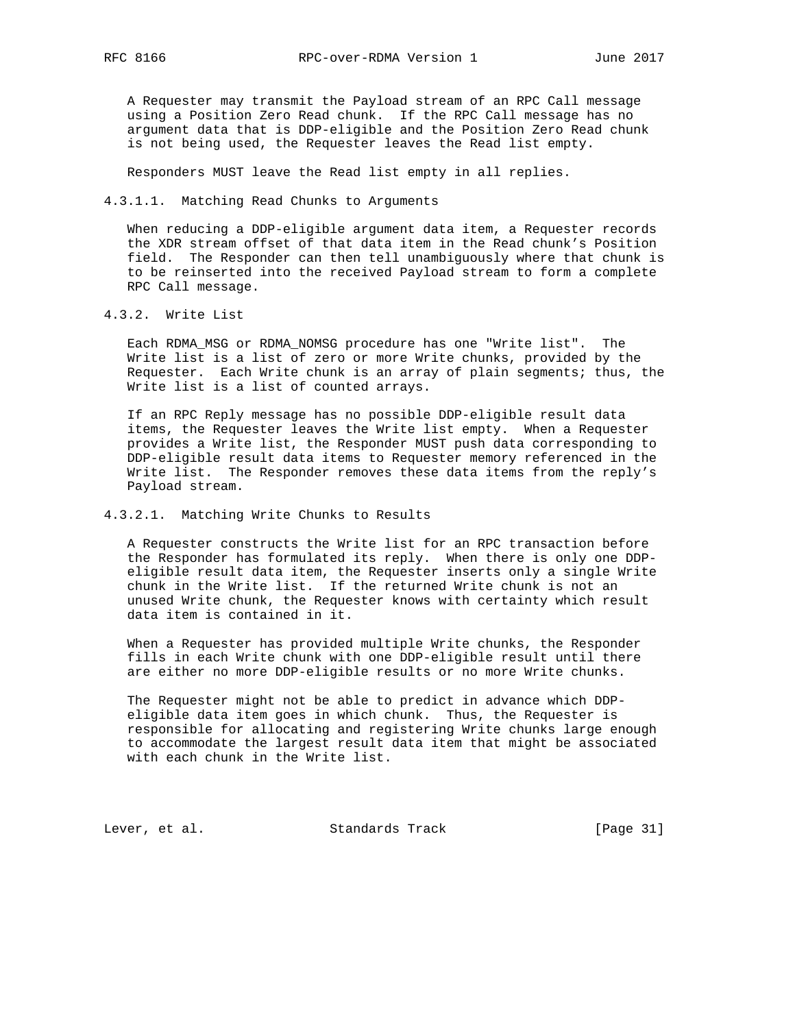A Requester may transmit the Payload stream of an RPC Call message using a Position Zero Read chunk. If the RPC Call message has no argument data that is DDP-eligible and the Position Zero Read chunk is not being used, the Requester leaves the Read list empty.

Responders MUST leave the Read list empty in all replies.

4.3.1.1. Matching Read Chunks to Arguments

 When reducing a DDP-eligible argument data item, a Requester records the XDR stream offset of that data item in the Read chunk's Position field. The Responder can then tell unambiguously where that chunk is to be reinserted into the received Payload stream to form a complete RPC Call message.

4.3.2. Write List

 Each RDMA\_MSG or RDMA\_NOMSG procedure has one "Write list". The Write list is a list of zero or more Write chunks, provided by the Requester. Each Write chunk is an array of plain segments; thus, the Write list is a list of counted arrays.

 If an RPC Reply message has no possible DDP-eligible result data items, the Requester leaves the Write list empty. When a Requester provides a Write list, the Responder MUST push data corresponding to DDP-eligible result data items to Requester memory referenced in the Write list. The Responder removes these data items from the reply's Payload stream.

# 4.3.2.1. Matching Write Chunks to Results

 A Requester constructs the Write list for an RPC transaction before the Responder has formulated its reply. When there is only one DDP eligible result data item, the Requester inserts only a single Write chunk in the Write list. If the returned Write chunk is not an unused Write chunk, the Requester knows with certainty which result data item is contained in it.

 When a Requester has provided multiple Write chunks, the Responder fills in each Write chunk with one DDP-eligible result until there are either no more DDP-eligible results or no more Write chunks.

 The Requester might not be able to predict in advance which DDP eligible data item goes in which chunk. Thus, the Requester is responsible for allocating and registering Write chunks large enough to accommodate the largest result data item that might be associated with each chunk in the Write list.

Lever, et al. Standards Track [Page 31]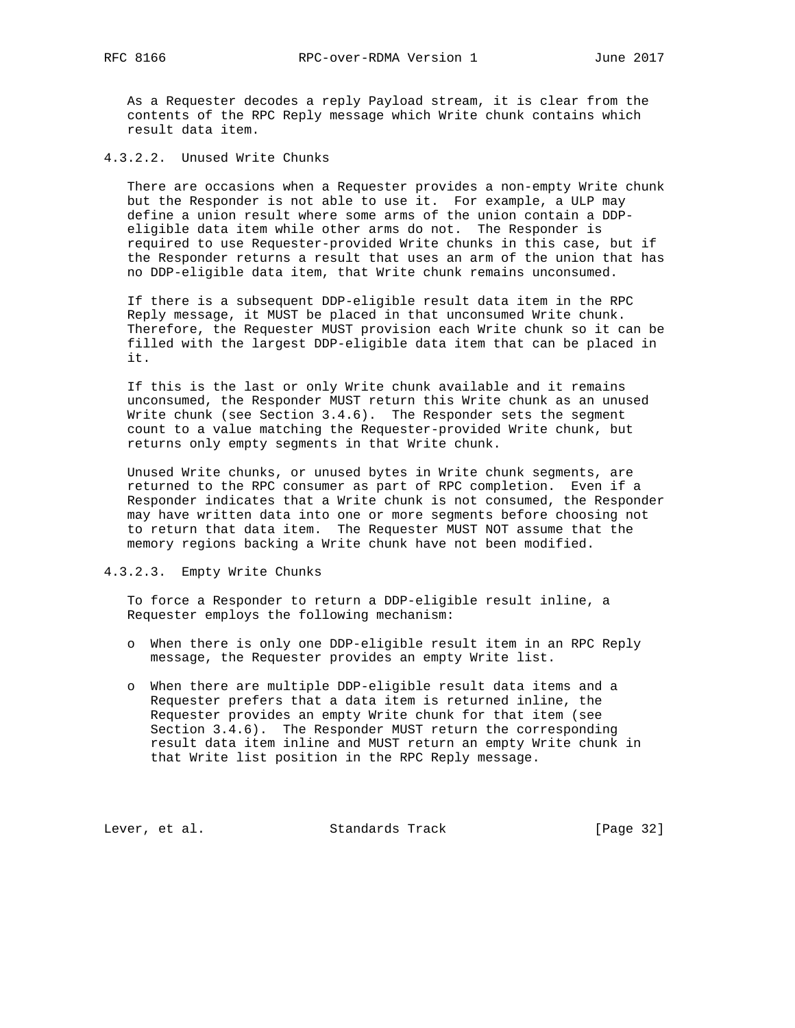As a Requester decodes a reply Payload stream, it is clear from the contents of the RPC Reply message which Write chunk contains which result data item.

4.3.2.2. Unused Write Chunks

 There are occasions when a Requester provides a non-empty Write chunk but the Responder is not able to use it. For example, a ULP may define a union result where some arms of the union contain a DDP eligible data item while other arms do not. The Responder is required to use Requester-provided Write chunks in this case, but if the Responder returns a result that uses an arm of the union that has no DDP-eligible data item, that Write chunk remains unconsumed.

 If there is a subsequent DDP-eligible result data item in the RPC Reply message, it MUST be placed in that unconsumed Write chunk. Therefore, the Requester MUST provision each Write chunk so it can be filled with the largest DDP-eligible data item that can be placed in it.

 If this is the last or only Write chunk available and it remains unconsumed, the Responder MUST return this Write chunk as an unused Write chunk (see Section 3.4.6). The Responder sets the segment count to a value matching the Requester-provided Write chunk, but returns only empty segments in that Write chunk.

 Unused Write chunks, or unused bytes in Write chunk segments, are returned to the RPC consumer as part of RPC completion. Even if a Responder indicates that a Write chunk is not consumed, the Responder may have written data into one or more segments before choosing not to return that data item. The Requester MUST NOT assume that the memory regions backing a Write chunk have not been modified.

# 4.3.2.3. Empty Write Chunks

 To force a Responder to return a DDP-eligible result inline, a Requester employs the following mechanism:

- o When there is only one DDP-eligible result item in an RPC Reply message, the Requester provides an empty Write list.
- o When there are multiple DDP-eligible result data items and a Requester prefers that a data item is returned inline, the Requester provides an empty Write chunk for that item (see Section 3.4.6). The Responder MUST return the corresponding result data item inline and MUST return an empty Write chunk in that Write list position in the RPC Reply message.

Lever, et al. Standards Track [Page 32]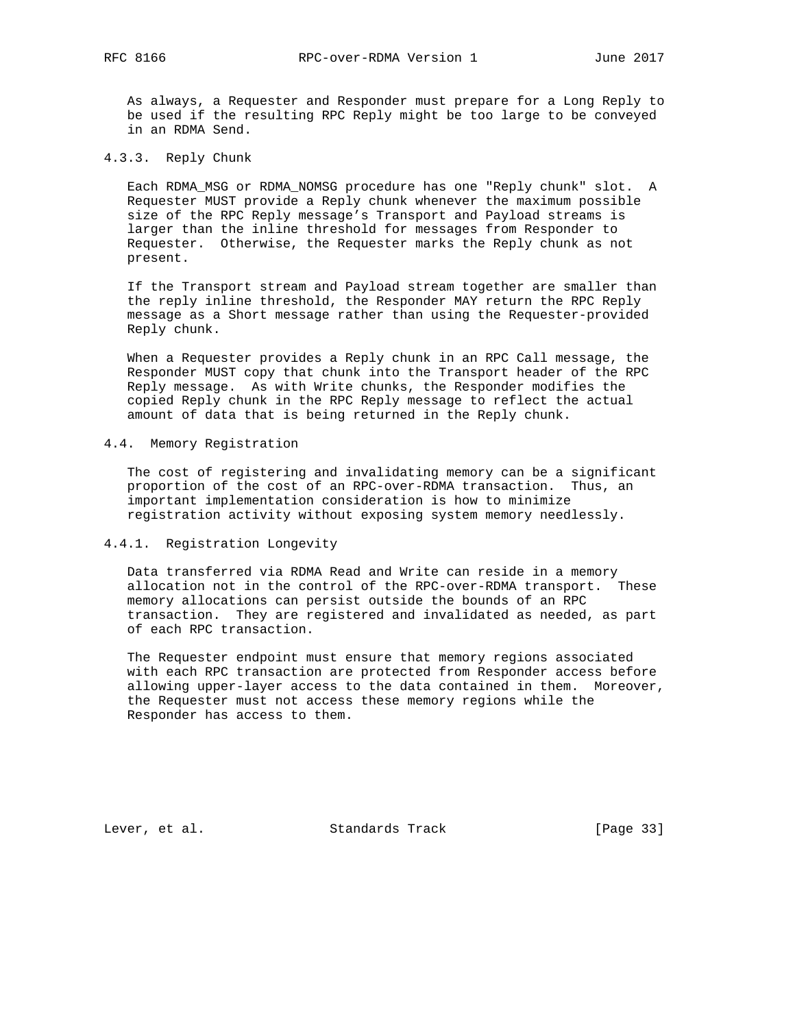As always, a Requester and Responder must prepare for a Long Reply to be used if the resulting RPC Reply might be too large to be conveyed in an RDMA Send.

# 4.3.3. Reply Chunk

 Each RDMA\_MSG or RDMA\_NOMSG procedure has one "Reply chunk" slot. A Requester MUST provide a Reply chunk whenever the maximum possible size of the RPC Reply message's Transport and Payload streams is larger than the inline threshold for messages from Responder to Requester. Otherwise, the Requester marks the Reply chunk as not present.

 If the Transport stream and Payload stream together are smaller than the reply inline threshold, the Responder MAY return the RPC Reply message as a Short message rather than using the Requester-provided Reply chunk.

 When a Requester provides a Reply chunk in an RPC Call message, the Responder MUST copy that chunk into the Transport header of the RPC Reply message. As with Write chunks, the Responder modifies the copied Reply chunk in the RPC Reply message to reflect the actual amount of data that is being returned in the Reply chunk.

# 4.4. Memory Registration

 The cost of registering and invalidating memory can be a significant proportion of the cost of an RPC-over-RDMA transaction. Thus, an important implementation consideration is how to minimize registration activity without exposing system memory needlessly.

## 4.4.1. Registration Longevity

 Data transferred via RDMA Read and Write can reside in a memory allocation not in the control of the RPC-over-RDMA transport. These memory allocations can persist outside the bounds of an RPC transaction. They are registered and invalidated as needed, as part of each RPC transaction.

 The Requester endpoint must ensure that memory regions associated with each RPC transaction are protected from Responder access before allowing upper-layer access to the data contained in them. Moreover, the Requester must not access these memory regions while the Responder has access to them.

Lever, et al. Standards Track [Page 33]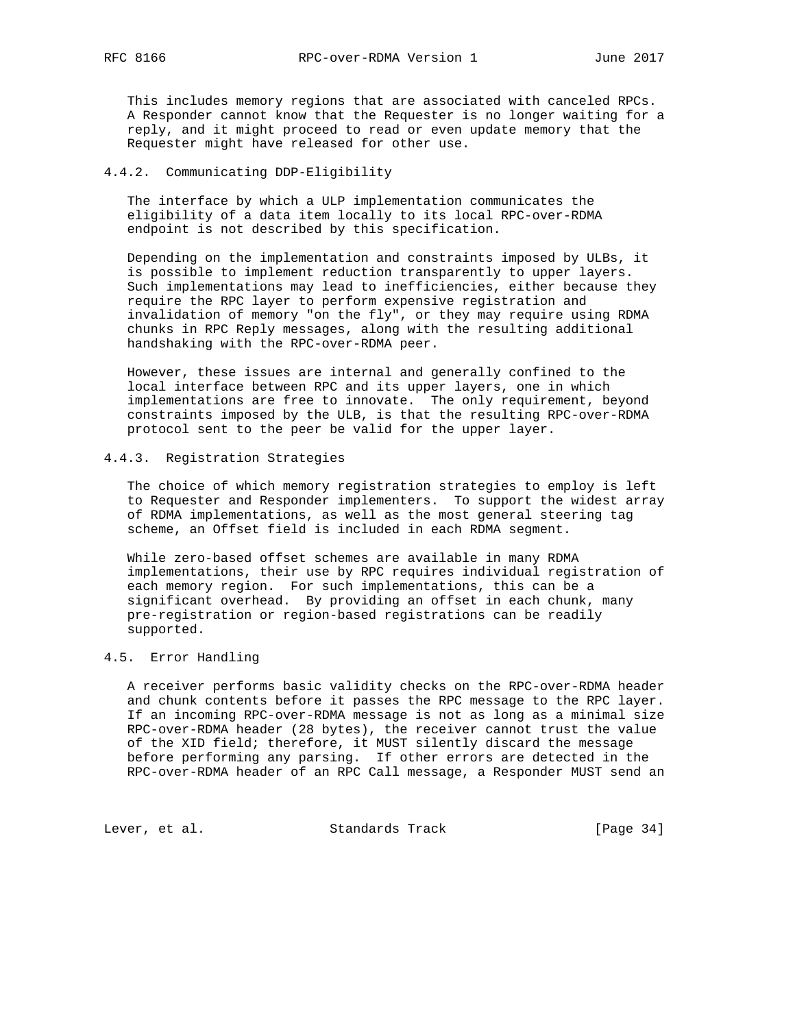This includes memory regions that are associated with canceled RPCs. A Responder cannot know that the Requester is no longer waiting for a reply, and it might proceed to read or even update memory that the Requester might have released for other use.

## 4.4.2. Communicating DDP-Eligibility

 The interface by which a ULP implementation communicates the eligibility of a data item locally to its local RPC-over-RDMA endpoint is not described by this specification.

 Depending on the implementation and constraints imposed by ULBs, it is possible to implement reduction transparently to upper layers. Such implementations may lead to inefficiencies, either because they require the RPC layer to perform expensive registration and invalidation of memory "on the fly", or they may require using RDMA chunks in RPC Reply messages, along with the resulting additional handshaking with the RPC-over-RDMA peer.

 However, these issues are internal and generally confined to the local interface between RPC and its upper layers, one in which implementations are free to innovate. The only requirement, beyond constraints imposed by the ULB, is that the resulting RPC-over-RDMA protocol sent to the peer be valid for the upper layer.

# 4.4.3. Registration Strategies

 The choice of which memory registration strategies to employ is left to Requester and Responder implementers. To support the widest array of RDMA implementations, as well as the most general steering tag scheme, an Offset field is included in each RDMA segment.

 While zero-based offset schemes are available in many RDMA implementations, their use by RPC requires individual registration of each memory region. For such implementations, this can be a significant overhead. By providing an offset in each chunk, many pre-registration or region-based registrations can be readily supported.

# 4.5. Error Handling

 A receiver performs basic validity checks on the RPC-over-RDMA header and chunk contents before it passes the RPC message to the RPC layer. If an incoming RPC-over-RDMA message is not as long as a minimal size RPC-over-RDMA header (28 bytes), the receiver cannot trust the value of the XID field; therefore, it MUST silently discard the message before performing any parsing. If other errors are detected in the RPC-over-RDMA header of an RPC Call message, a Responder MUST send an

Lever, et al. Standards Track [Page 34]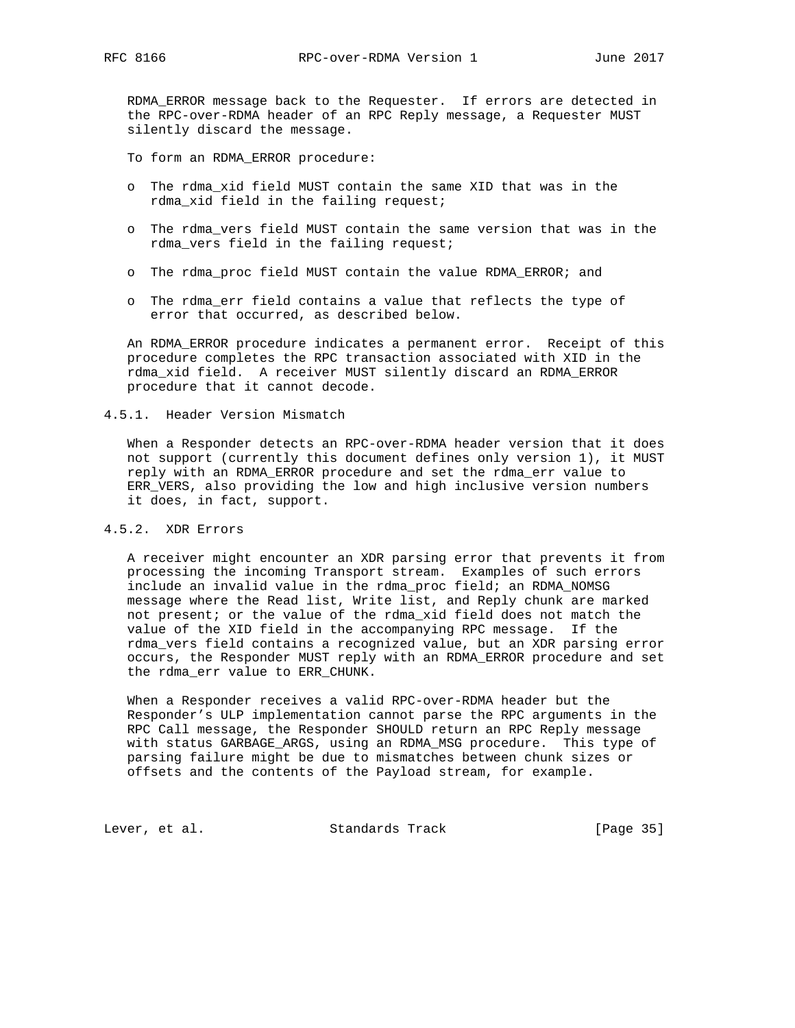RDMA\_ERROR message back to the Requester. If errors are detected in the RPC-over-RDMA header of an RPC Reply message, a Requester MUST silently discard the message.

To form an RDMA\_ERROR procedure:

- o The rdma\_xid field MUST contain the same XID that was in the rdma\_xid field in the failing request;
- o The rdma\_vers field MUST contain the same version that was in the rdma\_vers field in the failing request;
- o The rdma\_proc field MUST contain the value RDMA\_ERROR; and
- o The rdma\_err field contains a value that reflects the type of error that occurred, as described below.

 An RDMA\_ERROR procedure indicates a permanent error. Receipt of this procedure completes the RPC transaction associated with XID in the rdma\_xid field. A receiver MUST silently discard an RDMA\_ERROR procedure that it cannot decode.

## 4.5.1. Header Version Mismatch

 When a Responder detects an RPC-over-RDMA header version that it does not support (currently this document defines only version 1), it MUST reply with an RDMA\_ERROR procedure and set the rdma\_err value to ERR\_VERS, also providing the low and high inclusive version numbers it does, in fact, support.

# 4.5.2. XDR Errors

 A receiver might encounter an XDR parsing error that prevents it from processing the incoming Transport stream. Examples of such errors include an invalid value in the rdma\_proc field; an RDMA\_NOMSG message where the Read list, Write list, and Reply chunk are marked not present; or the value of the rdma\_xid field does not match the value of the XID field in the accompanying RPC message. If the rdma\_vers field contains a recognized value, but an XDR parsing error occurs, the Responder MUST reply with an RDMA\_ERROR procedure and set the rdma\_err value to ERR\_CHUNK.

 When a Responder receives a valid RPC-over-RDMA header but the Responder's ULP implementation cannot parse the RPC arguments in the RPC Call message, the Responder SHOULD return an RPC Reply message with status GARBAGE\_ARGS, using an RDMA\_MSG procedure. This type of parsing failure might be due to mismatches between chunk sizes or offsets and the contents of the Payload stream, for example.

Lever, et al. Standards Track [Page 35]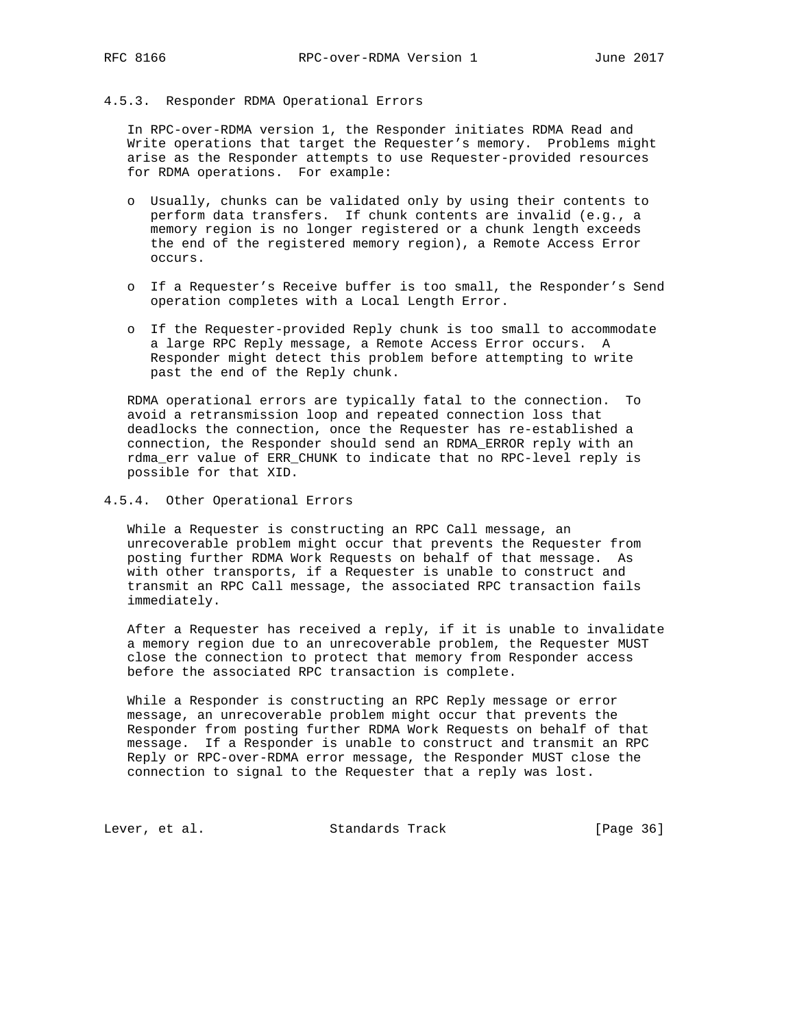### 4.5.3. Responder RDMA Operational Errors

 In RPC-over-RDMA version 1, the Responder initiates RDMA Read and Write operations that target the Requester's memory. Problems might arise as the Responder attempts to use Requester-provided resources for RDMA operations. For example:

- o Usually, chunks can be validated only by using their contents to perform data transfers. If chunk contents are invalid (e.g., a memory region is no longer registered or a chunk length exceeds the end of the registered memory region), a Remote Access Error occurs.
- o If a Requester's Receive buffer is too small, the Responder's Send operation completes with a Local Length Error.
- o If the Requester-provided Reply chunk is too small to accommodate a large RPC Reply message, a Remote Access Error occurs. A Responder might detect this problem before attempting to write past the end of the Reply chunk.

 RDMA operational errors are typically fatal to the connection. To avoid a retransmission loop and repeated connection loss that deadlocks the connection, once the Requester has re-established a connection, the Responder should send an RDMA\_ERROR reply with an rdma\_err value of ERR\_CHUNK to indicate that no RPC-level reply is possible for that XID.

# 4.5.4. Other Operational Errors

 While a Requester is constructing an RPC Call message, an unrecoverable problem might occur that prevents the Requester from posting further RDMA Work Requests on behalf of that message. As with other transports, if a Requester is unable to construct and transmit an RPC Call message, the associated RPC transaction fails immediately.

 After a Requester has received a reply, if it is unable to invalidate a memory region due to an unrecoverable problem, the Requester MUST close the connection to protect that memory from Responder access before the associated RPC transaction is complete.

 While a Responder is constructing an RPC Reply message or error message, an unrecoverable problem might occur that prevents the Responder from posting further RDMA Work Requests on behalf of that message. If a Responder is unable to construct and transmit an RPC Reply or RPC-over-RDMA error message, the Responder MUST close the connection to signal to the Requester that a reply was lost.

Lever, et al. Standards Track [Page 36]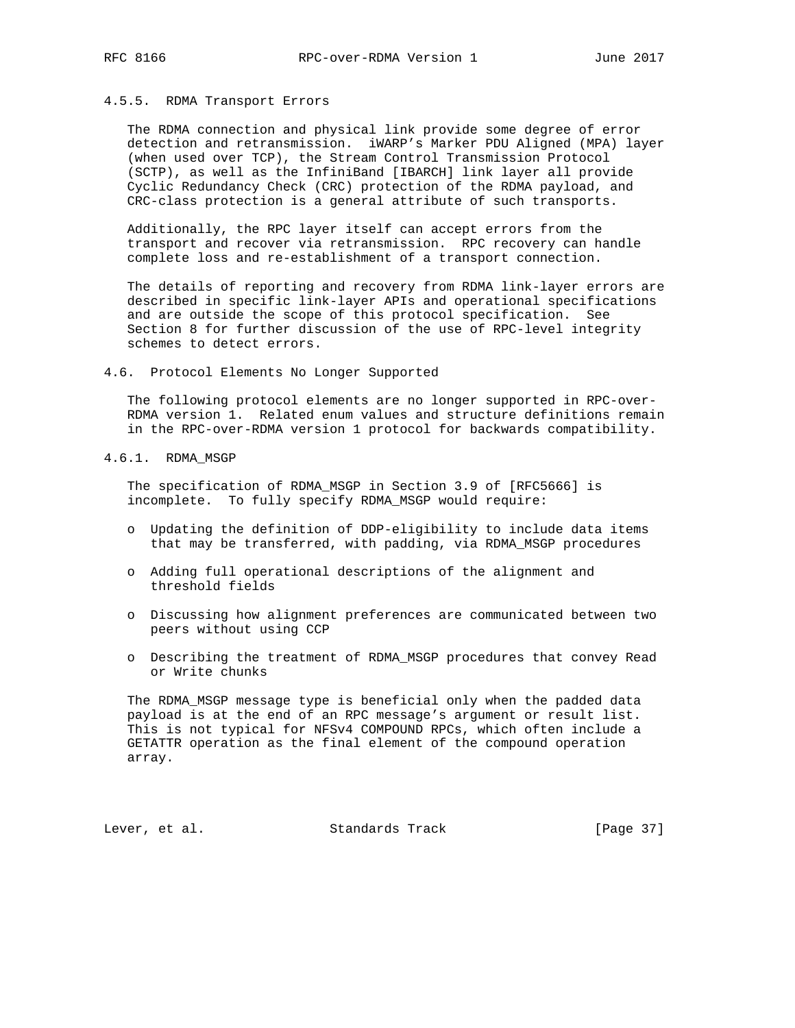# 4.5.5. RDMA Transport Errors

 The RDMA connection and physical link provide some degree of error detection and retransmission. iWARP's Marker PDU Aligned (MPA) layer (when used over TCP), the Stream Control Transmission Protocol (SCTP), as well as the InfiniBand [IBARCH] link layer all provide Cyclic Redundancy Check (CRC) protection of the RDMA payload, and CRC-class protection is a general attribute of such transports.

 Additionally, the RPC layer itself can accept errors from the transport and recover via retransmission. RPC recovery can handle complete loss and re-establishment of a transport connection.

 The details of reporting and recovery from RDMA link-layer errors are described in specific link-layer APIs and operational specifications and are outside the scope of this protocol specification. See Section 8 for further discussion of the use of RPC-level integrity schemes to detect errors.

4.6. Protocol Elements No Longer Supported

 The following protocol elements are no longer supported in RPC-over- RDMA version 1. Related enum values and structure definitions remain in the RPC-over-RDMA version 1 protocol for backwards compatibility.

4.6.1. RDMA\_MSGP

 The specification of RDMA\_MSGP in Section 3.9 of [RFC5666] is incomplete. To fully specify RDMA\_MSGP would require:

- o Updating the definition of DDP-eligibility to include data items that may be transferred, with padding, via RDMA\_MSGP procedures
- o Adding full operational descriptions of the alignment and threshold fields
- o Discussing how alignment preferences are communicated between two peers without using CCP
- o Describing the treatment of RDMA\_MSGP procedures that convey Read or Write chunks

 The RDMA\_MSGP message type is beneficial only when the padded data payload is at the end of an RPC message's argument or result list. This is not typical for NFSv4 COMPOUND RPCs, which often include a GETATTR operation as the final element of the compound operation array.

Lever, et al. Standards Track [Page 37]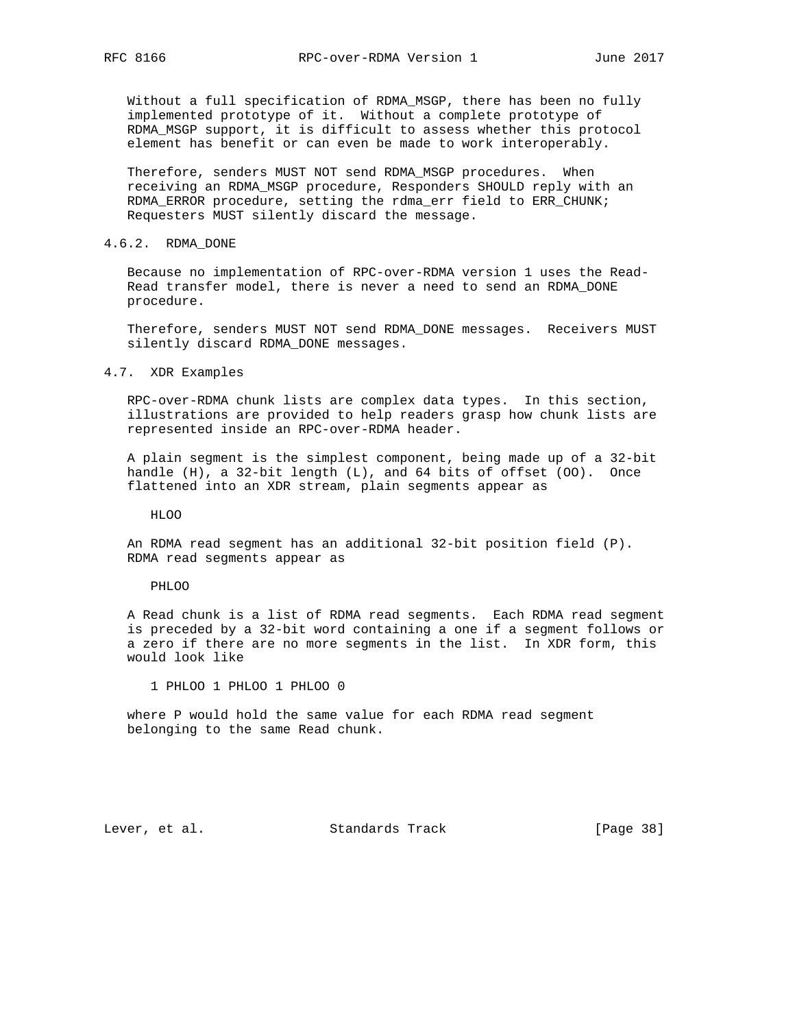Without a full specification of RDMA\_MSGP, there has been no fully implemented prototype of it. Without a complete prototype of RDMA\_MSGP support, it is difficult to assess whether this protocol element has benefit or can even be made to work interoperably.

 Therefore, senders MUST NOT send RDMA\_MSGP procedures. When receiving an RDMA\_MSGP procedure, Responders SHOULD reply with an RDMA\_ERROR procedure, setting the rdma\_err field to ERR\_CHUNK; Requesters MUST silently discard the message.

# 4.6.2. RDMA\_DONE

 Because no implementation of RPC-over-RDMA version 1 uses the Read- Read transfer model, there is never a need to send an RDMA\_DONE procedure.

 Therefore, senders MUST NOT send RDMA\_DONE messages. Receivers MUST silently discard RDMA\_DONE messages.

#### 4.7. XDR Examples

 RPC-over-RDMA chunk lists are complex data types. In this section, illustrations are provided to help readers grasp how chunk lists are represented inside an RPC-over-RDMA header.

 A plain segment is the simplest component, being made up of a 32-bit handle (H), a 32-bit length (L), and 64 bits of offset (OO). Once flattened into an XDR stream, plain segments appear as

HLOO

 An RDMA read segment has an additional 32-bit position field (P). RDMA read segments appear as

#### PHLOO

 A Read chunk is a list of RDMA read segments. Each RDMA read segment is preceded by a 32-bit word containing a one if a segment follows or a zero if there are no more segments in the list. In XDR form, this would look like

1 PHLOO 1 PHLOO 1 PHLOO 0

 where P would hold the same value for each RDMA read segment belonging to the same Read chunk.

Lever, et al. Standards Track [Page 38]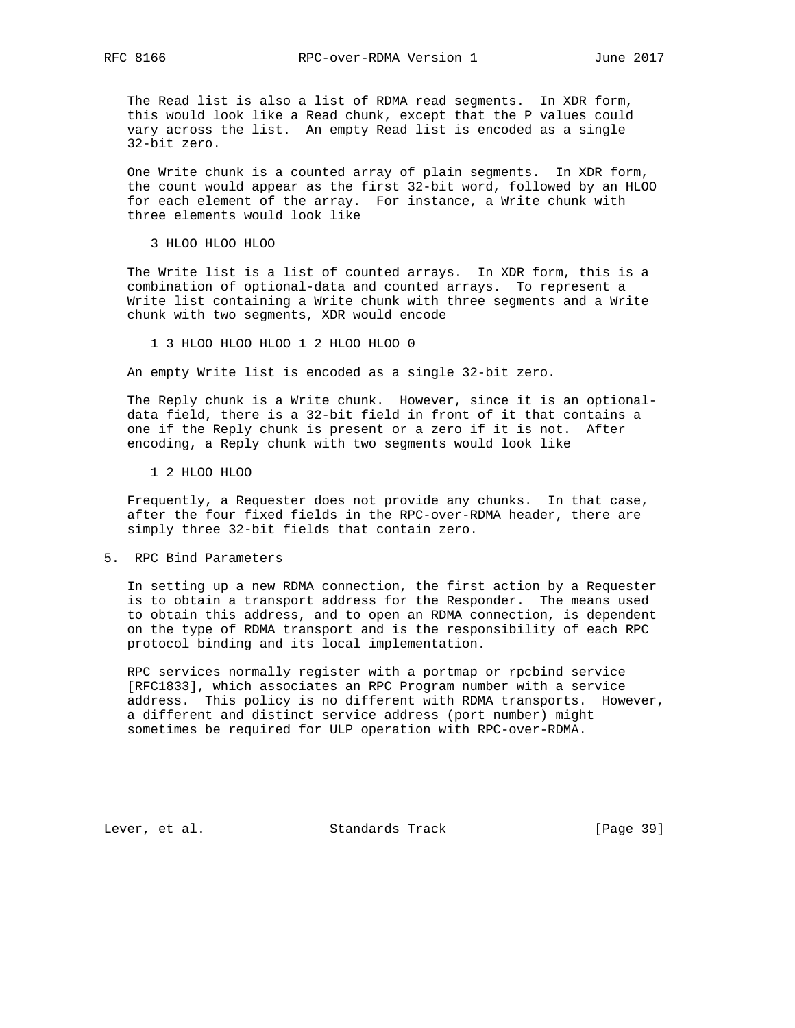The Read list is also a list of RDMA read segments. In XDR form, this would look like a Read chunk, except that the P values could vary across the list. An empty Read list is encoded as a single 32-bit zero.

 One Write chunk is a counted array of plain segments. In XDR form, the count would appear as the first 32-bit word, followed by an HLOO for each element of the array. For instance, a Write chunk with three elements would look like

3 HLOO HLOO HLOO

 The Write list is a list of counted arrays. In XDR form, this is a combination of optional-data and counted arrays. To represent a Write list containing a Write chunk with three segments and a Write chunk with two segments, XDR would encode

1 3 HLOO HLOO HLOO 1 2 HLOO HLOO 0

An empty Write list is encoded as a single 32-bit zero.

 The Reply chunk is a Write chunk. However, since it is an optional data field, there is a 32-bit field in front of it that contains a one if the Reply chunk is present or a zero if it is not. After encoding, a Reply chunk with two segments would look like

1 2 HLOO HLOO

 Frequently, a Requester does not provide any chunks. In that case, after the four fixed fields in the RPC-over-RDMA header, there are simply three 32-bit fields that contain zero.

5. RPC Bind Parameters

 In setting up a new RDMA connection, the first action by a Requester is to obtain a transport address for the Responder. The means used to obtain this address, and to open an RDMA connection, is dependent on the type of RDMA transport and is the responsibility of each RPC protocol binding and its local implementation.

 RPC services normally register with a portmap or rpcbind service [RFC1833], which associates an RPC Program number with a service address. This policy is no different with RDMA transports. However, a different and distinct service address (port number) might sometimes be required for ULP operation with RPC-over-RDMA.

Lever, et al. Standards Track [Page 39]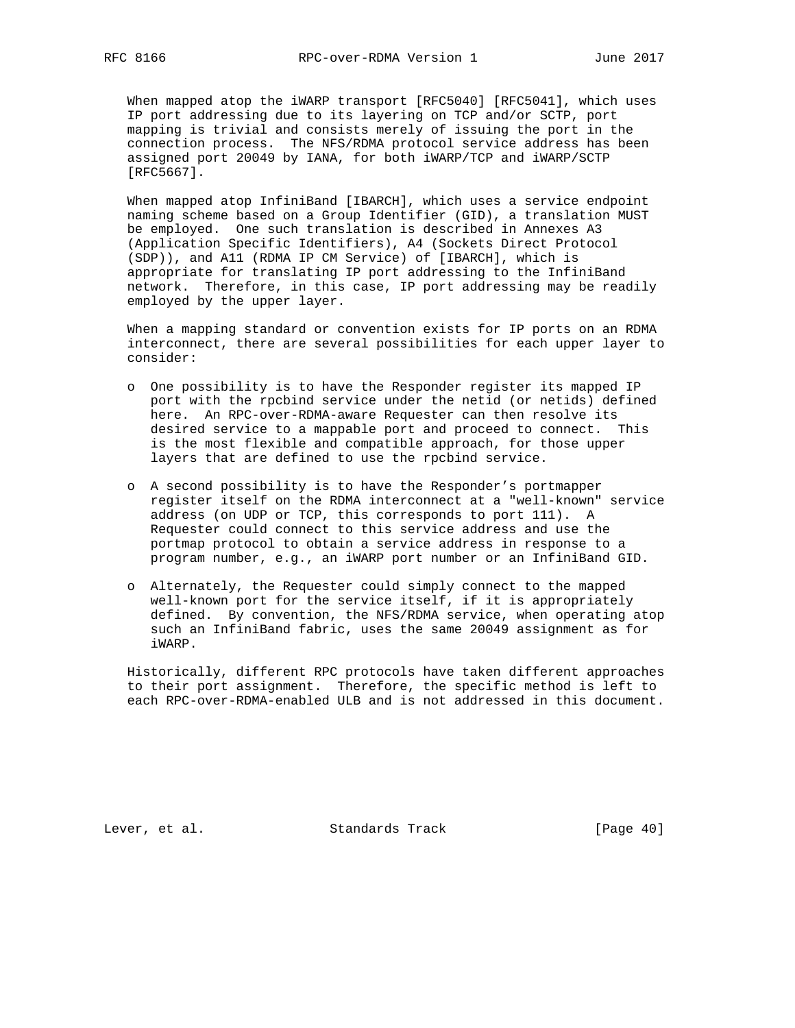When mapped atop the iWARP transport [RFC5040] [RFC5041], which uses IP port addressing due to its layering on TCP and/or SCTP, port mapping is trivial and consists merely of issuing the port in the connection process. The NFS/RDMA protocol service address has been assigned port 20049 by IANA, for both iWARP/TCP and iWARP/SCTP [RFC5667].

 When mapped atop InfiniBand [IBARCH], which uses a service endpoint naming scheme based on a Group Identifier (GID), a translation MUST be employed. One such translation is described in Annexes A3 (Application Specific Identifiers), A4 (Sockets Direct Protocol (SDP)), and A11 (RDMA IP CM Service) of [IBARCH], which is appropriate for translating IP port addressing to the InfiniBand network. Therefore, in this case, IP port addressing may be readily employed by the upper layer.

 When a mapping standard or convention exists for IP ports on an RDMA interconnect, there are several possibilities for each upper layer to consider:

- o One possibility is to have the Responder register its mapped IP port with the rpcbind service under the netid (or netids) defined here. An RPC-over-RDMA-aware Requester can then resolve its desired service to a mappable port and proceed to connect. This is the most flexible and compatible approach, for those upper layers that are defined to use the rpcbind service.
- o A second possibility is to have the Responder's portmapper register itself on the RDMA interconnect at a "well-known" service address (on UDP or TCP, this corresponds to port 111). A Requester could connect to this service address and use the portmap protocol to obtain a service address in response to a program number, e.g., an iWARP port number or an InfiniBand GID.
- o Alternately, the Requester could simply connect to the mapped well-known port for the service itself, if it is appropriately defined. By convention, the NFS/RDMA service, when operating atop such an InfiniBand fabric, uses the same 20049 assignment as for iWARP.

 Historically, different RPC protocols have taken different approaches to their port assignment. Therefore, the specific method is left to each RPC-over-RDMA-enabled ULB and is not addressed in this document.

Lever, et al. Standards Track [Page 40]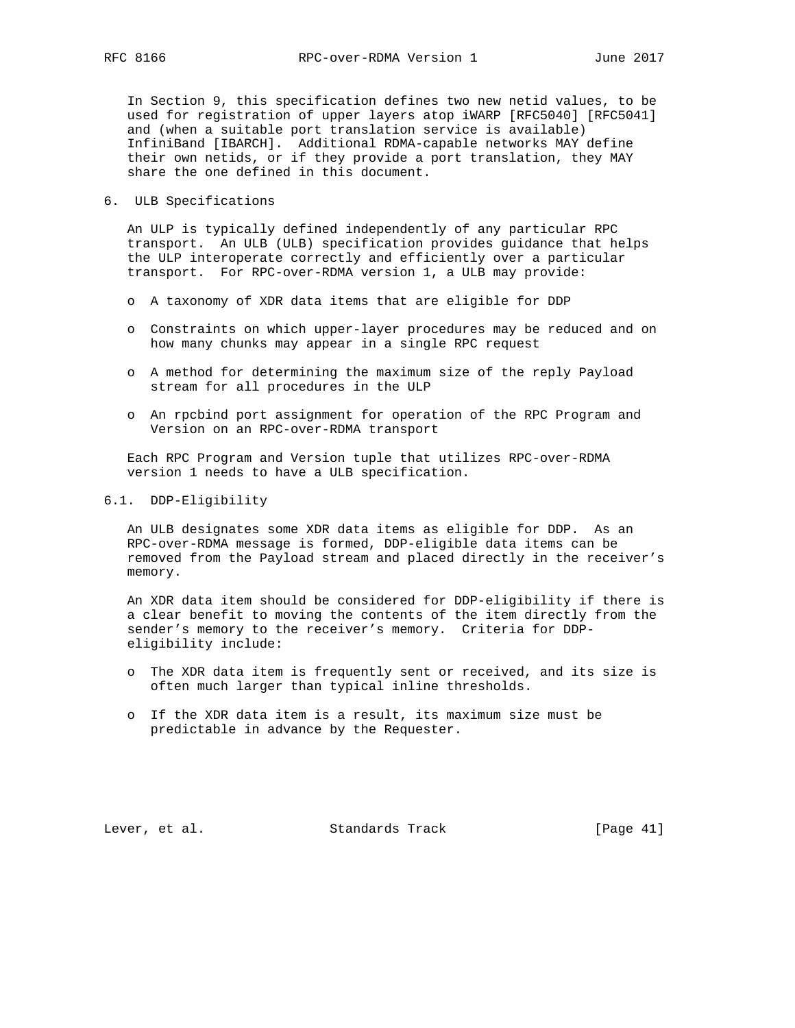In Section 9, this specification defines two new netid values, to be used for registration of upper layers atop iWARP [RFC5040] [RFC5041] and (when a suitable port translation service is available) InfiniBand [IBARCH]. Additional RDMA-capable networks MAY define their own netids, or if they provide a port translation, they MAY share the one defined in this document.

6. ULB Specifications

 An ULP is typically defined independently of any particular RPC transport. An ULB (ULB) specification provides guidance that helps the ULP interoperate correctly and efficiently over a particular transport. For RPC-over-RDMA version 1, a ULB may provide:

- o A taxonomy of XDR data items that are eligible for DDP
- o Constraints on which upper-layer procedures may be reduced and on how many chunks may appear in a single RPC request
- o A method for determining the maximum size of the reply Payload stream for all procedures in the ULP
- o An rpcbind port assignment for operation of the RPC Program and Version on an RPC-over-RDMA transport

 Each RPC Program and Version tuple that utilizes RPC-over-RDMA version 1 needs to have a ULB specification.

# 6.1. DDP-Eligibility

 An ULB designates some XDR data items as eligible for DDP. As an RPC-over-RDMA message is formed, DDP-eligible data items can be removed from the Payload stream and placed directly in the receiver's memory.

 An XDR data item should be considered for DDP-eligibility if there is a clear benefit to moving the contents of the item directly from the sender's memory to the receiver's memory. Criteria for DDP eligibility include:

- o The XDR data item is frequently sent or received, and its size is often much larger than typical inline thresholds.
- o If the XDR data item is a result, its maximum size must be predictable in advance by the Requester.

Lever, et al. Standards Track [Page 41]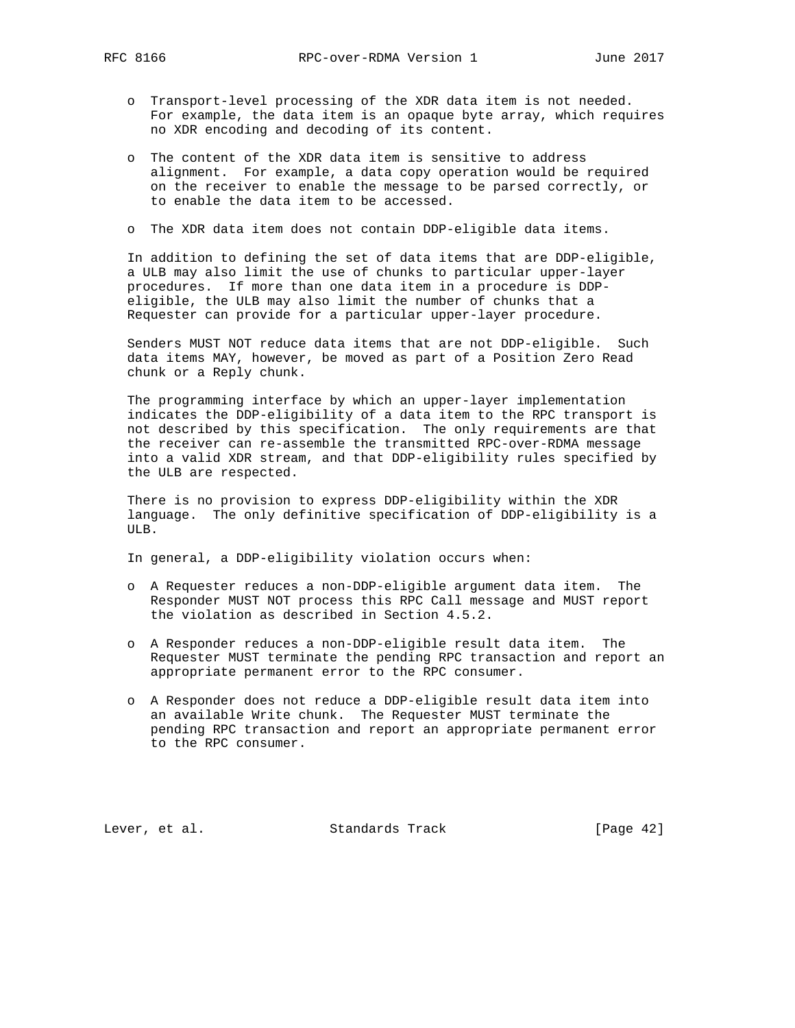- - o Transport-level processing of the XDR data item is not needed. For example, the data item is an opaque byte array, which requires no XDR encoding and decoding of its content.
	- o The content of the XDR data item is sensitive to address alignment. For example, a data copy operation would be required on the receiver to enable the message to be parsed correctly, or to enable the data item to be accessed.
	- o The XDR data item does not contain DDP-eligible data items.

 In addition to defining the set of data items that are DDP-eligible, a ULB may also limit the use of chunks to particular upper-layer procedures. If more than one data item in a procedure is DDP eligible, the ULB may also limit the number of chunks that a Requester can provide for a particular upper-layer procedure.

 Senders MUST NOT reduce data items that are not DDP-eligible. Such data items MAY, however, be moved as part of a Position Zero Read chunk or a Reply chunk.

 The programming interface by which an upper-layer implementation indicates the DDP-eligibility of a data item to the RPC transport is not described by this specification. The only requirements are that the receiver can re-assemble the transmitted RPC-over-RDMA message into a valid XDR stream, and that DDP-eligibility rules specified by the ULB are respected.

 There is no provision to express DDP-eligibility within the XDR language. The only definitive specification of DDP-eligibility is a ULB.

In general, a DDP-eligibility violation occurs when:

- o A Requester reduces a non-DDP-eligible argument data item. The Responder MUST NOT process this RPC Call message and MUST report the violation as described in Section 4.5.2.
- o A Responder reduces a non-DDP-eligible result data item. The Requester MUST terminate the pending RPC transaction and report an appropriate permanent error to the RPC consumer.
- o A Responder does not reduce a DDP-eligible result data item into an available Write chunk. The Requester MUST terminate the pending RPC transaction and report an appropriate permanent error to the RPC consumer.

Lever, et al. Standards Track [Page 42]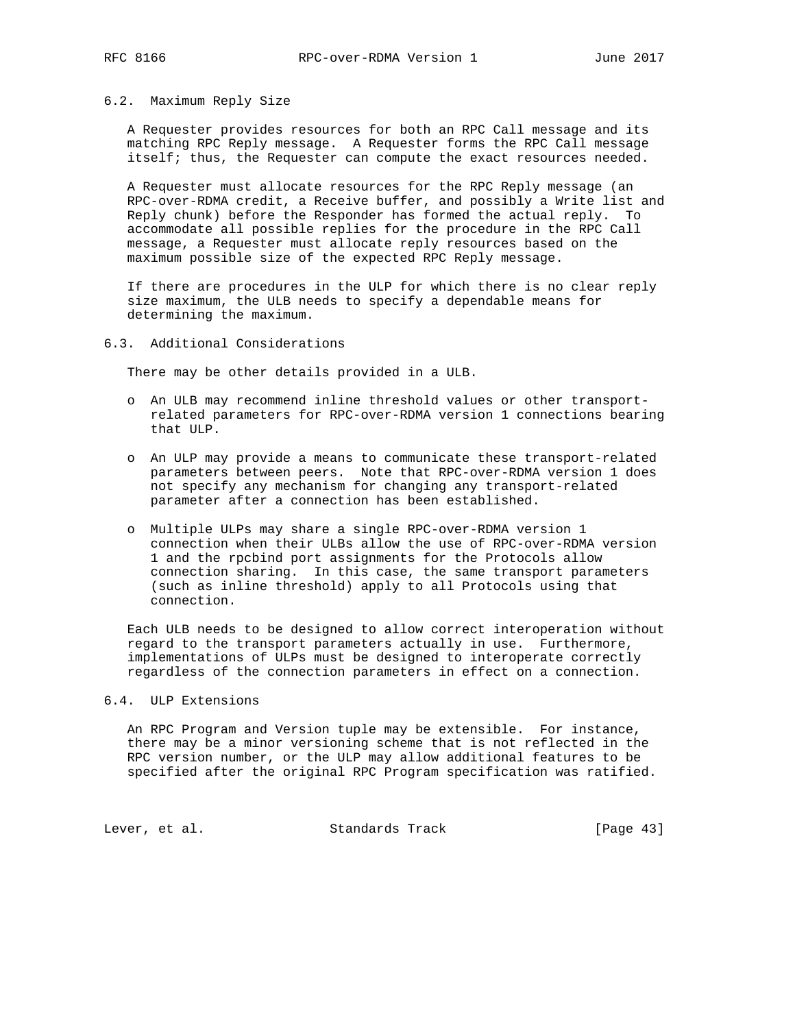### 6.2. Maximum Reply Size

 A Requester provides resources for both an RPC Call message and its matching RPC Reply message. A Requester forms the RPC Call message itself; thus, the Requester can compute the exact resources needed.

 A Requester must allocate resources for the RPC Reply message (an RPC-over-RDMA credit, a Receive buffer, and possibly a Write list and Reply chunk) before the Responder has formed the actual reply. To accommodate all possible replies for the procedure in the RPC Call message, a Requester must allocate reply resources based on the maximum possible size of the expected RPC Reply message.

 If there are procedures in the ULP for which there is no clear reply size maximum, the ULB needs to specify a dependable means for determining the maximum.

### 6.3. Additional Considerations

There may be other details provided in a ULB.

- o An ULB may recommend inline threshold values or other transport related parameters for RPC-over-RDMA version 1 connections bearing that ULP.
- o An ULP may provide a means to communicate these transport-related parameters between peers. Note that RPC-over-RDMA version 1 does not specify any mechanism for changing any transport-related parameter after a connection has been established.
- o Multiple ULPs may share a single RPC-over-RDMA version 1 connection when their ULBs allow the use of RPC-over-RDMA version 1 and the rpcbind port assignments for the Protocols allow connection sharing. In this case, the same transport parameters (such as inline threshold) apply to all Protocols using that connection.

 Each ULB needs to be designed to allow correct interoperation without regard to the transport parameters actually in use. Furthermore, implementations of ULPs must be designed to interoperate correctly regardless of the connection parameters in effect on a connection.

### 6.4. ULP Extensions

 An RPC Program and Version tuple may be extensible. For instance, there may be a minor versioning scheme that is not reflected in the RPC version number, or the ULP may allow additional features to be specified after the original RPC Program specification was ratified.

Lever, et al. Standards Track [Page 43]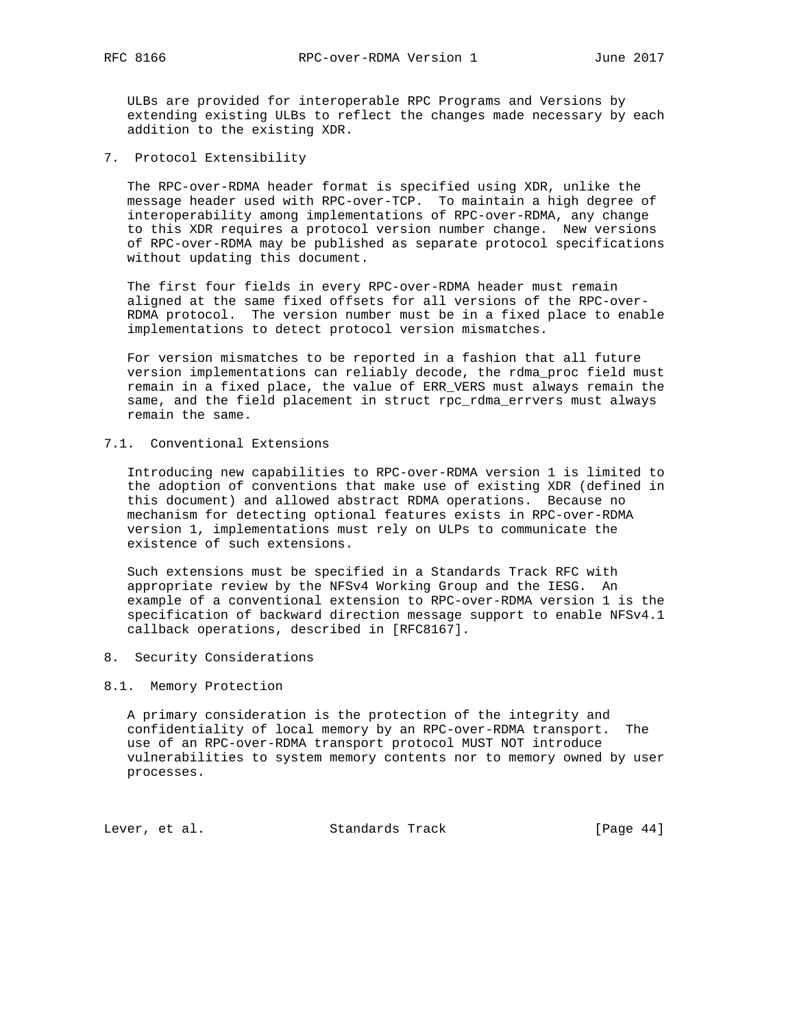ULBs are provided for interoperable RPC Programs and Versions by extending existing ULBs to reflect the changes made necessary by each addition to the existing XDR.

7. Protocol Extensibility

 The RPC-over-RDMA header format is specified using XDR, unlike the message header used with RPC-over-TCP. To maintain a high degree of interoperability among implementations of RPC-over-RDMA, any change to this XDR requires a protocol version number change. New versions of RPC-over-RDMA may be published as separate protocol specifications without updating this document.

 The first four fields in every RPC-over-RDMA header must remain aligned at the same fixed offsets for all versions of the RPC-over- RDMA protocol. The version number must be in a fixed place to enable implementations to detect protocol version mismatches.

 For version mismatches to be reported in a fashion that all future version implementations can reliably decode, the rdma\_proc field must remain in a fixed place, the value of ERR\_VERS must always remain the same, and the field placement in struct rpc\_rdma\_errvers must always remain the same.

# 7.1. Conventional Extensions

 Introducing new capabilities to RPC-over-RDMA version 1 is limited to the adoption of conventions that make use of existing XDR (defined in this document) and allowed abstract RDMA operations. Because no mechanism for detecting optional features exists in RPC-over-RDMA version 1, implementations must rely on ULPs to communicate the existence of such extensions.

 Such extensions must be specified in a Standards Track RFC with appropriate review by the NFSv4 Working Group and the IESG. An example of a conventional extension to RPC-over-RDMA version 1 is the specification of backward direction message support to enable NFSv4.1 callback operations, described in [RFC8167].

8. Security Considerations

# 8.1. Memory Protection

 A primary consideration is the protection of the integrity and confidentiality of local memory by an RPC-over-RDMA transport. The use of an RPC-over-RDMA transport protocol MUST NOT introduce vulnerabilities to system memory contents nor to memory owned by user processes.

Lever, et al. Standards Track [Page 44]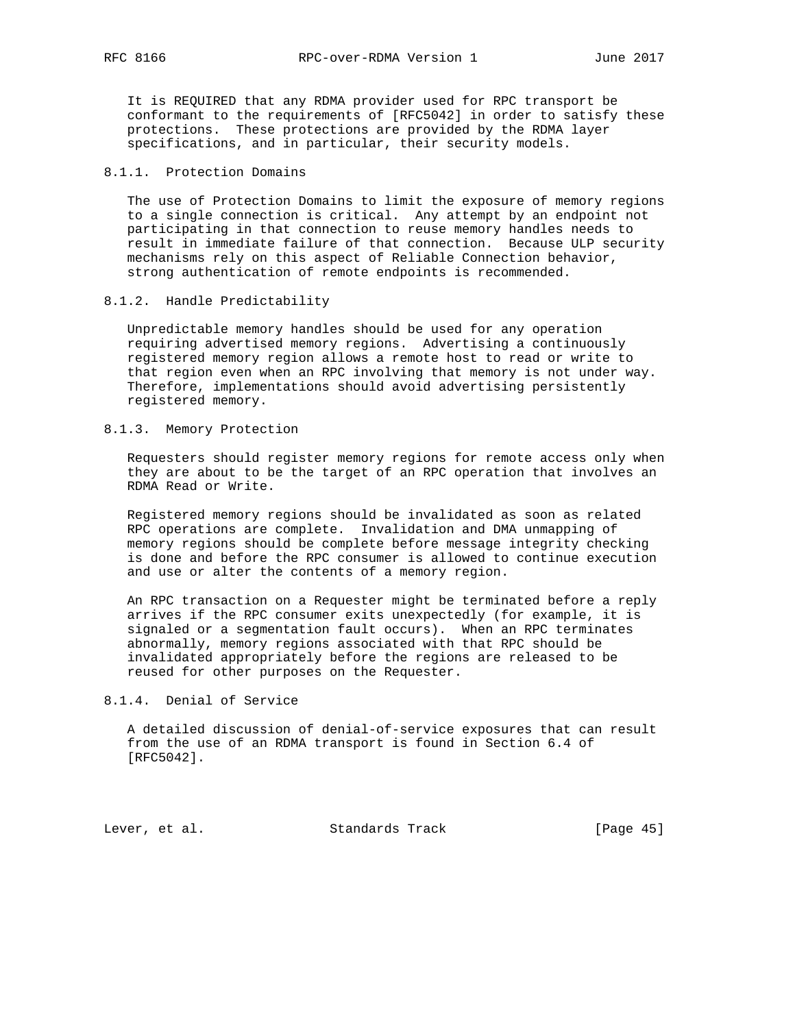It is REQUIRED that any RDMA provider used for RPC transport be conformant to the requirements of [RFC5042] in order to satisfy these protections. These protections are provided by the RDMA layer specifications, and in particular, their security models.

# 8.1.1. Protection Domains

 The use of Protection Domains to limit the exposure of memory regions to a single connection is critical. Any attempt by an endpoint not participating in that connection to reuse memory handles needs to result in immediate failure of that connection. Because ULP security mechanisms rely on this aspect of Reliable Connection behavior, strong authentication of remote endpoints is recommended.

# 8.1.2. Handle Predictability

 Unpredictable memory handles should be used for any operation requiring advertised memory regions. Advertising a continuously registered memory region allows a remote host to read or write to that region even when an RPC involving that memory is not under way. Therefore, implementations should avoid advertising persistently registered memory.

# 8.1.3. Memory Protection

 Requesters should register memory regions for remote access only when they are about to be the target of an RPC operation that involves an RDMA Read or Write.

 Registered memory regions should be invalidated as soon as related RPC operations are complete. Invalidation and DMA unmapping of memory regions should be complete before message integrity checking is done and before the RPC consumer is allowed to continue execution and use or alter the contents of a memory region.

 An RPC transaction on a Requester might be terminated before a reply arrives if the RPC consumer exits unexpectedly (for example, it is signaled or a segmentation fault occurs). When an RPC terminates abnormally, memory regions associated with that RPC should be invalidated appropriately before the regions are released to be reused for other purposes on the Requester.

# 8.1.4. Denial of Service

 A detailed discussion of denial-of-service exposures that can result from the use of an RDMA transport is found in Section 6.4 of [RFC5042].

Lever, et al. Standards Track [Page 45]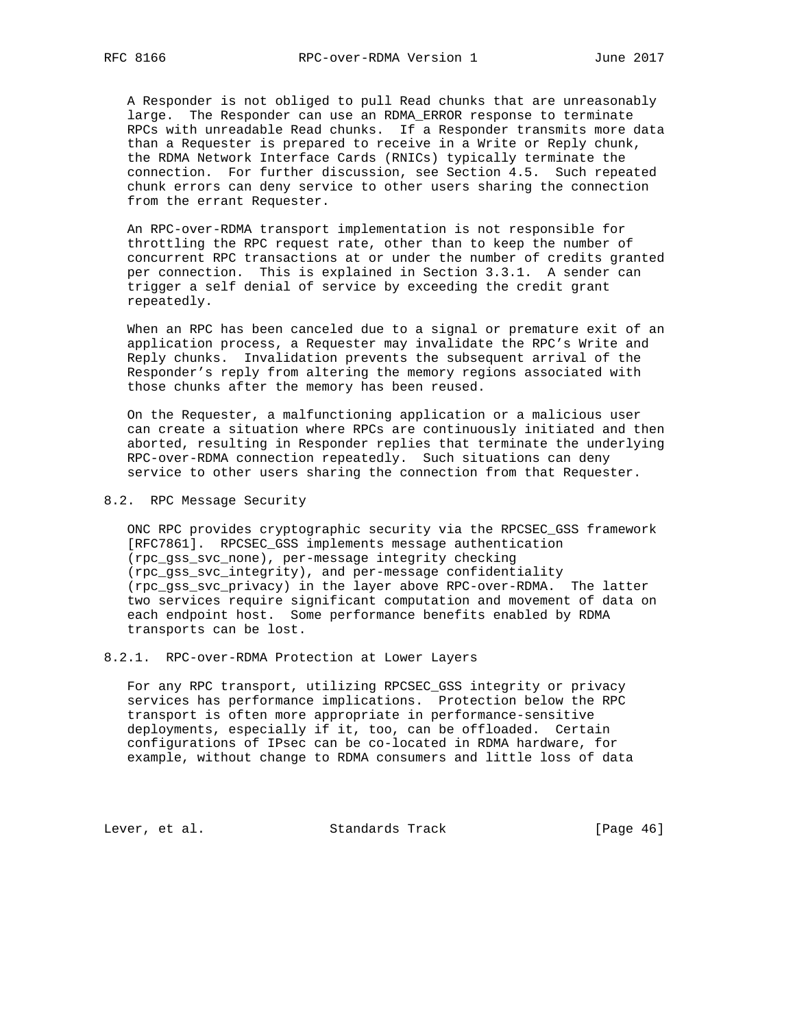A Responder is not obliged to pull Read chunks that are unreasonably large. The Responder can use an RDMA\_ERROR response to terminate RPCs with unreadable Read chunks. If a Responder transmits more data than a Requester is prepared to receive in a Write or Reply chunk, the RDMA Network Interface Cards (RNICs) typically terminate the connection. For further discussion, see Section 4.5. Such repeated chunk errors can deny service to other users sharing the connection from the errant Requester.

 An RPC-over-RDMA transport implementation is not responsible for throttling the RPC request rate, other than to keep the number of concurrent RPC transactions at or under the number of credits granted per connection. This is explained in Section 3.3.1. A sender can trigger a self denial of service by exceeding the credit grant repeatedly.

 When an RPC has been canceled due to a signal or premature exit of an application process, a Requester may invalidate the RPC's Write and Reply chunks. Invalidation prevents the subsequent arrival of the Responder's reply from altering the memory regions associated with those chunks after the memory has been reused.

 On the Requester, a malfunctioning application or a malicious user can create a situation where RPCs are continuously initiated and then aborted, resulting in Responder replies that terminate the underlying RPC-over-RDMA connection repeatedly. Such situations can deny service to other users sharing the connection from that Requester.

8.2. RPC Message Security

 ONC RPC provides cryptographic security via the RPCSEC\_GSS framework [RFC7861]. RPCSEC\_GSS implements message authentication (rpc\_gss\_svc\_none), per-message integrity checking (rpc\_gss\_svc\_integrity), and per-message confidentiality (rpc\_gss\_svc\_privacy) in the layer above RPC-over-RDMA. The latter two services require significant computation and movement of data on each endpoint host. Some performance benefits enabled by RDMA transports can be lost.

8.2.1. RPC-over-RDMA Protection at Lower Layers

 For any RPC transport, utilizing RPCSEC\_GSS integrity or privacy services has performance implications. Protection below the RPC transport is often more appropriate in performance-sensitive deployments, especially if it, too, can be offloaded. Certain configurations of IPsec can be co-located in RDMA hardware, for example, without change to RDMA consumers and little loss of data

Lever, et al. Standards Track [Page 46]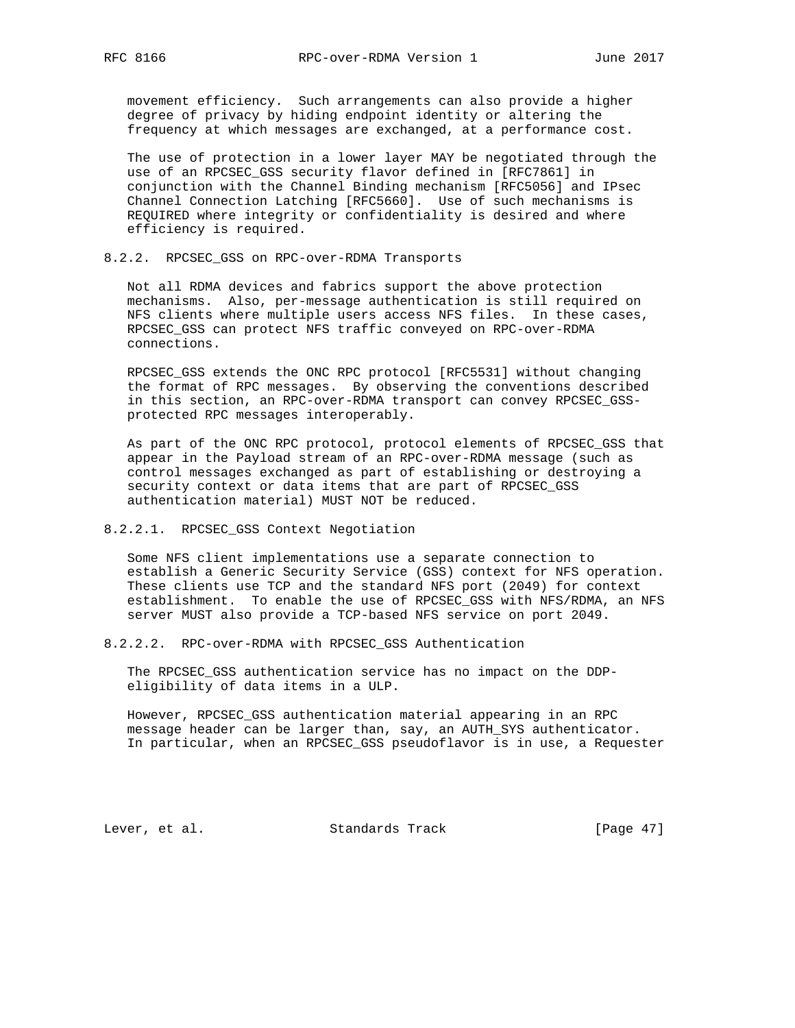movement efficiency. Such arrangements can also provide a higher degree of privacy by hiding endpoint identity or altering the frequency at which messages are exchanged, at a performance cost.

 The use of protection in a lower layer MAY be negotiated through the use of an RPCSEC\_GSS security flavor defined in [RFC7861] in conjunction with the Channel Binding mechanism [RFC5056] and IPsec Channel Connection Latching [RFC5660]. Use of such mechanisms is REQUIRED where integrity or confidentiality is desired and where efficiency is required.

# 8.2.2. RPCSEC\_GSS on RPC-over-RDMA Transports

 Not all RDMA devices and fabrics support the above protection mechanisms. Also, per-message authentication is still required on NFS clients where multiple users access NFS files. In these cases, RPCSEC\_GSS can protect NFS traffic conveyed on RPC-over-RDMA connections.

 RPCSEC\_GSS extends the ONC RPC protocol [RFC5531] without changing the format of RPC messages. By observing the conventions described in this section, an RPC-over-RDMA transport can convey RPCSEC\_GSS protected RPC messages interoperably.

 As part of the ONC RPC protocol, protocol elements of RPCSEC\_GSS that appear in the Payload stream of an RPC-over-RDMA message (such as control messages exchanged as part of establishing or destroying a security context or data items that are part of RPCSEC\_GSS authentication material) MUST NOT be reduced.

# 8.2.2.1. RPCSEC GSS Context Negotiation

 Some NFS client implementations use a separate connection to establish a Generic Security Service (GSS) context for NFS operation. These clients use TCP and the standard NFS port (2049) for context establishment. To enable the use of RPCSEC\_GSS with NFS/RDMA, an NFS server MUST also provide a TCP-based NFS service on port 2049.

8.2.2.2. RPC-over-RDMA with RPCSEC\_GSS Authentication

 The RPCSEC\_GSS authentication service has no impact on the DDP eligibility of data items in a ULP.

 However, RPCSEC\_GSS authentication material appearing in an RPC message header can be larger than, say, an AUTH\_SYS authenticator. In particular, when an RPCSEC\_GSS pseudoflavor is in use, a Requester

Lever, et al. Standards Track [Page 47]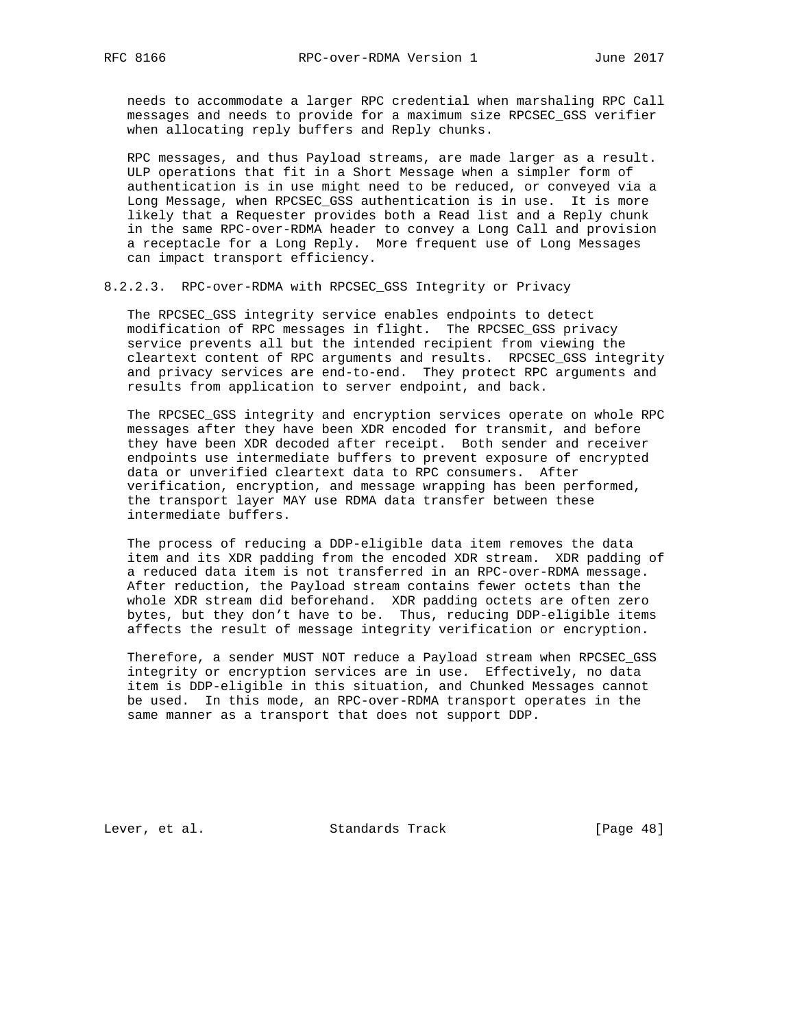needs to accommodate a larger RPC credential when marshaling RPC Call messages and needs to provide for a maximum size RPCSEC\_GSS verifier when allocating reply buffers and Reply chunks.

 RPC messages, and thus Payload streams, are made larger as a result. ULP operations that fit in a Short Message when a simpler form of authentication is in use might need to be reduced, or conveyed via a Long Message, when RPCSEC\_GSS authentication is in use. It is more likely that a Requester provides both a Read list and a Reply chunk in the same RPC-over-RDMA header to convey a Long Call and provision a receptacle for a Long Reply. More frequent use of Long Messages can impact transport efficiency.

# 8.2.2.3. RPC-over-RDMA with RPCSEC\_GSS Integrity or Privacy

 The RPCSEC\_GSS integrity service enables endpoints to detect modification of RPC messages in flight. The RPCSEC\_GSS privacy service prevents all but the intended recipient from viewing the cleartext content of RPC arguments and results. RPCSEC\_GSS integrity and privacy services are end-to-end. They protect RPC arguments and results from application to server endpoint, and back.

 The RPCSEC\_GSS integrity and encryption services operate on whole RPC messages after they have been XDR encoded for transmit, and before they have been XDR decoded after receipt. Both sender and receiver endpoints use intermediate buffers to prevent exposure of encrypted data or unverified cleartext data to RPC consumers. After verification, encryption, and message wrapping has been performed, the transport layer MAY use RDMA data transfer between these intermediate buffers.

 The process of reducing a DDP-eligible data item removes the data item and its XDR padding from the encoded XDR stream. XDR padding of a reduced data item is not transferred in an RPC-over-RDMA message. After reduction, the Payload stream contains fewer octets than the whole XDR stream did beforehand. XDR padding octets are often zero bytes, but they don't have to be. Thus, reducing DDP-eligible items affects the result of message integrity verification or encryption.

 Therefore, a sender MUST NOT reduce a Payload stream when RPCSEC\_GSS integrity or encryption services are in use. Effectively, no data item is DDP-eligible in this situation, and Chunked Messages cannot be used. In this mode, an RPC-over-RDMA transport operates in the same manner as a transport that does not support DDP.

Lever, et al. Standards Track [Page 48]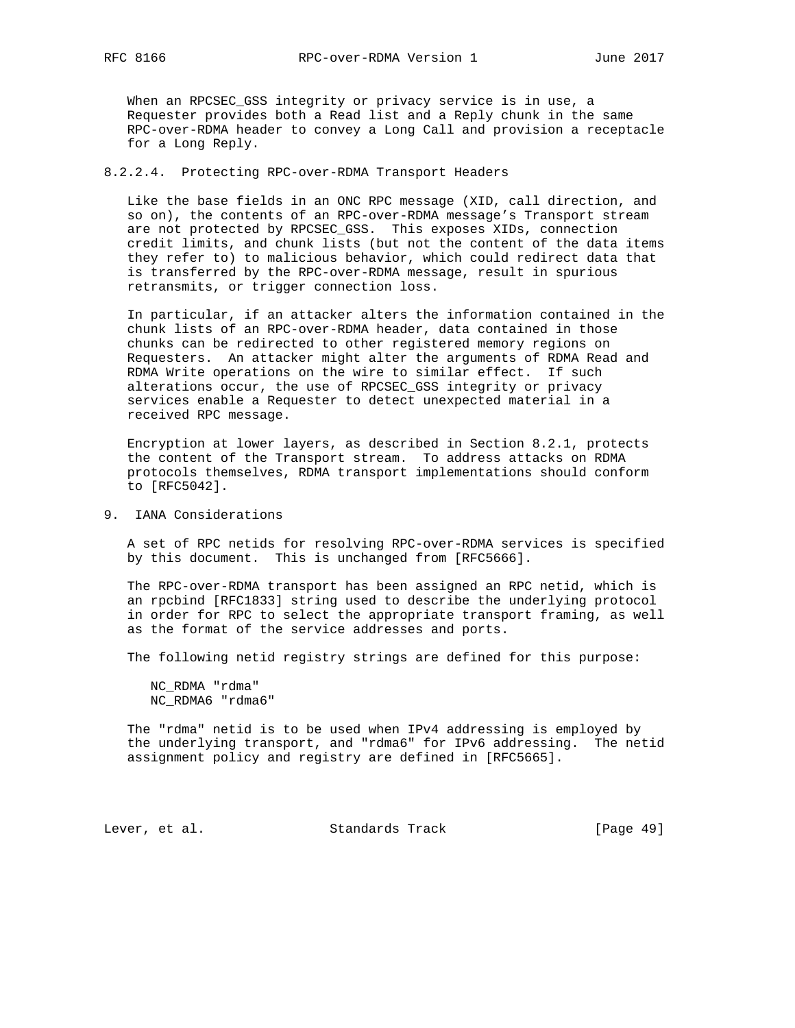When an RPCSEC\_GSS integrity or privacy service is in use, a Requester provides both a Read list and a Reply chunk in the same RPC-over-RDMA header to convey a Long Call and provision a receptacle for a Long Reply.

## 8.2.2.4. Protecting RPC-over-RDMA Transport Headers

 Like the base fields in an ONC RPC message (XID, call direction, and so on), the contents of an RPC-over-RDMA message's Transport stream are not protected by RPCSEC GSS. This exposes XIDs, connection credit limits, and chunk lists (but not the content of the data items they refer to) to malicious behavior, which could redirect data that is transferred by the RPC-over-RDMA message, result in spurious retransmits, or trigger connection loss.

 In particular, if an attacker alters the information contained in the chunk lists of an RPC-over-RDMA header, data contained in those chunks can be redirected to other registered memory regions on Requesters. An attacker might alter the arguments of RDMA Read and RDMA Write operations on the wire to similar effect. If such alterations occur, the use of RPCSEC\_GSS integrity or privacy services enable a Requester to detect unexpected material in a received RPC message.

 Encryption at lower layers, as described in Section 8.2.1, protects the content of the Transport stream. To address attacks on RDMA protocols themselves, RDMA transport implementations should conform to [RFC5042].

## 9. IANA Considerations

 A set of RPC netids for resolving RPC-over-RDMA services is specified by this document. This is unchanged from [RFC5666].

 The RPC-over-RDMA transport has been assigned an RPC netid, which is an rpcbind [RFC1833] string used to describe the underlying protocol in order for RPC to select the appropriate transport framing, as well as the format of the service addresses and ports.

The following netid registry strings are defined for this purpose:

 NC\_RDMA "rdma" NC\_RDMA6 "rdma6"

 The "rdma" netid is to be used when IPv4 addressing is employed by the underlying transport, and "rdma6" for IPv6 addressing. The netid assignment policy and registry are defined in [RFC5665].

Lever, et al. Standards Track [Page 49]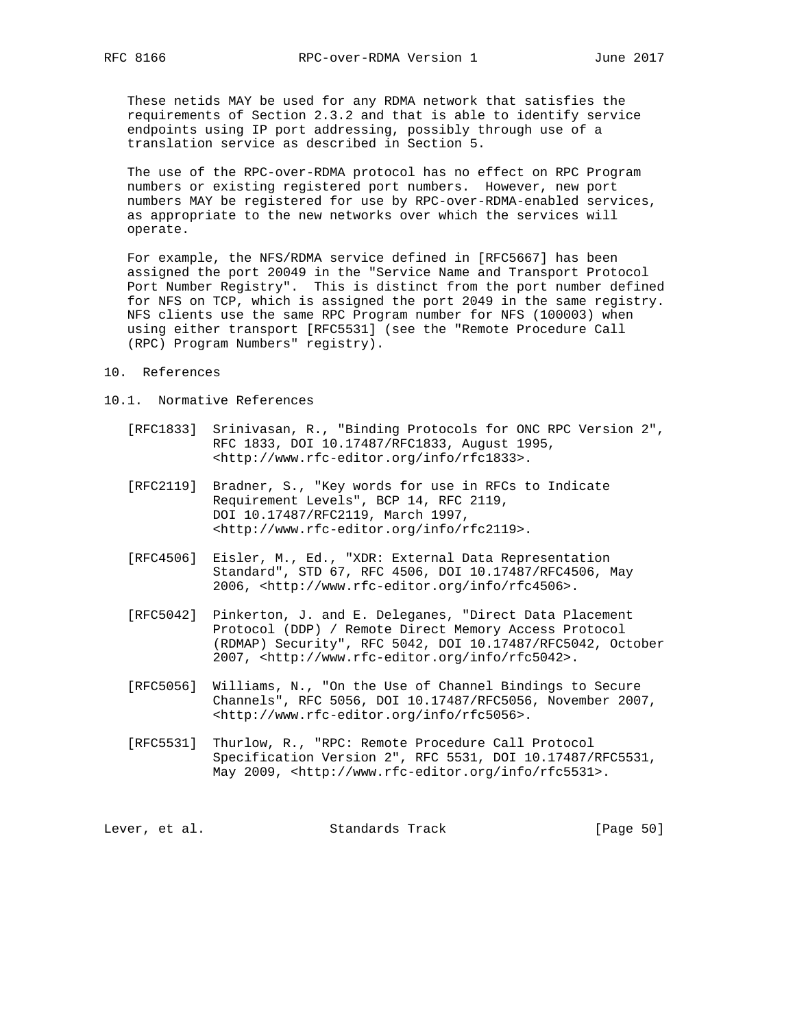These netids MAY be used for any RDMA network that satisfies the requirements of Section 2.3.2 and that is able to identify service endpoints using IP port addressing, possibly through use of a translation service as described in Section 5.

 The use of the RPC-over-RDMA protocol has no effect on RPC Program numbers or existing registered port numbers. However, new port numbers MAY be registered for use by RPC-over-RDMA-enabled services, as appropriate to the new networks over which the services will operate.

 For example, the NFS/RDMA service defined in [RFC5667] has been assigned the port 20049 in the "Service Name and Transport Protocol Port Number Registry". This is distinct from the port number defined for NFS on TCP, which is assigned the port 2049 in the same registry. NFS clients use the same RPC Program number for NFS (100003) when using either transport [RFC5531] (see the "Remote Procedure Call (RPC) Program Numbers" registry).

- 10. References
- 10.1. Normative References
	- [RFC1833] Srinivasan, R., "Binding Protocols for ONC RPC Version 2", RFC 1833, DOI 10.17487/RFC1833, August 1995, <http://www.rfc-editor.org/info/rfc1833>.
	- [RFC2119] Bradner, S., "Key words for use in RFCs to Indicate Requirement Levels", BCP 14, RFC 2119, DOI 10.17487/RFC2119, March 1997, <http://www.rfc-editor.org/info/rfc2119>.
	- [RFC4506] Eisler, M., Ed., "XDR: External Data Representation Standard", STD 67, RFC 4506, DOI 10.17487/RFC4506, May 2006, <http://www.rfc-editor.org/info/rfc4506>.
	- [RFC5042] Pinkerton, J. and E. Deleganes, "Direct Data Placement Protocol (DDP) / Remote Direct Memory Access Protocol (RDMAP) Security", RFC 5042, DOI 10.17487/RFC5042, October 2007, <http://www.rfc-editor.org/info/rfc5042>.
	- [RFC5056] Williams, N., "On the Use of Channel Bindings to Secure Channels", RFC 5056, DOI 10.17487/RFC5056, November 2007, <http://www.rfc-editor.org/info/rfc5056>.
	- [RFC5531] Thurlow, R., "RPC: Remote Procedure Call Protocol Specification Version 2", RFC 5531, DOI 10.17487/RFC5531, May 2009, <http://www.rfc-editor.org/info/rfc5531>.

| Standards Track<br>Lever, et al. | [Page 50] |
|----------------------------------|-----------|
|----------------------------------|-----------|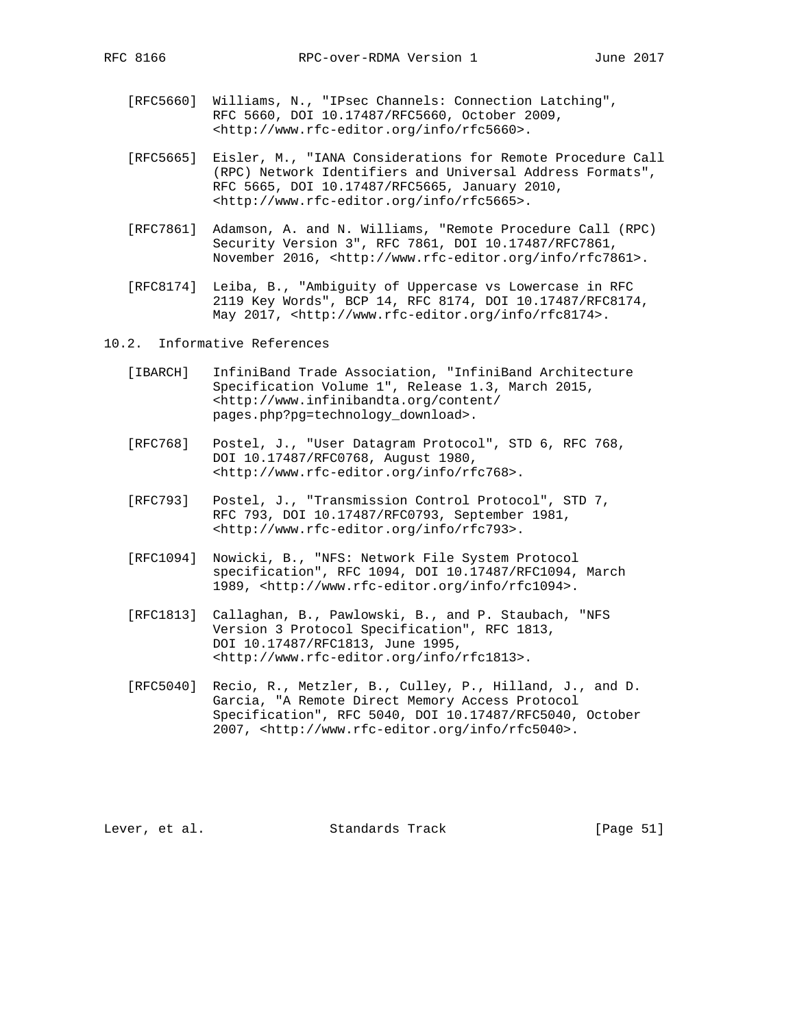- [RFC5660] Williams, N., "IPsec Channels: Connection Latching", RFC 5660, DOI 10.17487/RFC5660, October 2009, <http://www.rfc-editor.org/info/rfc5660>.
- [RFC5665] Eisler, M., "IANA Considerations for Remote Procedure Call (RPC) Network Identifiers and Universal Address Formats", RFC 5665, DOI 10.17487/RFC5665, January 2010, <http://www.rfc-editor.org/info/rfc5665>.
- [RFC7861] Adamson, A. and N. Williams, "Remote Procedure Call (RPC) Security Version 3", RFC 7861, DOI 10.17487/RFC7861, November 2016, <http://www.rfc-editor.org/info/rfc7861>.
- [RFC8174] Leiba, B., "Ambiguity of Uppercase vs Lowercase in RFC 2119 Key Words", BCP 14, RFC 8174, DOI 10.17487/RFC8174, May 2017, <http://www.rfc-editor.org/info/rfc8174>.
- 10.2. Informative References
	- [IBARCH] InfiniBand Trade Association, "InfiniBand Architecture Specification Volume 1", Release 1.3, March 2015, <http://www.infinibandta.org/content/ pages.php?pg=technology\_download>.
	- [RFC768] Postel, J., "User Datagram Protocol", STD 6, RFC 768, DOI 10.17487/RFC0768, August 1980, <http://www.rfc-editor.org/info/rfc768>.
	- [RFC793] Postel, J., "Transmission Control Protocol", STD 7, RFC 793, DOI 10.17487/RFC0793, September 1981, <http://www.rfc-editor.org/info/rfc793>.
	- [RFC1094] Nowicki, B., "NFS: Network File System Protocol specification", RFC 1094, DOI 10.17487/RFC1094, March 1989, <http://www.rfc-editor.org/info/rfc1094>.
	- [RFC1813] Callaghan, B., Pawlowski, B., and P. Staubach, "NFS Version 3 Protocol Specification", RFC 1813, DOI 10.17487/RFC1813, June 1995, <http://www.rfc-editor.org/info/rfc1813>.
	- [RFC5040] Recio, R., Metzler, B., Culley, P., Hilland, J., and D. Garcia, "A Remote Direct Memory Access Protocol Specification", RFC 5040, DOI 10.17487/RFC5040, October 2007, <http://www.rfc-editor.org/info/rfc5040>.

Lever, et al. Standards Track [Page 51]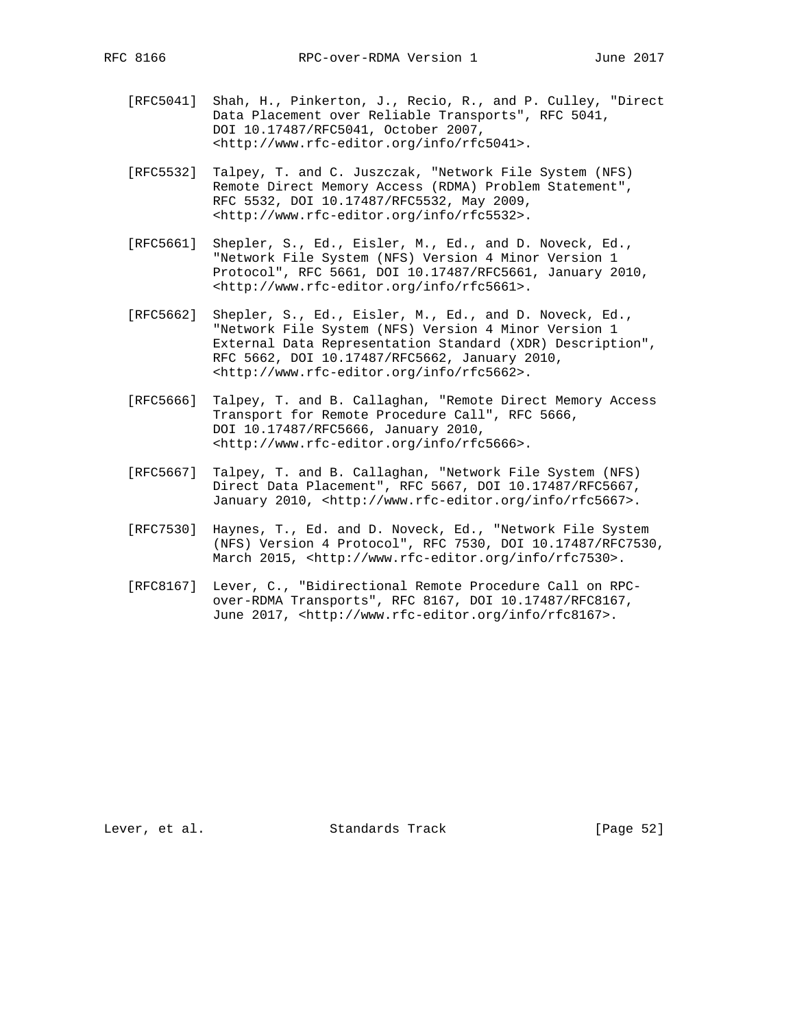- [RFC5041] Shah, H., Pinkerton, J., Recio, R., and P. Culley, "Direct Data Placement over Reliable Transports", RFC 5041, DOI 10.17487/RFC5041, October 2007, <http://www.rfc-editor.org/info/rfc5041>.
- [RFC5532] Talpey, T. and C. Juszczak, "Network File System (NFS) Remote Direct Memory Access (RDMA) Problem Statement", RFC 5532, DOI 10.17487/RFC5532, May 2009, <http://www.rfc-editor.org/info/rfc5532>.
- [RFC5661] Shepler, S., Ed., Eisler, M., Ed., and D. Noveck, Ed., "Network File System (NFS) Version 4 Minor Version 1 Protocol", RFC 5661, DOI 10.17487/RFC5661, January 2010, <http://www.rfc-editor.org/info/rfc5661>.
- [RFC5662] Shepler, S., Ed., Eisler, M., Ed., and D. Noveck, Ed., "Network File System (NFS) Version 4 Minor Version 1 External Data Representation Standard (XDR) Description", RFC 5662, DOI 10.17487/RFC5662, January 2010, <http://www.rfc-editor.org/info/rfc5662>.
- [RFC5666] Talpey, T. and B. Callaghan, "Remote Direct Memory Access Transport for Remote Procedure Call", RFC 5666, DOI 10.17487/RFC5666, January 2010, <http://www.rfc-editor.org/info/rfc5666>.
- [RFC5667] Talpey, T. and B. Callaghan, "Network File System (NFS) Direct Data Placement", RFC 5667, DOI 10.17487/RFC5667, January 2010, <http://www.rfc-editor.org/info/rfc5667>.
- [RFC7530] Haynes, T., Ed. and D. Noveck, Ed., "Network File System (NFS) Version 4 Protocol", RFC 7530, DOI 10.17487/RFC7530, March 2015, <http://www.rfc-editor.org/info/rfc7530>.
- [RFC8167] Lever, C., "Bidirectional Remote Procedure Call on RPC over-RDMA Transports", RFC 8167, DOI 10.17487/RFC8167, June 2017, <http://www.rfc-editor.org/info/rfc8167>.

Lever, et al. Standards Track [Page 52]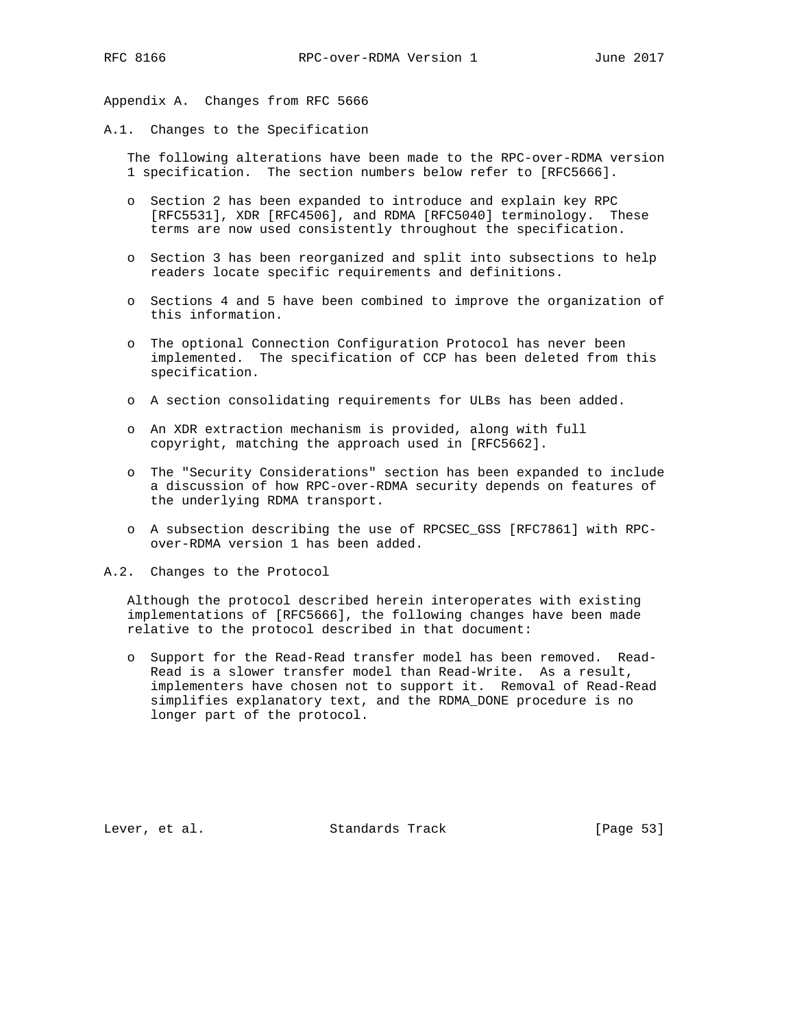Appendix A. Changes from RFC 5666

A.1. Changes to the Specification

 The following alterations have been made to the RPC-over-RDMA version 1 specification. The section numbers below refer to [RFC5666].

- o Section 2 has been expanded to introduce and explain key RPC [RFC5531], XDR [RFC4506], and RDMA [RFC5040] terminology. These terms are now used consistently throughout the specification.
- o Section 3 has been reorganized and split into subsections to help readers locate specific requirements and definitions.
- o Sections 4 and 5 have been combined to improve the organization of this information.
- o The optional Connection Configuration Protocol has never been implemented. The specification of CCP has been deleted from this specification.
- o A section consolidating requirements for ULBs has been added.
- o An XDR extraction mechanism is provided, along with full copyright, matching the approach used in [RFC5662].
- o The "Security Considerations" section has been expanded to include a discussion of how RPC-over-RDMA security depends on features of the underlying RDMA transport.
- o A subsection describing the use of RPCSEC\_GSS [RFC7861] with RPC over-RDMA version 1 has been added.
- A.2. Changes to the Protocol

 Although the protocol described herein interoperates with existing implementations of [RFC5666], the following changes have been made relative to the protocol described in that document:

 o Support for the Read-Read transfer model has been removed. Read- Read is a slower transfer model than Read-Write. As a result, implementers have chosen not to support it. Removal of Read-Read simplifies explanatory text, and the RDMA\_DONE procedure is no longer part of the protocol.

Lever, et al. Standards Track [Page 53]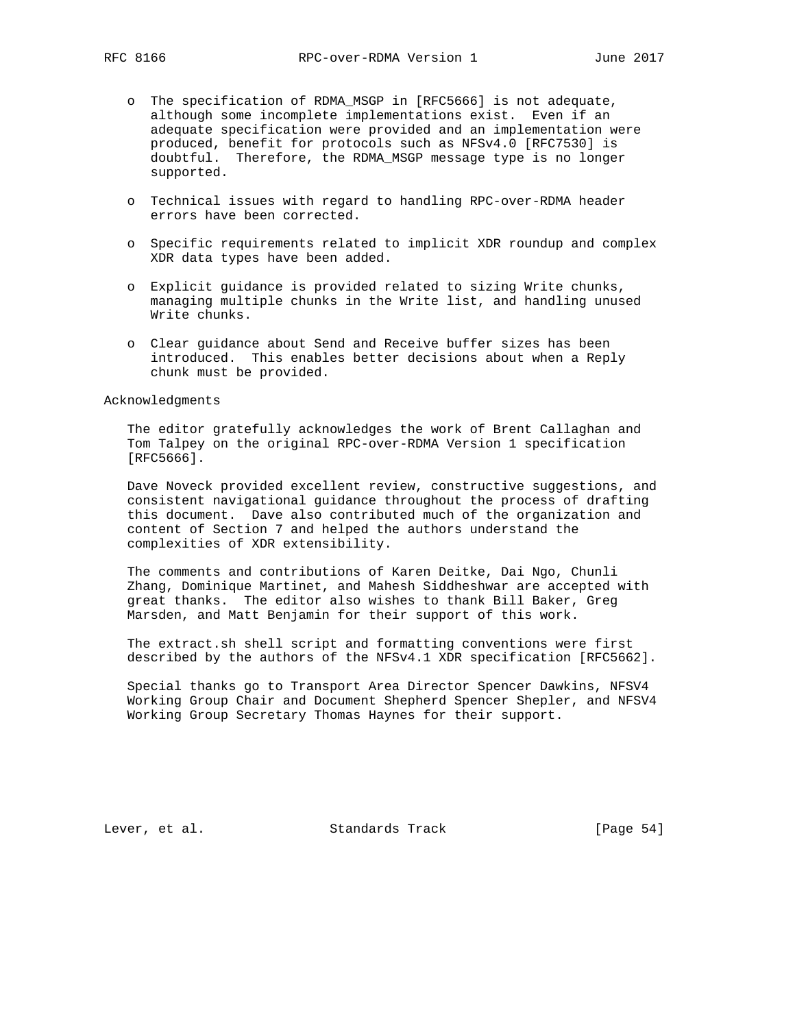- o The specification of RDMA\_MSGP in [RFC5666] is not adequate, although some incomplete implementations exist. Even if an adequate specification were provided and an implementation were produced, benefit for protocols such as NFSv4.0 [RFC7530] is doubtful. Therefore, the RDMA\_MSGP message type is no longer supported.
- o Technical issues with regard to handling RPC-over-RDMA header errors have been corrected.
- o Specific requirements related to implicit XDR roundup and complex XDR data types have been added.
- o Explicit guidance is provided related to sizing Write chunks, managing multiple chunks in the Write list, and handling unused Write chunks.
- o Clear guidance about Send and Receive buffer sizes has been introduced. This enables better decisions about when a Reply chunk must be provided.

Acknowledgments

 The editor gratefully acknowledges the work of Brent Callaghan and Tom Talpey on the original RPC-over-RDMA Version 1 specification [RFC5666].

 Dave Noveck provided excellent review, constructive suggestions, and consistent navigational guidance throughout the process of drafting this document. Dave also contributed much of the organization and content of Section 7 and helped the authors understand the complexities of XDR extensibility.

 The comments and contributions of Karen Deitke, Dai Ngo, Chunli Zhang, Dominique Martinet, and Mahesh Siddheshwar are accepted with great thanks. The editor also wishes to thank Bill Baker, Greg Marsden, and Matt Benjamin for their support of this work.

 The extract.sh shell script and formatting conventions were first described by the authors of the NFSv4.1 XDR specification [RFC5662].

 Special thanks go to Transport Area Director Spencer Dawkins, NFSV4 Working Group Chair and Document Shepherd Spencer Shepler, and NFSV4 Working Group Secretary Thomas Haynes for their support.

Lever, et al. Standards Track [Page 54]